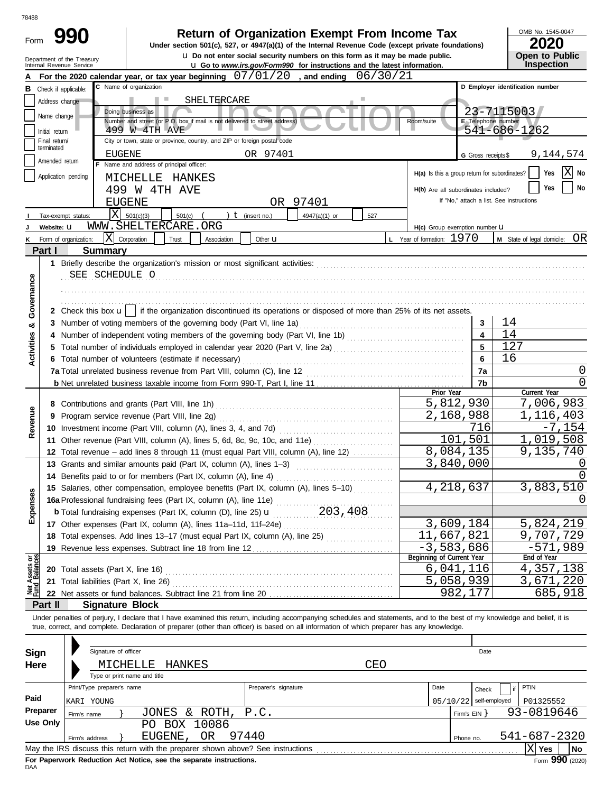| Form                           | <b>Return of Organization Exempt From Income Tax</b><br>Under section 501(c), 527, or 4947(a)(1) of the Internal Revenue Code (except private foundations) |                                                                                       |                              |                                                                                                                                            |             |                      |                                                                                                                                                                         |          |                                               |                          | OMB No. 1545-0047<br>2020                                                                                                                                                  |  |
|--------------------------------|------------------------------------------------------------------------------------------------------------------------------------------------------------|---------------------------------------------------------------------------------------|------------------------------|--------------------------------------------------------------------------------------------------------------------------------------------|-------------|----------------------|-------------------------------------------------------------------------------------------------------------------------------------------------------------------------|----------|-----------------------------------------------|--------------------------|----------------------------------------------------------------------------------------------------------------------------------------------------------------------------|--|
|                                |                                                                                                                                                            | Department of the Treasury<br>Internal Revenue Service                                |                              |                                                                                                                                            |             |                      | <b>u</b> Do not enter social security numbers on this form as it may be made public.<br><b>u</b> Go to www.irs.gov/Form990 for instructions and the latest information. |          |                                               |                          | Open to Public<br><b>Inspection</b>                                                                                                                                        |  |
|                                |                                                                                                                                                            |                                                                                       |                              | For the 2020 calendar year, or tax year beginning $07/01/20$ , and ending                                                                  |             |                      |                                                                                                                                                                         | 06/30/21 |                                               |                          |                                                                                                                                                                            |  |
| В                              |                                                                                                                                                            | Check if applicable:                                                                  |                              | C Name of organization                                                                                                                     |             |                      |                                                                                                                                                                         |          |                                               |                          | D Employer identification number                                                                                                                                           |  |
|                                |                                                                                                                                                            | Address change                                                                        |                              |                                                                                                                                            | SHELTERCARE |                      |                                                                                                                                                                         |          |                                               |                          |                                                                                                                                                                            |  |
|                                |                                                                                                                                                            | Name change                                                                           |                              | Doing business as<br>Number and street (or P.O. box if mail is not delivered to street address)                                            |             |                      |                                                                                                                                                                         |          | Room/suite                                    | E Telephone number       | 23-7115003                                                                                                                                                                 |  |
|                                | Initial return                                                                                                                                             |                                                                                       |                              | 499 W 4TH AVE                                                                                                                              |             |                      |                                                                                                                                                                         |          |                                               |                          | 541-686-1262                                                                                                                                                               |  |
|                                | Final return/                                                                                                                                              |                                                                                       |                              | City or town, state or province, country, and ZIP or foreign postal code                                                                   |             |                      |                                                                                                                                                                         |          |                                               |                          |                                                                                                                                                                            |  |
|                                | terminated                                                                                                                                                 |                                                                                       | EUGENE                       |                                                                                                                                            |             | OR 97401             |                                                                                                                                                                         |          |                                               | G Gross receipts \$      | 9,144,574                                                                                                                                                                  |  |
|                                |                                                                                                                                                            | Amended return                                                                        |                              | F Name and address of principal officer:                                                                                                   |             |                      |                                                                                                                                                                         |          |                                               |                          |                                                                                                                                                                            |  |
|                                |                                                                                                                                                            | Application pending                                                                   |                              | MICHELLE HANKES                                                                                                                            |             |                      |                                                                                                                                                                         |          | H(a) Is this a group return for subordinates? |                          | lΧ<br>Yes<br>No                                                                                                                                                            |  |
|                                |                                                                                                                                                            |                                                                                       |                              | 499 W 4TH AVE                                                                                                                              |             |                      |                                                                                                                                                                         |          | H(b) Are all subordinates included?           |                          | No<br>Yes                                                                                                                                                                  |  |
|                                |                                                                                                                                                            |                                                                                       | <b>EUGENE</b>                |                                                                                                                                            |             |                      | OR 97401                                                                                                                                                                |          |                                               |                          | If "No," attach a list. See instructions                                                                                                                                   |  |
|                                |                                                                                                                                                            | Tax-exempt status:                                                                    | X                            | 501(c)(3)<br>501(c)                                                                                                                        |             | $t$ (insert no.)     | 4947(a)(1) or                                                                                                                                                           | 527      |                                               |                          |                                                                                                                                                                            |  |
|                                |                                                                                                                                                            | Website: U                                                                            |                              | WWW.SHELTERCARE.ORG                                                                                                                        |             |                      |                                                                                                                                                                         |          | H(c) Group exemption number LI                |                          |                                                                                                                                                                            |  |
|                                |                                                                                                                                                            | Form of organization:                                                                 | ΙX                           | Corporation<br>Trust                                                                                                                       | Association | Other <b>u</b>       |                                                                                                                                                                         |          | L Year of formation: 1970                     |                          | OR<br>M State of legal domicile:                                                                                                                                           |  |
|                                | Part I                                                                                                                                                     |                                                                                       | <b>Summary</b>               |                                                                                                                                            |             |                      |                                                                                                                                                                         |          |                                               |                          |                                                                                                                                                                            |  |
|                                |                                                                                                                                                            |                                                                                       |                              | 1 Briefly describe the organization's mission or most significant activities:                                                              |             |                      |                                                                                                                                                                         |          |                                               |                          |                                                                                                                                                                            |  |
|                                |                                                                                                                                                            |                                                                                       | SEE SCHEDULE O               |                                                                                                                                            |             |                      |                                                                                                                                                                         |          |                                               |                          |                                                                                                                                                                            |  |
|                                |                                                                                                                                                            |                                                                                       |                              |                                                                                                                                            |             |                      |                                                                                                                                                                         |          |                                               |                          |                                                                                                                                                                            |  |
| Governance                     |                                                                                                                                                            |                                                                                       |                              |                                                                                                                                            |             |                      |                                                                                                                                                                         |          |                                               |                          |                                                                                                                                                                            |  |
|                                |                                                                                                                                                            |                                                                                       |                              | 2 Check this box $\mathbf{u}$   if the organization discontinued its operations or disposed of more than 25% of its net assets.            |             |                      |                                                                                                                                                                         |          |                                               |                          |                                                                                                                                                                            |  |
|                                |                                                                                                                                                            |                                                                                       |                              | 3 Number of voting members of the governing body (Part VI, line 1a)                                                                        |             |                      |                                                                                                                                                                         |          |                                               | 3                        | 14                                                                                                                                                                         |  |
| ಯ                              |                                                                                                                                                            |                                                                                       |                              |                                                                                                                                            |             |                      |                                                                                                                                                                         |          |                                               | $\overline{\mathbf{4}}$  | 14                                                                                                                                                                         |  |
|                                |                                                                                                                                                            |                                                                                       |                              | Total number of individuals employed in calendar year 2020 (Part V, line 2a) [[[[[[[[[[[[[[[[[[[[[[[[[[[[[[[[                              |             |                      |                                                                                                                                                                         |          |                                               | 5                        | 127                                                                                                                                                                        |  |
| Activities                     |                                                                                                                                                            |                                                                                       |                              | 6 Total number of volunteers (estimate if necessary)                                                                                       |             |                      |                                                                                                                                                                         |          |                                               | 6                        | 16                                                                                                                                                                         |  |
|                                |                                                                                                                                                            |                                                                                       |                              | 7a                                                                                                                                         | 0           |                      |                                                                                                                                                                         |          |                                               |                          |                                                                                                                                                                            |  |
|                                |                                                                                                                                                            |                                                                                       |                              | 7b                                                                                                                                         | $\Omega$    |                      |                                                                                                                                                                         |          |                                               |                          |                                                                                                                                                                            |  |
|                                |                                                                                                                                                            |                                                                                       |                              |                                                                                                                                            |             |                      |                                                                                                                                                                         |          | Prior Year                                    |                          | Current Year                                                                                                                                                               |  |
|                                |                                                                                                                                                            |                                                                                       |                              |                                                                                                                                            |             |                      |                                                                                                                                                                         |          |                                               | 5,812,930                | 7,006,983                                                                                                                                                                  |  |
| Revenue                        |                                                                                                                                                            |                                                                                       |                              | 9 Program service revenue (Part VIII, line 2g)                                                                                             |             |                      |                                                                                                                                                                         |          |                                               | 2,168,988                | 1,116,403                                                                                                                                                                  |  |
|                                |                                                                                                                                                            |                                                                                       |                              |                                                                                                                                            |             |                      |                                                                                                                                                                         |          |                                               | 716                      | $-7,154$                                                                                                                                                                   |  |
|                                |                                                                                                                                                            |                                                                                       |                              | 11 Other revenue (Part VIII, column (A), lines 5, 6d, 8c, 9c, 10c, and 11e)                                                                |             |                      |                                                                                                                                                                         |          |                                               | 101,501                  | 1,019,508                                                                                                                                                                  |  |
|                                |                                                                                                                                                            | 12 Total revenue - add lines 8 through 11 (must equal Part VIII, column (A), line 12) |                              |                                                                                                                                            |             |                      |                                                                                                                                                                         |          |                                               | 8,084,135                | 9,135,740                                                                                                                                                                  |  |
|                                |                                                                                                                                                            |                                                                                       |                              | 13 Grants and similar amounts paid (Part IX, column (A), lines 1–3)                                                                        |             |                      |                                                                                                                                                                         |          |                                               | 3,840,000                | 0                                                                                                                                                                          |  |
|                                |                                                                                                                                                            |                                                                                       |                              | 14 Benefits paid to or for members (Part IX, column (A), line 4)                                                                           |             |                      |                                                                                                                                                                         |          |                                               |                          | U                                                                                                                                                                          |  |
|                                |                                                                                                                                                            |                                                                                       |                              | 15 Salaries, other compensation, employee benefits (Part IX, column (A), lines 5-10)                                                       |             |                      |                                                                                                                                                                         |          |                                               | 4,218,637                | 3,883,510                                                                                                                                                                  |  |
| Expenses                       |                                                                                                                                                            |                                                                                       |                              | 16a Professional fundraising fees (Part IX, column (A), line 11e)                                                                          |             |                      |                                                                                                                                                                         |          |                                               |                          | $\left( \right)$                                                                                                                                                           |  |
|                                |                                                                                                                                                            |                                                                                       |                              | <b>b</b> Total fundraising expenses (Part IX, column (D), line 25) $\frac{1}{100}$ , $\frac{203}{100}$ , $\frac{408}{100}$                 |             |                      |                                                                                                                                                                         |          |                                               |                          |                                                                                                                                                                            |  |
|                                |                                                                                                                                                            |                                                                                       |                              | 17 Other expenses (Part IX, column (A), lines 11a-11d, 11f-24e)                                                                            |             |                      |                                                                                                                                                                         |          |                                               | 3,609,184                | 5,824,219                                                                                                                                                                  |  |
|                                |                                                                                                                                                            |                                                                                       |                              | 18 Total expenses. Add lines 13-17 (must equal Part IX, column (A), line 25) [                                                             |             |                      |                                                                                                                                                                         |          | 11,667,821                                    |                          | 9,707,729                                                                                                                                                                  |  |
|                                |                                                                                                                                                            |                                                                                       |                              | 19 Revenue less expenses. Subtract line 18 from line 12                                                                                    |             |                      |                                                                                                                                                                         |          | $-3,583,686$                                  |                          | $-571,989$                                                                                                                                                                 |  |
|                                |                                                                                                                                                            |                                                                                       |                              |                                                                                                                                            |             |                      |                                                                                                                                                                         |          | Beginning of Current Year                     |                          | End of Year                                                                                                                                                                |  |
| Net Assets or<br>Fund Balances |                                                                                                                                                            |                                                                                       |                              |                                                                                                                                            |             |                      |                                                                                                                                                                         |          |                                               | 6,041,116                | 4,357,138                                                                                                                                                                  |  |
|                                |                                                                                                                                                            |                                                                                       |                              |                                                                                                                                            |             |                      |                                                                                                                                                                         |          |                                               | 5,058,939                | 3,671,220                                                                                                                                                                  |  |
|                                |                                                                                                                                                            |                                                                                       |                              |                                                                                                                                            |             |                      |                                                                                                                                                                         |          |                                               | 982,177                  | 685,918                                                                                                                                                                    |  |
|                                | Part II                                                                                                                                                    |                                                                                       |                              | <b>Signature Block</b>                                                                                                                     |             |                      |                                                                                                                                                                         |          |                                               |                          |                                                                                                                                                                            |  |
|                                |                                                                                                                                                            |                                                                                       |                              |                                                                                                                                            |             |                      |                                                                                                                                                                         |          |                                               |                          | Under penalties of perjury, I declare that I have examined this return, including accompanying schedules and statements, and to the best of my knowledge and belief, it is |  |
|                                |                                                                                                                                                            |                                                                                       |                              | true, correct, and complete. Declaration of preparer (other than officer) is based on all information of which preparer has any knowledge. |             |                      |                                                                                                                                                                         |          |                                               |                          |                                                                                                                                                                            |  |
|                                |                                                                                                                                                            |                                                                                       |                              |                                                                                                                                            |             |                      |                                                                                                                                                                         |          |                                               |                          |                                                                                                                                                                            |  |
| Sign                           |                                                                                                                                                            |                                                                                       | Signature of officer         |                                                                                                                                            |             |                      |                                                                                                                                                                         |          |                                               | Date                     |                                                                                                                                                                            |  |
| Here                           |                                                                                                                                                            |                                                                                       |                              | MICHELLE<br>HANKES                                                                                                                         |             |                      |                                                                                                                                                                         | CEO      |                                               |                          |                                                                                                                                                                            |  |
|                                |                                                                                                                                                            |                                                                                       | Type or print name and title |                                                                                                                                            |             |                      |                                                                                                                                                                         |          |                                               |                          |                                                                                                                                                                            |  |
|                                |                                                                                                                                                            |                                                                                       | Print/Type preparer's name   |                                                                                                                                            |             | Preparer's signature |                                                                                                                                                                         |          | Date                                          | Check                    | <b>PTIN</b><br>if                                                                                                                                                          |  |
| Paid                           |                                                                                                                                                            | KARI YOUNG                                                                            |                              |                                                                                                                                            |             |                      |                                                                                                                                                                         |          |                                               | $05/10/22$ self-employed | P01325552                                                                                                                                                                  |  |
|                                | Preparer                                                                                                                                                   | JONES & ROTH,<br>P.C.<br>Firm's name                                                  |                              |                                                                                                                                            |             |                      |                                                                                                                                                                         |          | 93-0819646<br>Firm's $EIN$ }                  |                          |                                                                                                                                                                            |  |
|                                | <b>Use Only</b>                                                                                                                                            | PO BOX 10086                                                                          |                              |                                                                                                                                            |             |                      |                                                                                                                                                                         |          |                                               |                          |                                                                                                                                                                            |  |
|                                |                                                                                                                                                            | Firm's address                                                                        |                              | EUGENE, OR                                                                                                                                 |             | 97440                |                                                                                                                                                                         |          |                                               | Phone no.                | 541-687-2320                                                                                                                                                               |  |
|                                |                                                                                                                                                            |                                                                                       |                              |                                                                                                                                            |             |                      |                                                                                                                                                                         |          |                                               |                          | $ X $ Yes<br>No                                                                                                                                                            |  |

| Sign     |                            | Signature of officer |                                                                                 |                      |      |       | Date                     |              |                  |
|----------|----------------------------|----------------------|---------------------------------------------------------------------------------|----------------------|------|-------|--------------------------|--------------|------------------|
| Here     |                            | MICHELLE             | HANKES                                                                          |                      | CEO  |       |                          |              |                  |
|          |                            |                      | Type or print name and title                                                    |                      |      |       |                          |              |                  |
|          | Print/Type preparer's name |                      |                                                                                 | Preparer's signature | Date | Check | PTIN                     |              |                  |
| Paid     | KARI YOUNG                 |                      |                                                                                 |                      |      |       | $05/10/22$ self-employed |              | P01325552        |
| Preparer | Firm's name                |                      | JONES & ROTH, P.C.                                                              |                      |      |       | Firm's $EIN$             | 93-0819646   |                  |
| Use Only | BOX 10086<br>PO.           |                      |                                                                                 |                      |      |       |                          |              |                  |
|          | Firm's address             |                      | EUGENE, OR                                                                      | 97440                |      |       | Phone no.                | 541-687-2320 |                  |
|          |                            |                      | May the IRS discuss this return with the preparer shown above? See instructions |                      |      |       |                          |              | <b>No</b><br>Yes |
|          |                            |                      |                                                                                 |                      |      |       |                          |              | ---              |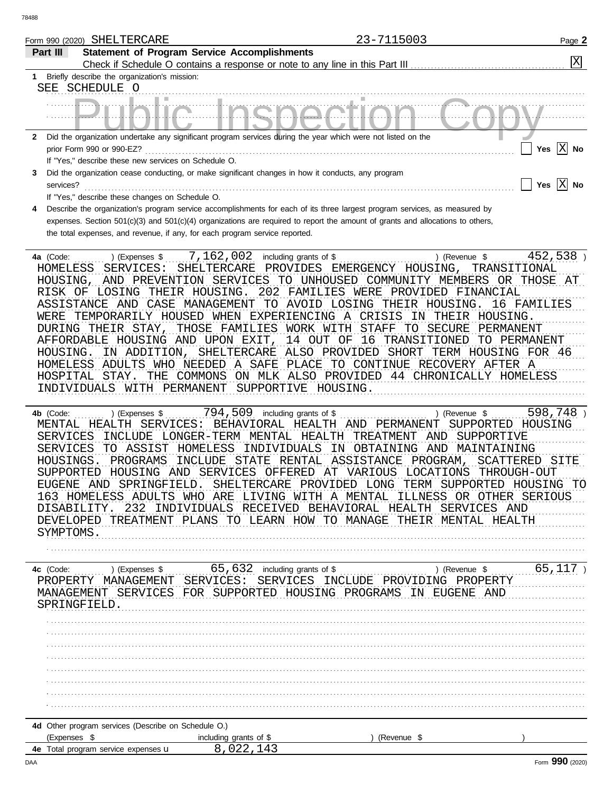|                                         |                                                                                                                                                                                                                                                                                                                                                      | 23-7115003                                                                                                                                                                                                                                                                                                                                                                                                                                                                                                             | Page 2                                                         |
|-----------------------------------------|------------------------------------------------------------------------------------------------------------------------------------------------------------------------------------------------------------------------------------------------------------------------------------------------------------------------------------------------------|------------------------------------------------------------------------------------------------------------------------------------------------------------------------------------------------------------------------------------------------------------------------------------------------------------------------------------------------------------------------------------------------------------------------------------------------------------------------------------------------------------------------|----------------------------------------------------------------|
| Part III                                | <b>Statement of Program Service Accomplishments</b>                                                                                                                                                                                                                                                                                                  |                                                                                                                                                                                                                                                                                                                                                                                                                                                                                                                        |                                                                |
|                                         |                                                                                                                                                                                                                                                                                                                                                      |                                                                                                                                                                                                                                                                                                                                                                                                                                                                                                                        | X                                                              |
|                                         | 1 Briefly describe the organization's mission:                                                                                                                                                                                                                                                                                                       |                                                                                                                                                                                                                                                                                                                                                                                                                                                                                                                        |                                                                |
| SEE SCHEDULE O                          |                                                                                                                                                                                                                                                                                                                                                      |                                                                                                                                                                                                                                                                                                                                                                                                                                                                                                                        |                                                                |
|                                         |                                                                                                                                                                                                                                                                                                                                                      |                                                                                                                                                                                                                                                                                                                                                                                                                                                                                                                        |                                                                |
|                                         | 2 Did the organization undertake any significant program services during the year which were not listed on the                                                                                                                                                                                                                                       |                                                                                                                                                                                                                                                                                                                                                                                                                                                                                                                        |                                                                |
|                                         | prior Form 990 or 990-EZ?                                                                                                                                                                                                                                                                                                                            |                                                                                                                                                                                                                                                                                                                                                                                                                                                                                                                        | Yes $ X $ No                                                   |
|                                         | If "Yes," describe these new services on Schedule O.                                                                                                                                                                                                                                                                                                 |                                                                                                                                                                                                                                                                                                                                                                                                                                                                                                                        |                                                                |
| 3                                       | Did the organization cease conducting, or make significant changes in how it conducts, any program                                                                                                                                                                                                                                                   |                                                                                                                                                                                                                                                                                                                                                                                                                                                                                                                        |                                                                |
| services?                               |                                                                                                                                                                                                                                                                                                                                                      |                                                                                                                                                                                                                                                                                                                                                                                                                                                                                                                        | Yes $ X $ No                                                   |
|                                         | If "Yes," describe these changes on Schedule O.                                                                                                                                                                                                                                                                                                      |                                                                                                                                                                                                                                                                                                                                                                                                                                                                                                                        |                                                                |
|                                         |                                                                                                                                                                                                                                                                                                                                                      | Describe the organization's program service accomplishments for each of its three largest program services, as measured by                                                                                                                                                                                                                                                                                                                                                                                             |                                                                |
|                                         |                                                                                                                                                                                                                                                                                                                                                      | expenses. Section 501(c)(3) and 501(c)(4) organizations are required to report the amount of grants and allocations to others,                                                                                                                                                                                                                                                                                                                                                                                         |                                                                |
|                                         | the total expenses, and revenue, if any, for each program service reported.                                                                                                                                                                                                                                                                          |                                                                                                                                                                                                                                                                                                                                                                                                                                                                                                                        |                                                                |
| 4a (Code:<br>HOUSING.<br>HOSPITAL STAY. | 7,162,002<br>) (Expenses \$<br>HOMELESS SERVICES:<br>SHELTERCARE<br>RISK OF LOSING THEIR HOUSING.<br>WERE TEMPORARILY HOUSED WHEN EXPERIENCING A CRISIS<br>THOSE FAMILIES WORK WITH<br>DURING THEIR STAY,<br>AFFORDABLE HOUSING AND UPON EXIT,<br>HOMELESS ADULTS WHO NEEDED A SAFE<br>THE COMMONS<br>INDIVIDUALS WITH PERMANENT SUPPORTIVE HOUSING. | including grants of \$<br>) (Revenue \$<br>PROVIDES EMERGENCY HOUSING, TRANSITIONAL<br>HOUSING, AND PREVENTION SERVICES TO UNHOUSED COMMUNITY MEMBERS OR THOSE AT<br>202 FAMILIES WERE PROVIDED FINANCIAL<br>ASSISTANCE AND CASE MANAGEMENT TO AVOID LOSING THEIR HOUSING.<br>IN THEIR HOUSING.<br><b>STAFF</b><br>TO SECURE<br>16 TRANSITIONED<br>14 OUT OF<br>IN ADDITION, SHELTERCARE ALSO PROVIDED SHORT TERM HOUSING FOR 46<br>PLACE TO CONTINUE RECOVERY AFTER A<br>ON MLK ALSO PROVIDED 44 CHRONICALLY HOMELESS | 452,538)<br>16 FAMILIES<br>PERMANENT<br>TO PERMANENT           |
| 4b (Code:<br>HOUSINGS.<br>EUGENE AND    | 794,509<br>) (Expenses \$<br>MENTAL HEALTH SERVICES: BEHAVIORAL HEALTH AND PERMANENT<br>PROGRAMS<br>INCLUDE<br>SPRINGFIELD.                                                                                                                                                                                                                          | including grants of \$<br>) (Revenue \$<br>SERVICES INCLUDE LONGER-TERM MENTAL HEALTH TREATMENT AND SUPPORTIVE<br>SERVICES TO ASSIST HOMELESS INDIVIDUALS IN OBTAINING AND MAINTAINING<br>STATE RENTAL ASSISTANCE PROGRAM,<br>SUPPORTED HOUSING AND SERVICES OFFERED AT VARIOUS LOCATIONS<br>SHELTERCARE PROVIDED LONG<br>TERM SUPPORTED HOUSING TO<br>163 HOMELESS ADULTS WHO ARE LIVING WITH A MENTAL ILLNESS OR OTHER SERIOUS                                                                                       | 598,748)<br>SUPPORTED HOUSING<br>SCATTERED SITE<br>THROUGH-OUT |

DEVELOPED TREATMENT PLANS TO LEARN HOW TO MANAGE THEIR MENTAL HEALTH SYMPTOMS.

DISABILITY. 232 INDIVIDUALS RECEIVED BEHAVIORAL HEALTH SERVICES AND

| 4c (Code: |              | (Expenses \$                                        |          |     | 65,632                 |     | including grants of \$ |                   |             |    |        | (Revenue \$ |          | 65,117 |  |
|-----------|--------------|-----------------------------------------------------|----------|-----|------------------------|-----|------------------------|-------------------|-------------|----|--------|-------------|----------|--------|--|
|           | PROPERTY     | MANAGEMENT                                          |          |     | SERVICES:              |     | SERVICES               | INCLUDE PROVIDING |             |    |        |             | PROPERTY |        |  |
|           | MANAGEMENT   |                                                     | SERVICES | FOR | SUPPORTED HOUSING      |     |                        | PROGRAMS          |             | ΙN | EUGENE |             | AND      |        |  |
|           | SPRINGFIELD. |                                                     |          |     |                        |     |                        |                   |             |    |        |             |          |        |  |
|           |              |                                                     |          |     |                        |     |                        |                   |             |    |        |             |          |        |  |
|           |              |                                                     |          |     |                        |     |                        |                   |             |    |        |             |          |        |  |
|           |              |                                                     |          |     |                        |     |                        |                   |             |    |        |             |          |        |  |
|           |              |                                                     |          |     |                        |     |                        |                   |             |    |        |             |          |        |  |
|           |              |                                                     |          |     |                        |     |                        |                   |             |    |        |             |          |        |  |
|           |              |                                                     |          |     |                        |     |                        |                   |             |    |        |             |          |        |  |
|           |              |                                                     |          |     |                        |     |                        |                   |             |    |        |             |          |        |  |
|           |              |                                                     |          |     |                        |     |                        |                   |             |    |        |             |          |        |  |
|           |              |                                                     |          |     |                        |     |                        |                   |             |    |        |             |          |        |  |
|           |              |                                                     |          |     |                        |     |                        |                   |             |    |        |             |          |        |  |
|           |              | 4d Other program services (Describe on Schedule O.) |          |     |                        |     |                        |                   |             |    |        |             |          |        |  |
|           | (Expenses \$ |                                                     |          |     | including grants of \$ |     |                        |                   | (Revenue \$ |    |        |             |          |        |  |
|           |              | 4e Total program service expenses u                 |          |     | 8.                     | -43 |                        |                   |             |    |        |             |          |        |  |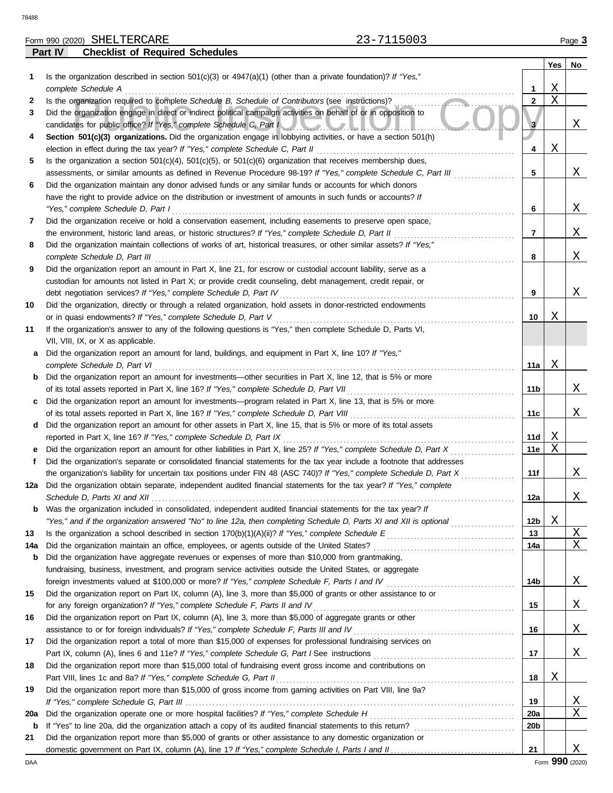78488

**Part IV Checklist of Required Schedules**

| Dort IV<br>Chacklist of Raquirad Schadulas                        |        |
|-------------------------------------------------------------------|--------|
| -7115003<br>Form 990 (2020) SHELTERCARE<br>$\sim$ $\sim$ $\prime$ | Page 3 |
|                                                                   |        |

|     |                                                                                                                                                                                                                             |                 | Yes | No                  |
|-----|-----------------------------------------------------------------------------------------------------------------------------------------------------------------------------------------------------------------------------|-----------------|-----|---------------------|
| 1   | Is the organization described in section $501(c)(3)$ or $4947(a)(1)$ (other than a private foundation)? If "Yes,"                                                                                                           |                 |     |                     |
|     | complete Schedule A                                                                                                                                                                                                         | 1               | Χ   |                     |
| 2   | Is the organization required to complete Schedule B, Schedule of Contributors (see instructions)?                                                                                                                           | $\mathbf{2}$    | X   |                     |
| 3   | Did the organization engage in direct or indirect political campaign activities on behalf of or in opposition to                                                                                                            |                 |     |                     |
|     | candidates for public office? If "Yes," complete Schedule C, Part I                                                                                                                                                         | 3               |     | X                   |
| 4   | Section 501(c)(3) organizations. Did the organization engage in lobbying activities, or have a section 501(h)                                                                                                               |                 |     |                     |
|     | election in effect during the tax year? If "Yes," complete Schedule C, Part II                                                                                                                                              | 4               | Χ   |                     |
| 5   | Is the organization a section $501(c)(4)$ , $501(c)(5)$ , or $501(c)(6)$ organization that receives membership dues,                                                                                                        |                 |     |                     |
|     | assessments, or similar amounts as defined in Revenue Procedure 98-19? If "Yes," complete Schedule C, Part III                                                                                                              | 5               |     | Χ                   |
| 6   | Did the organization maintain any donor advised funds or any similar funds or accounts for which donors                                                                                                                     |                 |     |                     |
|     | have the right to provide advice on the distribution or investment of amounts in such funds or accounts? If                                                                                                                 |                 |     |                     |
|     | "Yes," complete Schedule D, Part I                                                                                                                                                                                          | 6               |     | Χ                   |
| 7   | Did the organization receive or hold a conservation easement, including easements to preserve open space,                                                                                                                   |                 |     |                     |
|     | the environment, historic land areas, or historic structures? If "Yes," complete Schedule D, Part II<br>Did the organization maintain collections of works of art, historical treasures, or other similar assets? If "Yes," | 7               |     | Χ                   |
| 8   | complete Schedule D, Part III                                                                                                                                                                                               | 8               |     | Χ                   |
| 9   | Did the organization report an amount in Part X, line 21, for escrow or custodial account liability, serve as a                                                                                                             |                 |     |                     |
|     | custodian for amounts not listed in Part X; or provide credit counseling, debt management, credit repair, or                                                                                                                |                 |     |                     |
|     | debt negotiation services? If "Yes," complete Schedule D, Part IV                                                                                                                                                           | 9               |     | Χ                   |
| 10  | Did the organization, directly or through a related organization, hold assets in donor-restricted endowments                                                                                                                |                 |     |                     |
|     | or in quasi endowments? If "Yes," complete Schedule D, Part V                                                                                                                                                               | 10              | Χ   |                     |
| 11  | If the organization's answer to any of the following questions is "Yes," then complete Schedule D, Parts VI,                                                                                                                |                 |     |                     |
|     | VII, VIII, IX, or X as applicable.                                                                                                                                                                                          |                 |     |                     |
| a   | Did the organization report an amount for land, buildings, and equipment in Part X, line 10? If "Yes,"                                                                                                                      |                 |     |                     |
|     | complete Schedule D, Part VI                                                                                                                                                                                                | 11a             | Χ   |                     |
| b   | Did the organization report an amount for investments—other securities in Part X, line 12, that is 5% or more                                                                                                               |                 |     |                     |
|     | of its total assets reported in Part X, line 16? If "Yes," complete Schedule D, Part VII                                                                                                                                    | 11b             |     | Χ                   |
| c   | Did the organization report an amount for investments—program related in Part X, line 13, that is 5% or more                                                                                                                |                 |     |                     |
|     | of its total assets reported in Part X, line 16? If "Yes," complete Schedule D, Part VIII                                                                                                                                   | 11c             |     | Χ                   |
| d   | Did the organization report an amount for other assets in Part X, line 15, that is 5% or more of its total assets                                                                                                           |                 |     |                     |
|     | reported in Part X, line 16? If "Yes," complete Schedule D, Part IX                                                                                                                                                         | 11d             | Χ   |                     |
| е   | Did the organization report an amount for other liabilities in Part X, line 25? If "Yes," complete Schedule D, Part X                                                                                                       | 11e             | Χ   |                     |
| f   | Did the organization's separate or consolidated financial statements for the tax year include a footnote that addresses                                                                                                     |                 |     |                     |
|     | the organization's liability for uncertain tax positions under FIN 48 (ASC 740)? If "Yes," complete Schedule D, Part X                                                                                                      | 11f             |     | X                   |
| 12a | Did the organization obtain separate, independent audited financial statements for the tax year? If "Yes," complete                                                                                                         |                 |     |                     |
|     |                                                                                                                                                                                                                             | 12a             |     | X                   |
|     | <b>b</b> Was the organization included in consolidated, independent audited financial statements for the tax year? If                                                                                                       |                 |     |                     |
|     | "Yes," and if the organization answered "No" to line 12a, then completing Schedule D, Parts XI and XII is optional                                                                                                          | 12 <sub>b</sub> | Χ   |                     |
| 13  |                                                                                                                                                                                                                             | 13              |     | $\overline{X}$<br>Χ |
| 14a | Did the organization maintain an office, employees, or agents outside of the United States?<br>Did the organization have aggregate revenues or expenses of more than \$10,000 from grantmaking,                             | 14a             |     |                     |
| b   | fundraising, business, investment, and program service activities outside the United States, or aggregate                                                                                                                   |                 |     |                     |
|     | foreign investments valued at \$100,000 or more? If "Yes," complete Schedule F, Parts I and IV [[[[[[[[[[[[[[[                                                                                                              | 14b             |     | X                   |
| 15  | Did the organization report on Part IX, column (A), line 3, more than \$5,000 of grants or other assistance to or                                                                                                           |                 |     |                     |
|     | for any foreign organization? If "Yes," complete Schedule F, Parts II and IV                                                                                                                                                | 15              |     | <u>x</u>            |
| 16  | Did the organization report on Part IX, column (A), line 3, more than \$5,000 of aggregate grants or other                                                                                                                  |                 |     |                     |
|     | assistance to or for foreign individuals? If "Yes," complete Schedule F, Parts III and IV [[[[[[[[[[[[[[[[[[[                                                                                                               | 16              |     | X                   |
| 17  | Did the organization report a total of more than \$15,000 of expenses for professional fundraising services on                                                                                                              |                 |     |                     |
|     |                                                                                                                                                                                                                             | 17              |     | X                   |
| 18  | Did the organization report more than \$15,000 total of fundraising event gross income and contributions on                                                                                                                 |                 |     |                     |
|     |                                                                                                                                                                                                                             | 18              | Χ   |                     |
| 19  | Did the organization report more than \$15,000 of gross income from gaming activities on Part VIII, line 9a?                                                                                                                |                 |     |                     |
|     |                                                                                                                                                                                                                             | 19              |     | <u>X</u>            |
| 20a |                                                                                                                                                                                                                             | <b>20a</b>      |     | Χ                   |
| b   |                                                                                                                                                                                                                             | 20b             |     |                     |
| 21  | Did the organization report more than \$5,000 of grants or other assistance to any domestic organization or                                                                                                                 |                 |     |                     |
|     |                                                                                                                                                                                                                             | 21              |     | Χ                   |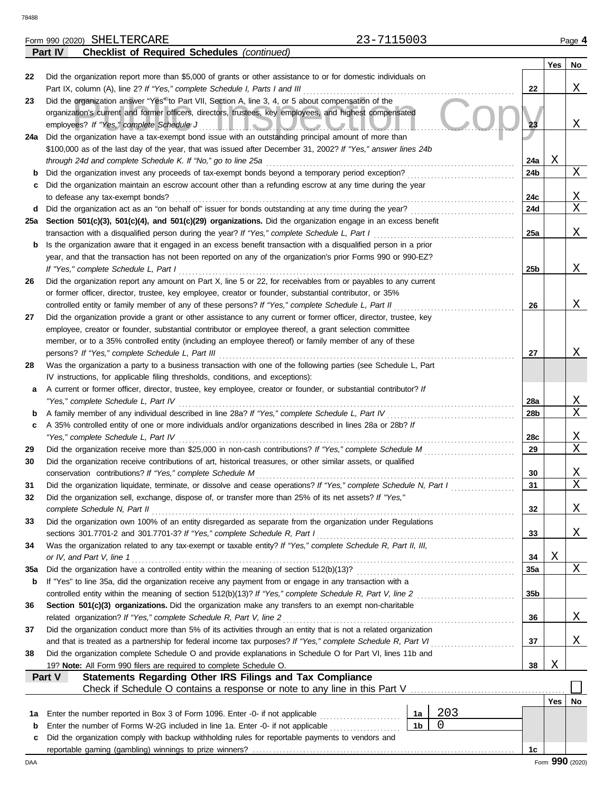**Part IV Checklist of Required Schedules** *(continued)*

|          |                                                                                                                                                                                 |                |     |                 | <b>Yes</b> | No              |
|----------|---------------------------------------------------------------------------------------------------------------------------------------------------------------------------------|----------------|-----|-----------------|------------|-----------------|
| 22       | Did the organization report more than \$5,000 of grants or other assistance to or for domestic individuals on                                                                   |                |     |                 |            |                 |
|          | Part IX, column (A), line 2? If "Yes," complete Schedule I, Parts I and III                                                                                                     |                |     | 22              |            | Χ               |
| 23       | Did the organization answer "Yes" to Part VII, Section A, line 3, 4, or 5 about compensation of the                                                                             |                |     |                 |            |                 |
|          | organization's current and former officers, directors, trustees, key employees, and highest compensated                                                                         |                |     |                 |            |                 |
|          | employees? If "Yes," complete Schedule J<br><u>IIIOUUUU</u>                                                                                                                     |                |     | 23              |            | Χ               |
| 24a      | Did the organization have a tax-exempt bond issue with an outstanding principal amount of more than                                                                             |                |     |                 |            |                 |
|          | \$100,000 as of the last day of the year, that was issued after December 31, 2002? If "Yes," answer lines 24b                                                                   |                |     |                 | Χ          |                 |
| b        | through 24d and complete Schedule K. If "No," go to line 25a<br>Did the organization invest any proceeds of tax-exempt bonds beyond a temporary period exception?               |                |     | 24a<br>24b      |            | X               |
| c        | Did the organization maintain an escrow account other than a refunding escrow at any time during the year                                                                       |                |     |                 |            |                 |
|          | to defease any tax-exempt bonds?                                                                                                                                                |                |     | 24c             |            | Χ               |
| d        |                                                                                                                                                                                 |                |     | 24d             |            | X               |
| 25a      | Section 501(c)(3), 501(c)(4), and 501(c)(29) organizations. Did the organization engage in an excess benefit                                                                    |                |     |                 |            |                 |
|          | transaction with a disqualified person during the year? If "Yes," complete Schedule L, Part I                                                                                   |                |     | 25a             |            | Χ               |
| b        | Is the organization aware that it engaged in an excess benefit transaction with a disqualified person in a prior                                                                |                |     |                 |            |                 |
|          | year, and that the transaction has not been reported on any of the organization's prior Forms 990 or 990-EZ?                                                                    |                |     |                 |            |                 |
|          | If "Yes," complete Schedule L, Part I                                                                                                                                           |                |     | 25b             |            | Χ               |
| 26       | Did the organization report any amount on Part X, line 5 or 22, for receivables from or payables to any current                                                                 |                |     |                 |            |                 |
|          | or former officer, director, trustee, key employee, creator or founder, substantial contributor, or 35%                                                                         |                |     |                 |            |                 |
|          | controlled entity or family member of any of these persons? If "Yes," complete Schedule L, Part II                                                                              |                |     | 26              |            | Χ               |
| 27       | Did the organization provide a grant or other assistance to any current or former officer, director, trustee, key                                                               |                |     |                 |            |                 |
|          | employee, creator or founder, substantial contributor or employee thereof, a grant selection committee                                                                          |                |     |                 |            |                 |
|          | member, or to a 35% controlled entity (including an employee thereof) or family member of any of these<br>persons? If "Yes," complete Schedule L, Part III                      |                |     | 27              |            | Χ               |
| 28       | Was the organization a party to a business transaction with one of the following parties (see Schedule L, Part                                                                  |                |     |                 |            |                 |
|          | IV instructions, for applicable filing thresholds, conditions, and exceptions):                                                                                                 |                |     |                 |            |                 |
| а        | A current or former officer, director, trustee, key employee, creator or founder, or substantial contributor? If                                                                |                |     |                 |            |                 |
|          | "Yes," complete Schedule L, Part IV                                                                                                                                             |                |     | 28a             |            | X               |
| b        |                                                                                                                                                                                 |                |     | 28b             |            | X               |
| c        | A 35% controlled entity of one or more individuals and/or organizations described in lines 28a or 28b? If                                                                       |                |     |                 |            |                 |
|          | "Yes," complete Schedule L, Part IV                                                                                                                                             |                |     | 28c             |            | X               |
| 29       | Did the organization receive more than \$25,000 in non-cash contributions? If "Yes," complete Schedule M                                                                        |                |     | 29              |            | X               |
| 30       | Did the organization receive contributions of art, historical treasures, or other similar assets, or qualified                                                                  |                |     |                 |            |                 |
|          | conservation contributions? If "Yes," complete Schedule M<br>Did the organization liquidate, terminate, or dissolve and cease operations? If "Yes," complete Schedule N, Part I |                |     | 30<br>31        |            | X<br>Χ          |
| 31<br>32 | Did the organization sell, exchange, dispose of, or transfer more than 25% of its net assets? If "Yes,"                                                                         |                |     |                 |            |                 |
|          | complete Schedule N, Part II                                                                                                                                                    |                |     | 32              |            | Χ               |
| 33       | Did the organization own 100% of an entity disregarded as separate from the organization under Regulations                                                                      |                |     |                 |            |                 |
|          | sections 301.7701-2 and 301.7701-3? If "Yes," complete Schedule R, Part I                                                                                                       |                |     | 33              |            | X               |
| 34       | Was the organization related to any tax-exempt or taxable entity? If "Yes," complete Schedule R, Part II, III,                                                                  |                |     |                 |            |                 |
|          | or IV, and Part V, line 1                                                                                                                                                       |                |     | 34              | Χ          |                 |
| 35a      |                                                                                                                                                                                 |                |     | <b>35a</b>      |            | Χ               |
| b        | If "Yes" to line 35a, did the organization receive any payment from or engage in any transaction with a                                                                         |                |     |                 |            |                 |
|          |                                                                                                                                                                                 |                |     | 35 <sub>b</sub> |            |                 |
| 36       | Section 501(c)(3) organizations. Did the organization make any transfers to an exempt non-charitable                                                                            |                |     |                 |            |                 |
|          | related organization? If "Yes," complete Schedule R, Part V, line 2                                                                                                             |                |     | 36              |            | X               |
| 37       | Did the organization conduct more than 5% of its activities through an entity that is not a related organization                                                                |                |     |                 |            |                 |
| 38       | Did the organization complete Schedule O and provide explanations in Schedule O for Part VI, lines 11b and                                                                      |                |     | 37              |            | X               |
|          | 19? Note: All Form 990 filers are required to complete Schedule O.                                                                                                              |                |     | 38              | Χ          |                 |
|          | Statements Regarding Other IRS Filings and Tax Compliance<br>Part V                                                                                                             |                |     |                 |            |                 |
|          | Check if Schedule O contains a response or note to any line in this Part V                                                                                                      |                |     |                 |            |                 |
|          |                                                                                                                                                                                 |                |     |                 | <b>Yes</b> | No              |
| 1a       | Enter the number reported in Box 3 of Form 1096. Enter -0- if not applicable                                                                                                    | 1a             | 203 |                 |            |                 |
| b        | Enter the number of Forms W-2G included in line 1a. Enter -0- if not applicable                                                                                                 | 1 <sub>b</sub> | 0   |                 |            |                 |
| c        | Did the organization comply with backup withholding rules for reportable payments to vendors and                                                                                |                |     |                 |            |                 |
|          |                                                                                                                                                                                 |                |     | 1c              |            |                 |
| DAA      |                                                                                                                                                                                 |                |     |                 |            | Form 990 (2020) |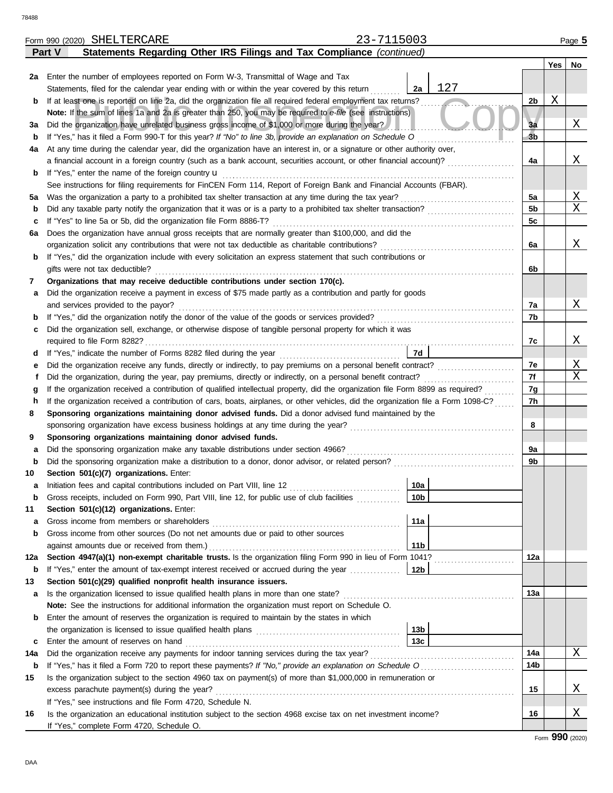|        | 23-7115003<br>Form 990 (2020) SHELTERCARE                                                                                          |                 |                     | Page 5 |
|--------|------------------------------------------------------------------------------------------------------------------------------------|-----------------|---------------------|--------|
|        | Statements Regarding Other IRS Filings and Tax Compliance (continued)<br>Part V                                                    |                 |                     |        |
|        |                                                                                                                                    |                 | Yes                 | No     |
| 2a     | Enter the number of employees reported on Form W-3, Transmittal of Wage and Tax                                                    |                 |                     |        |
|        | Statements, filed for the calendar year ending with or within the year covered by this return                                      | 127<br>2a       |                     |        |
| b      | If at least one is reported on line 2a, did the organization file all required federal employment tax returns?                     |                 | Χ<br>2 <sub>b</sub> |        |
|        | Note: If the sum of lines 1a and 2a is greater than 250, you may be required to e-file (see instructions)                          |                 |                     |        |
| За     | Did the organization have unrelated business gross income of \$1,000 or more during the year?                                      |                 | 3a                  | Χ      |
| b      | If "Yes," has it filed a Form 990-T for this year? If "No" to line 3b, provide an explanation on Schedule O                        |                 | 3 <sub>b</sub>      |        |
| 4a     | At any time during the calendar year, did the organization have an interest in, or a signature or other authority over,            |                 |                     |        |
|        | a financial account in a foreign country (such as a bank account, securities account, or other financial account)?                 |                 | 4a                  | Χ      |
| b      | If "Yes," enter the name of the foreign country <b>u</b>                                                                           |                 |                     |        |
|        | See instructions for filing requirements for FinCEN Form 114, Report of Foreign Bank and Financial Accounts (FBAR).                |                 |                     |        |
| 5a     | Was the organization a party to a prohibited tax shelter transaction at any time during the tax year?                              |                 | 5a                  | Χ      |
| b      |                                                                                                                                    |                 | 5b                  | X      |
| c      | If "Yes" to line 5a or 5b, did the organization file Form 8886-T?                                                                  |                 | 5c                  |        |
| 6а     | Does the organization have annual gross receipts that are normally greater than \$100,000, and did the                             |                 |                     |        |
|        | organization solicit any contributions that were not tax deductible as charitable contributions?                                   |                 | 6a                  | Χ      |
| b      | If "Yes," did the organization include with every solicitation an express statement that such contributions or                     |                 |                     |        |
|        | gifts were not tax deductible?                                                                                                     |                 | 6b                  |        |
| 7      | Organizations that may receive deductible contributions under section 170(c).                                                      |                 |                     |        |
| а      | Did the organization receive a payment in excess of \$75 made partly as a contribution and partly for goods                        |                 |                     |        |
|        | and services provided to the payor?                                                                                                |                 | 7a                  | Χ      |
| b      |                                                                                                                                    |                 | 7b                  |        |
| c      | Did the organization sell, exchange, or otherwise dispose of tangible personal property for which it was                           |                 |                     |        |
|        |                                                                                                                                    |                 | 7c                  | Χ      |
|        |                                                                                                                                    | 7d              |                     |        |
| d      |                                                                                                                                    |                 | 7e                  | Χ      |
| е<br>f | Did the organization, during the year, pay premiums, directly or indirectly, on a personal benefit contract?                       | 7f              |                     | X      |
|        | If the organization received a contribution of qualified intellectual property, did the organization file Form 8899 as required?   |                 | 7g                  |        |
| g      | If the organization received a contribution of cars, boats, airplanes, or other vehicles, did the organization file a Form 1098-C? |                 | 7h                  |        |
| h<br>8 | Sponsoring organizations maintaining donor advised funds. Did a donor advised fund maintained by the                               |                 |                     |        |
|        |                                                                                                                                    |                 | 8                   |        |
|        | Sponsoring organizations maintaining donor advised funds.                                                                          |                 |                     |        |
| 9      | Did the sponsoring organization make any taxable distributions under section 4966?                                                 |                 | 9a                  |        |
| а      |                                                                                                                                    |                 | 9b                  |        |
| b      | Section 501(c)(7) organizations. Enter:                                                                                            |                 |                     |        |
| 10     |                                                                                                                                    | 10a             |                     |        |
|        | Initiation fees and capital contributions included on Part VIII, line 12 [11] [11] [11] [12] [11] [11] [12] [1                     |                 |                     |        |
| b      | Gross receipts, included on Form 990, Part VIII, line 12, for public use of club facilities                                        | 10 <sub>b</sub> |                     |        |
| 11     | Section 501(c)(12) organizations. Enter:                                                                                           |                 |                     |        |
| а      | Gross income from members or shareholders                                                                                          | 11a             |                     |        |
| b      | Gross income from other sources (Do not net amounts due or paid to other sources                                                   |                 |                     |        |
|        | against amounts due or received from them.)                                                                                        | 11 <sub>b</sub> |                     |        |
| 12a    | Section 4947(a)(1) non-exempt charitable trusts. Is the organization filing Form 990 in lieu of Form 1041?                         |                 | 12a                 |        |
| b      | If "Yes," enter the amount of tax-exempt interest received or accrued during the year                                              | 12b             |                     |        |
| 13     | Section 501(c)(29) qualified nonprofit health insurance issuers.                                                                   |                 |                     |        |
| а      | Is the organization licensed to issue qualified health plans in more than one state?                                               |                 | 13a                 |        |
|        | Note: See the instructions for additional information the organization must report on Schedule O.                                  |                 |                     |        |
| b      | Enter the amount of reserves the organization is required to maintain by the states in which                                       |                 |                     |        |
|        |                                                                                                                                    | 13 <sub>b</sub> |                     |        |
| c      | Enter the amount of reserves on hand                                                                                               | 13c             |                     |        |
| 14a    | Did the organization receive any payments for indoor tanning services during the tax year?                                         |                 | 14a                 | X      |
| b      | If "Yes," has it filed a Form 720 to report these payments? If "No," provide an explanation on Schedule O                          |                 | 14b                 |        |
| 15     | Is the organization subject to the section 4960 tax on payment(s) of more than \$1,000,000 in remuneration or                      |                 |                     |        |
|        | excess parachute payment(s) during the year?                                                                                       |                 | 15                  | Χ      |
|        | If "Yes," see instructions and file Form 4720, Schedule N.                                                                         |                 |                     |        |
| 16     | Is the organization an educational institution subject to the section 4968 excise tax on net investment income?                    |                 | 16                  | Χ      |
|        | If "Yes," complete Form 4720, Schedule O.                                                                                          |                 |                     |        |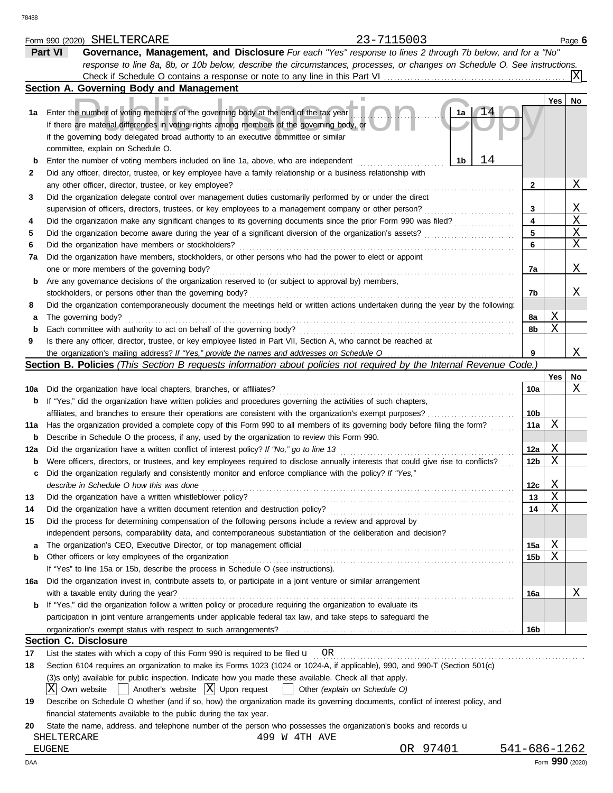|             | 23-7115003<br>Form 990 (2020) SHELTERCARE                                                                                           |                 |        | Page 6          |
|-------------|-------------------------------------------------------------------------------------------------------------------------------------|-----------------|--------|-----------------|
|             | Governance, Management, and Disclosure For each "Yes" response to lines 2 through 7b below, and for a "No"<br>Part VI               |                 |        |                 |
|             | response to line 8a, 8b, or 10b below, describe the circumstances, processes, or changes on Schedule O. See instructions.           |                 |        |                 |
|             | Check if Schedule O contains a response or note to any line in this Part VI                                                         |                 |        | X               |
|             | Section A. Governing Body and Management                                                                                            |                 |        |                 |
|             |                                                                                                                                     |                 | Yes    | <b>No</b>       |
| 1а          | $\Delta$ <sup>1</sup><br>Enter the number of voting members of the governing body at the end of the tax year<br>1a                  |                 |        |                 |
|             | If there are material differences in voting rights among members of the governing body, or                                          |                 |        |                 |
|             | if the governing body delegated broad authority to an executive committee or similar                                                |                 |        |                 |
|             | committee, explain on Schedule O.                                                                                                   |                 |        |                 |
| $\mathbf b$ | 14<br>Enter the number of voting members included on line 1a, above, who are independent<br>1b                                      |                 |        |                 |
| 2           | Did any officer, director, trustee, or key employee have a family relationship or a business relationship with                      |                 |        |                 |
|             | any other officer, director, trustee, or key employee?                                                                              | 2               |        | Χ               |
| 3           | Did the organization delegate control over management duties customarily performed by or under the direct                           |                 |        |                 |
|             | supervision of officers, directors, trustees, or key employees to a management company or other person?                             | 3               |        | Χ               |
| 4           | Did the organization make any significant changes to its governing documents since the prior Form 990 was filed?                    | 4               |        | X               |
| 5           | Did the organization become aware during the year of a significant diversion of the organization's assets?                          | 5               |        | Χ               |
| 6           | Did the organization have members or stockholders?                                                                                  | 6               |        | Χ               |
| 7a          | Did the organization have members, stockholders, or other persons who had the power to elect or appoint                             |                 |        |                 |
|             | one or more members of the governing body?                                                                                          | 7a              |        | Χ               |
| b           | Are any governance decisions of the organization reserved to (or subject to approval by) members,                                   |                 |        |                 |
|             | stockholders, or persons other than the governing body?                                                                             | 7b              |        | Χ               |
| 8           | Did the organization contemporaneously document the meetings held or written actions undertaken during the year by the following:   |                 |        |                 |
| а           | The governing body?                                                                                                                 | 8a              | Χ      |                 |
| b           | Each committee with authority to act on behalf of the governing body?                                                               | 8b              | Χ      |                 |
| 9           | Is there any officer, director, trustee, or key employee listed in Part VII, Section A, who cannot be reached at                    |                 |        |                 |
|             |                                                                                                                                     | 9               |        | Χ               |
|             | Section B. Policies (This Section B requests information about policies not required by the Internal Revenue Code.)                 |                 |        |                 |
|             |                                                                                                                                     |                 | Yes    | No              |
| 10a         | Did the organization have local chapters, branches, or affiliates?                                                                  | 10a             |        | Χ               |
|             | If "Yes," did the organization have written policies and procedures governing the activities of such chapters,                      |                 |        |                 |
| b           |                                                                                                                                     | 10 <sub>b</sub> |        |                 |
|             | affiliates, and branches to ensure their operations are consistent with the organization's exempt purposes?                         | 11a             | Χ      |                 |
| 11a         | Has the organization provided a complete copy of this Form 990 to all members of its governing body before filing the form?         |                 |        |                 |
| b           | Describe in Schedule O the process, if any, used by the organization to review this Form 990.                                       |                 | Χ      |                 |
| 12a         | Did the organization have a written conflict of interest policy? If "No," go to line 13                                             | 12a             | Χ      |                 |
| b           | Were officers, directors, or trustees, and key employees required to disclose annually interests that could give rise to conflicts? | 12 <sub>b</sub> |        |                 |
| c           | Did the organization regularly and consistently monitor and enforce compliance with the policy? If "Yes,"                           |                 |        |                 |
|             | describe in Schedule O how this was done                                                                                            | 12c             | Χ<br>X |                 |
| 13          | Did the organization have a written whistleblower policy?                                                                           | 13              | Χ      |                 |
| 14          | Did the organization have a written document retention and destruction policy?                                                      | 14              |        |                 |
| 15          | Did the process for determining compensation of the following persons include a review and approval by                              |                 |        |                 |
|             | independent persons, comparability data, and contemporaneous substantiation of the deliberation and decision?                       |                 |        |                 |
| a           |                                                                                                                                     | 15a             | Χ      |                 |
| b           | Other officers or key employees of the organization                                                                                 | 15b             | Χ      |                 |
|             | If "Yes" to line 15a or 15b, describe the process in Schedule O (see instructions).                                                 |                 |        |                 |
| 16a         | Did the organization invest in, contribute assets to, or participate in a joint venture or similar arrangement                      |                 |        |                 |
|             | with a taxable entity during the year?                                                                                              | 16a             |        | Χ               |
| b           | If "Yes," did the organization follow a written policy or procedure requiring the organization to evaluate its                      |                 |        |                 |
|             | participation in joint venture arrangements under applicable federal tax law, and take steps to safeguard the                       |                 |        |                 |
|             |                                                                                                                                     | 16b             |        |                 |
|             | <b>Section C. Disclosure</b>                                                                                                        |                 |        |                 |
| 17          | List the states with which a copy of this Form 990 is required to be filed $\mathbf{u}$ OR                                          |                 |        |                 |
| 18          | Section 6104 requires an organization to make its Forms 1023 (1024 or 1024-A, if applicable), 990, and 990-T (Section 501(c)        |                 |        |                 |
|             | (3)s only) available for public inspection. Indicate how you made these available. Check all that apply.                            |                 |        |                 |
|             | X Own website<br>$\vert$ Another's website $\vert X \vert$ Upon request<br>Other (explain on Schedule O)                            |                 |        |                 |
| 19          | Describe on Schedule O whether (and if so, how) the organization made its governing documents, conflict of interest policy, and     |                 |        |                 |
|             | financial statements available to the public during the tax year.                                                                   |                 |        |                 |
| 20          | State the name, address, and telephone number of the person who possesses the organization's books and records u                    |                 |        |                 |
|             | SHELTERCARE<br>499 W 4TH AVE                                                                                                        |                 |        |                 |
|             | OR 97401<br><b>EUGENE</b>                                                                                                           | 541-686-1262    |        |                 |
| DAA         |                                                                                                                                     |                 |        | Form 990 (2020) |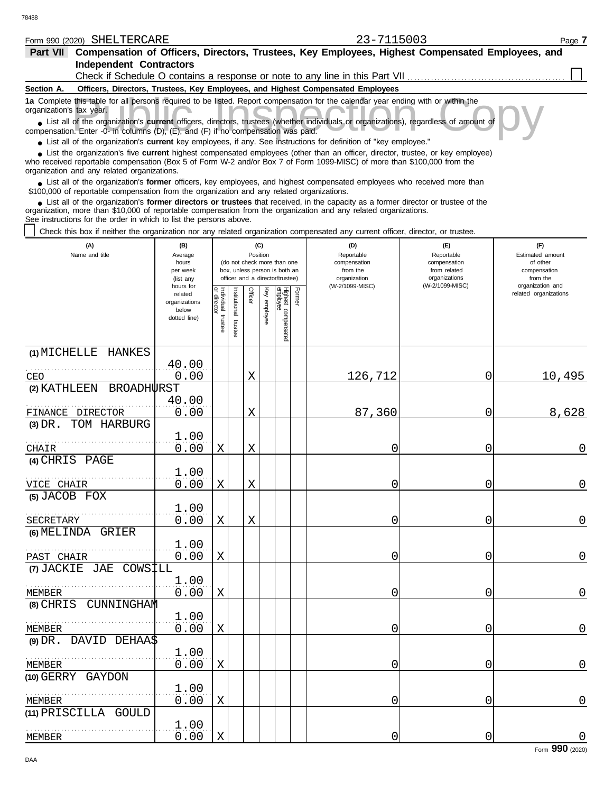| -<br>Form 990<br>(2020) | CUTT TTDCADE<br>ת ס.<br><b>DRELIERUARE</b> | $-$ - - - - $-$<br>∴ OUC<br>-- | Page |
|-------------------------|--------------------------------------------|--------------------------------|------|
|                         |                                            |                                |      |

| Part VII Compensation of Officers, Directors, Trustees, Key Employees, Highest Compensated Employees, and<br><b>Independent Contractors</b>                                                                                                                                                                                 |                                                                |                           |                                                                                                                    |         |                 |                                 |        |                                                                                 |                                                                    |                                                                 |
|-----------------------------------------------------------------------------------------------------------------------------------------------------------------------------------------------------------------------------------------------------------------------------------------------------------------------------|----------------------------------------------------------------|---------------------------|--------------------------------------------------------------------------------------------------------------------|---------|-----------------|---------------------------------|--------|---------------------------------------------------------------------------------|--------------------------------------------------------------------|-----------------------------------------------------------------|
|                                                                                                                                                                                                                                                                                                                             |                                                                |                           |                                                                                                                    |         |                 |                                 |        | Check if Schedule O contains a response or note to any line in this Part VII    |                                                                    |                                                                 |
| Section A.                                                                                                                                                                                                                                                                                                                  |                                                                |                           |                                                                                                                    |         |                 |                                 |        | Officers, Directors, Trustees, Key Employees, and Highest Compensated Employees |                                                                    |                                                                 |
| 1a Complete this table for all persons required to be listed. Report compensation for the calendar year ending with or within the<br>organization's tax year.                                                                                                                                                               |                                                                |                           |                                                                                                                    |         |                 |                                 |        |                                                                                 |                                                                    |                                                                 |
| List all of the organization's current officers, directors, trustees (whether individuals or organizations), regardless of amount of<br>compensation. Enter -0- in columns (D), (E), and (F) if no compensation was paid.                                                                                                   |                                                                |                           |                                                                                                                    |         |                 |                                 |        |                                                                                 |                                                                    |                                                                 |
| • List all of the organization's current key employees, if any. See instructions for definition of "key employee."                                                                                                                                                                                                          |                                                                |                           |                                                                                                                    |         |                 |                                 |        |                                                                                 |                                                                    |                                                                 |
| List the organization's five current highest compensated employees (other than an officer, director, trustee, or key employee)<br>who received reportable compensation (Box 5 of Form W-2 and/or Box 7 of Form 1099-MISC) of more than \$100,000 from the<br>organization and any related organizations.                    |                                                                |                           |                                                                                                                    |         |                 |                                 |        |                                                                                 |                                                                    |                                                                 |
| • List all of the organization's former officers, key employees, and highest compensated employees who received more than<br>\$100,000 of reportable compensation from the organization and any related organizations.                                                                                                      |                                                                |                           |                                                                                                                    |         |                 |                                 |        |                                                                                 |                                                                    |                                                                 |
| List all of the organization's former directors or trustees that received, in the capacity as a former director or trustee of the<br>organization, more than \$10,000 of reportable compensation from the organization and any related organizations.<br>See instructions for the order in which to list the persons above. |                                                                |                           |                                                                                                                    |         |                 |                                 |        |                                                                                 |                                                                    |                                                                 |
| Check this box if neither the organization nor any related organization compensated any current officer, director, or trustee.                                                                                                                                                                                              |                                                                |                           |                                                                                                                    |         |                 |                                 |        |                                                                                 |                                                                    |                                                                 |
| (A)<br>Name and title                                                                                                                                                                                                                                                                                                       | (B)<br>Average<br>hours<br>per week<br>(list any               |                           | (C)<br>Position<br>(do not check more than one<br>box, unless person is both an<br>officer and a director/trustee) |         |                 |                                 |        | (D)<br>Reportable<br>compensation<br>from the<br>organization                   | (E)<br>Reportable<br>compensation<br>from related<br>organizations | (F)<br>Estimated amount<br>of other<br>compensation<br>from the |
|                                                                                                                                                                                                                                                                                                                             | hours for<br>related<br>organizations<br>below<br>dotted line) | Individual<br>or director | Institutional                                                                                                      | Officer | Ķey<br>employee | Highest compensatec<br>employee | Former | (W-2/1099-MISC)                                                                 | (W-2/1099-MISC)                                                    | organization and<br>related organizations                       |
|                                                                                                                                                                                                                                                                                                                             |                                                                | trustee                   | trustee                                                                                                            |         |                 |                                 |        |                                                                                 |                                                                    |                                                                 |
| (1) MICHELLE<br>HANKES                                                                                                                                                                                                                                                                                                      |                                                                |                           |                                                                                                                    |         |                 |                                 |        |                                                                                 |                                                                    |                                                                 |
| CEO                                                                                                                                                                                                                                                                                                                         | 40.00<br>0.00                                                  |                           |                                                                                                                    | Χ       |                 |                                 |        | 126,712                                                                         | 0                                                                  | 10,495                                                          |
| (2) KATHLEEN<br><b>BROADHURST</b>                                                                                                                                                                                                                                                                                           |                                                                |                           |                                                                                                                    |         |                 |                                 |        |                                                                                 |                                                                    |                                                                 |
|                                                                                                                                                                                                                                                                                                                             | 40.00                                                          |                           |                                                                                                                    |         |                 |                                 |        |                                                                                 |                                                                    |                                                                 |
| FINANCE DIRECTOR                                                                                                                                                                                                                                                                                                            | 0.00                                                           |                           |                                                                                                                    | Χ       |                 |                                 |        | 87,360                                                                          | 0                                                                  | 8,628                                                           |
| $(3)$ DR.<br>TOM HARBURG                                                                                                                                                                                                                                                                                                    | 1.00                                                           |                           |                                                                                                                    |         |                 |                                 |        |                                                                                 |                                                                    |                                                                 |
| CHAIR                                                                                                                                                                                                                                                                                                                       | 0.00                                                           | Χ                         |                                                                                                                    | Χ       |                 |                                 |        | 0                                                                               | 0                                                                  | 0                                                               |
| (4) CHRIS PAGE                                                                                                                                                                                                                                                                                                              |                                                                |                           |                                                                                                                    |         |                 |                                 |        |                                                                                 |                                                                    |                                                                 |
| VICE CHAIR                                                                                                                                                                                                                                                                                                                  | 1.00<br>0.00                                                   | Χ                         |                                                                                                                    | Χ       |                 |                                 |        | 0                                                                               | 0                                                                  | 0                                                               |
| (5) JACOB FOX                                                                                                                                                                                                                                                                                                               |                                                                |                           |                                                                                                                    |         |                 |                                 |        |                                                                                 |                                                                    |                                                                 |
|                                                                                                                                                                                                                                                                                                                             | 1.00                                                           |                           |                                                                                                                    |         |                 |                                 |        |                                                                                 |                                                                    |                                                                 |
| SECRETARY<br>(6) MELINDA GRIER                                                                                                                                                                                                                                                                                              | 0.00                                                           | Χ                         |                                                                                                                    | Χ       |                 |                                 |        | 0                                                                               | 0                                                                  | $\overline{0}$                                                  |
|                                                                                                                                                                                                                                                                                                                             | 1.00                                                           |                           |                                                                                                                    |         |                 |                                 |        |                                                                                 |                                                                    |                                                                 |
| PAST CHAIR                                                                                                                                                                                                                                                                                                                  | 0.00                                                           | Χ                         |                                                                                                                    |         |                 |                                 |        | 0                                                                               | 0                                                                  | $\overline{0}$                                                  |
| (7) JACKIE JAE COWSILL                                                                                                                                                                                                                                                                                                      |                                                                |                           |                                                                                                                    |         |                 |                                 |        |                                                                                 |                                                                    |                                                                 |
| MEMBER                                                                                                                                                                                                                                                                                                                      | 1.00<br>0.00                                                   | Χ                         |                                                                                                                    |         |                 |                                 |        | 0                                                                               | 0                                                                  | $\mathbf 0$                                                     |
| (8) CHRIS CUNNINGHAM                                                                                                                                                                                                                                                                                                        |                                                                |                           |                                                                                                                    |         |                 |                                 |        |                                                                                 |                                                                    |                                                                 |
|                                                                                                                                                                                                                                                                                                                             | 1.00                                                           |                           |                                                                                                                    |         |                 |                                 |        |                                                                                 |                                                                    |                                                                 |
| MEMBER                                                                                                                                                                                                                                                                                                                      | 0.00                                                           | Χ                         |                                                                                                                    |         |                 |                                 |        | 0                                                                               | 0                                                                  | $\overline{0}$                                                  |
| (9) DR. DAVID DEHAA\$                                                                                                                                                                                                                                                                                                       | 1.00                                                           |                           |                                                                                                                    |         |                 |                                 |        |                                                                                 |                                                                    |                                                                 |
| <b>MEMBER</b>                                                                                                                                                                                                                                                                                                               | 0.00                                                           | Χ                         |                                                                                                                    |         |                 |                                 |        | 0                                                                               | 0                                                                  | $\overline{0}$                                                  |
| (10) GERRY GAYDON                                                                                                                                                                                                                                                                                                           |                                                                |                           |                                                                                                                    |         |                 |                                 |        |                                                                                 |                                                                    |                                                                 |
|                                                                                                                                                                                                                                                                                                                             | 1.00                                                           |                           |                                                                                                                    |         |                 |                                 |        |                                                                                 |                                                                    |                                                                 |

0.00 X 0 0 0 0 0 0

MEMBER

MEMBER

**(11)** PRISCILLA GOULD

. . . . . . . . . . . . . . . . . . . . . . . . . . . . . . . . . . . . . . . . . . . . . . . . . . . . . . .

1.00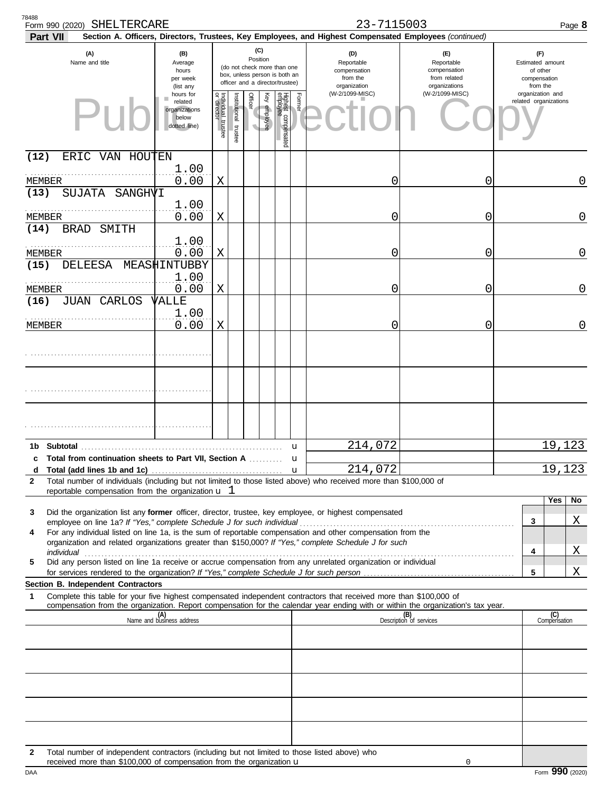| 78488<br>23-7115003<br>Form 990 (2020) SHELTERCARE<br>Section A. Officers, Directors, Trustees, Key Employees, and Highest Compensated Employees (continued)<br>Part VII                                                                                                                                                                |                                                                |                         |                       |                 |              | Page 8                                                                                          |        |                                                               |                                                                    |                                                                 |              |
|-----------------------------------------------------------------------------------------------------------------------------------------------------------------------------------------------------------------------------------------------------------------------------------------------------------------------------------------|----------------------------------------------------------------|-------------------------|-----------------------|-----------------|--------------|-------------------------------------------------------------------------------------------------|--------|---------------------------------------------------------------|--------------------------------------------------------------------|-----------------------------------------------------------------|--------------|
| (A)<br>Name and title                                                                                                                                                                                                                                                                                                                   | (B)<br>Average<br>hours<br>per week<br>(list any               |                         |                       | (C)<br>Position |              | (do not check more than one<br>box, unless person is both an<br>officer and a director/trustee) |        | (D)<br>Reportable<br>compensation<br>from the<br>organization | (F)<br>Reportable<br>compensation<br>from related<br>organizations | (F)<br>Estimated amount<br>of other<br>compensation<br>from the |              |
|                                                                                                                                                                                                                                                                                                                                         | hours for<br>related<br>organizations<br>below<br>dotted line) | Individual 1<br>trustee | Institutional trustee | Officer         | Key employee | Highest compensated<br>employee                                                                 | Former | (W-2/1099-MISC)                                               | (W-2/1099-MISC)                                                    | organization and<br>related organizations                       |              |
| (12)<br>ERIC VAN HOUTEN                                                                                                                                                                                                                                                                                                                 |                                                                |                         |                       |                 |              |                                                                                                 |        |                                                               |                                                                    |                                                                 |              |
| MEMBER<br>(13)<br><b>SUJATA</b><br>SANGHVI                                                                                                                                                                                                                                                                                              | 1.00<br>0.00                                                   | Χ                       |                       |                 |              |                                                                                                 |        | C                                                             | 0                                                                  |                                                                 | 0            |
| MEMBER                                                                                                                                                                                                                                                                                                                                  | 1.00<br>0.00                                                   | X                       |                       |                 |              |                                                                                                 |        | C                                                             | 0                                                                  |                                                                 | 0            |
| (14)<br><b>BRAD</b><br>SMITH                                                                                                                                                                                                                                                                                                            | 1.00                                                           |                         |                       |                 |              |                                                                                                 |        |                                                               |                                                                    |                                                                 |              |
| MEMBER<br>(15)<br><b>DELEESA</b>                                                                                                                                                                                                                                                                                                        | 0.00<br>MEASHINTUBBY                                           | X                       |                       |                 |              |                                                                                                 |        | 0                                                             | 0                                                                  |                                                                 | 0            |
|                                                                                                                                                                                                                                                                                                                                         | 1.00<br>0.00                                                   |                         |                       |                 |              |                                                                                                 |        |                                                               |                                                                    |                                                                 |              |
| MEMBER<br>(16)<br><b>JUAN CARLOS</b>                                                                                                                                                                                                                                                                                                    | VALLE                                                          | X                       |                       |                 |              |                                                                                                 |        | 0                                                             | 0                                                                  |                                                                 | 0            |
| MEMBER                                                                                                                                                                                                                                                                                                                                  | 1.00<br>0.00                                                   | Χ                       |                       |                 |              |                                                                                                 |        | 0                                                             | 0                                                                  |                                                                 | 0            |
|                                                                                                                                                                                                                                                                                                                                         |                                                                |                         |                       |                 |              |                                                                                                 |        |                                                               |                                                                    |                                                                 |              |
|                                                                                                                                                                                                                                                                                                                                         |                                                                |                         |                       |                 |              |                                                                                                 |        |                                                               |                                                                    |                                                                 |              |
| Subtotal<br>1b.                                                                                                                                                                                                                                                                                                                         |                                                                |                         |                       |                 |              | u                                                                                               |        | 214,072                                                       |                                                                    | 19,123                                                          |              |
| c Total from continuation sheets to Part VII, Section A<br>Total (add lines 1b and 1c)<br>d                                                                                                                                                                                                                                             |                                                                |                         |                       |                 |              | $\mathbf u$                                                                                     | u      | 214,072                                                       |                                                                    | 19,123                                                          |              |
| Total number of individuals (including but not limited to those listed above) who received more than \$100,000 of<br>$\mathbf{2}$<br>reportable compensation from the organization $\mathbf{u}$ 1                                                                                                                                       |                                                                |                         |                       |                 |              |                                                                                                 |        |                                                               |                                                                    |                                                                 |              |
| Did the organization list any former officer, director, trustee, key employee, or highest compensated<br>3<br>For any individual listed on line 1a, is the sum of reportable compensation and other compensation from the<br>4<br>organization and related organizations greater than \$150,000? If "Yes," complete Schedule J for such |                                                                |                         |                       |                 |              |                                                                                                 |        |                                                               |                                                                    | Yes<br>3<br>4                                                   | No<br>Χ<br>Χ |
| Did any person listed on line 1a receive or accrue compensation from any unrelated organization or individual<br>5                                                                                                                                                                                                                      |                                                                |                         |                       |                 |              |                                                                                                 |        |                                                               |                                                                    | 5                                                               | Χ            |
| Section B. Independent Contractors                                                                                                                                                                                                                                                                                                      |                                                                |                         |                       |                 |              |                                                                                                 |        |                                                               |                                                                    |                                                                 |              |
| Complete this table for your five highest compensated independent contractors that received more than \$100,000 of<br>1<br>compensation from the organization. Report compensation for the calendar year ending with or within the organization's tax year.                                                                             |                                                                |                         |                       |                 |              |                                                                                                 |        |                                                               |                                                                    |                                                                 |              |
|                                                                                                                                                                                                                                                                                                                                         | (A)<br>Name and business address                               |                         |                       |                 |              |                                                                                                 |        |                                                               | (B)<br>Description of services                                     | (C)<br>Compensation                                             |              |
|                                                                                                                                                                                                                                                                                                                                         |                                                                |                         |                       |                 |              |                                                                                                 |        |                                                               |                                                                    |                                                                 |              |
|                                                                                                                                                                                                                                                                                                                                         |                                                                |                         |                       |                 |              |                                                                                                 |        |                                                               |                                                                    |                                                                 |              |
|                                                                                                                                                                                                                                                                                                                                         |                                                                |                         |                       |                 |              |                                                                                                 |        |                                                               |                                                                    |                                                                 |              |
|                                                                                                                                                                                                                                                                                                                                         |                                                                |                         |                       |                 |              |                                                                                                 |        |                                                               |                                                                    |                                                                 |              |
| Total number of independent contractors (including but not limited to those listed above) who<br>$\mathbf{2}$<br>received more than \$100,000 of compensation from the organization $\mathbf u$                                                                                                                                         |                                                                |                         |                       |                 |              |                                                                                                 |        |                                                               | 0                                                                  |                                                                 |              |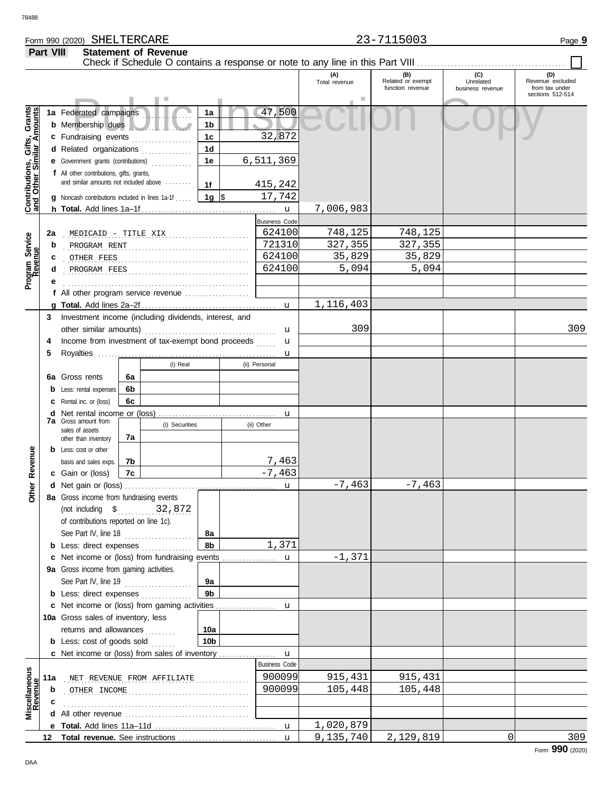## Form 990 (2020) Page **9** SHELTERCARE 23-7115003 **Part VIII Statement of Revenue**

|                                                           |                                                                                                                                                                                                |                                                                            |           |                            |                     |  |                      | (A)<br>Total revenue | (B)<br>Related or exempt<br>function revenue | (C)<br>Unrelated<br>business revenue | (D)<br>Revenue excluded<br>from tax under<br>sections 512-514 |
|-----------------------------------------------------------|------------------------------------------------------------------------------------------------------------------------------------------------------------------------------------------------|----------------------------------------------------------------------------|-----------|----------------------------|---------------------|--|----------------------|----------------------|----------------------------------------------|--------------------------------------|---------------------------------------------------------------|
| Contributions, Gifts, Grants<br>and Other Similar Amounts |                                                                                                                                                                                                | 1a Federated campaigns<br><b>b</b> Membership dues<br>c Fundraising events |           |                            | 1a<br>1b<br>1c      |  | 47,500<br>32,872     |                      |                                              |                                      |                                                               |
|                                                           | 1 <sub>d</sub><br>d Related organizations<br>.<br>1e<br>e Government grants (contributions)<br><u>.</u><br>f All other contributions, gifts, grants,<br>and similar amounts not included above |                                                                            | 6,511,369 |                            |                     |  |                      |                      |                                              |                                      |                                                               |
|                                                           |                                                                                                                                                                                                | <b>g</b> Noncash contributions included in lines 1a-1f                     |           |                            | 1f<br>1g $\vert$ \$ |  | 415,242<br>17,742    | 7,006,983            |                                              |                                      |                                                               |
|                                                           |                                                                                                                                                                                                |                                                                            |           |                            |                     |  | $\mathbf{u}$         |                      |                                              |                                      |                                                               |
|                                                           |                                                                                                                                                                                                |                                                                            |           |                            |                     |  | <b>Business Code</b> |                      |                                              |                                      |                                                               |
|                                                           | 2a                                                                                                                                                                                             |                                                                            |           |                            |                     |  | 624100               | 748,125              | 748, 125                                     |                                      |                                                               |
| Program Service<br>Revenue                                | b                                                                                                                                                                                              | PROGRAM RENT                                                               |           |                            |                     |  | 721310               | 327,355              | 327,355                                      |                                      |                                                               |
|                                                           | c                                                                                                                                                                                              | OTHER FEES                                                                 |           |                            |                     |  | 624100               | 35,829               | 35,829                                       |                                      |                                                               |
|                                                           | d                                                                                                                                                                                              |                                                                            |           |                            |                     |  | 624100               | 5,094                | 5,094                                        |                                      |                                                               |
|                                                           |                                                                                                                                                                                                |                                                                            |           |                            |                     |  |                      |                      |                                              |                                      |                                                               |
|                                                           |                                                                                                                                                                                                |                                                                            |           |                            |                     |  |                      |                      |                                              |                                      |                                                               |
|                                                           |                                                                                                                                                                                                |                                                                            |           |                            |                     |  |                      | 1,116,403            |                                              |                                      |                                                               |
|                                                           |                                                                                                                                                                                                | 3 Investment income (including dividends, interest, and                    |           |                            |                     |  |                      |                      |                                              |                                      |                                                               |
|                                                           |                                                                                                                                                                                                | other similar amounts)                                                     |           |                            |                     |  | u                    | 309                  |                                              |                                      | 309                                                           |
|                                                           | 4                                                                                                                                                                                              | Income from investment of tax-exempt bond proceeds                         |           |                            |                     |  | $\mathbf{u}$         |                      |                                              |                                      |                                                               |
|                                                           | 5                                                                                                                                                                                              |                                                                            |           |                            |                     |  | u                    |                      |                                              |                                      |                                                               |
|                                                           |                                                                                                                                                                                                |                                                                            |           | (i) Real                   |                     |  | (ii) Personal        |                      |                                              |                                      |                                                               |
|                                                           |                                                                                                                                                                                                | 6a Gross rents                                                             | 6а        |                            |                     |  |                      |                      |                                              |                                      |                                                               |
|                                                           |                                                                                                                                                                                                | <b>b</b> Less: rental expenses                                             | 6b        |                            |                     |  |                      |                      |                                              |                                      |                                                               |
|                                                           |                                                                                                                                                                                                | <b>c</b> Rental inc. or (loss)                                             | 6c        |                            |                     |  |                      |                      |                                              |                                      |                                                               |
|                                                           |                                                                                                                                                                                                | <b>d</b> Net rental income or (loss)                                       |           |                            |                     |  | u                    |                      |                                              |                                      |                                                               |
|                                                           |                                                                                                                                                                                                | <b>7a</b> Gross amount from                                                |           | (i) Securities             |                     |  | (ii) Other           |                      |                                              |                                      |                                                               |
|                                                           |                                                                                                                                                                                                | sales of assets<br>other than inventory                                    | 7a        |                            |                     |  |                      |                      |                                              |                                      |                                                               |
|                                                           |                                                                                                                                                                                                | <b>b</b> Less: cost or other                                               |           |                            |                     |  |                      |                      |                                              |                                      |                                                               |
|                                                           |                                                                                                                                                                                                | basis and sales exps.                                                      | 7b        |                            |                     |  | 7,463                |                      |                                              |                                      |                                                               |
| Revenue                                                   |                                                                                                                                                                                                | c Gain or (loss)                                                           | 7c        |                            |                     |  | $-7,463$             |                      |                                              |                                      |                                                               |
|                                                           |                                                                                                                                                                                                |                                                                            |           |                            |                     |  | u                    | $-7,463$             | $-7,463$                                     |                                      |                                                               |
| Other                                                     |                                                                                                                                                                                                | 8a Gross income from fundraising events                                    |           |                            |                     |  |                      |                      |                                              |                                      |                                                               |
|                                                           |                                                                                                                                                                                                | (not including $$$ 32,872                                                  |           |                            |                     |  |                      |                      |                                              |                                      |                                                               |
|                                                           |                                                                                                                                                                                                | of contributions reported on line 1c).                                     |           |                            |                     |  |                      |                      |                                              |                                      |                                                               |
|                                                           |                                                                                                                                                                                                | See Part IV, line 18                                                       |           | .                          | 8а                  |  |                      |                      |                                              |                                      |                                                               |
|                                                           |                                                                                                                                                                                                | <b>b</b> Less: direct expenses                                             |           |                            | 8b                  |  | 1,371                |                      |                                              |                                      |                                                               |
|                                                           |                                                                                                                                                                                                | c Net income or (loss) from fundraising events                             |           |                            |                     |  | $\mathbf{u}$         | $-1,371$             |                                              |                                      |                                                               |
|                                                           |                                                                                                                                                                                                | 9a Gross income from gaming activities.                                    |           |                            |                     |  |                      |                      |                                              |                                      |                                                               |
|                                                           |                                                                                                                                                                                                | See Part IV, line 19                                                       |           |                            | 9а                  |  |                      |                      |                                              |                                      |                                                               |
|                                                           |                                                                                                                                                                                                | <b>b</b> Less: direct expenses                                             |           | .                          | 9 <sub>b</sub>      |  |                      |                      |                                              |                                      |                                                               |
|                                                           |                                                                                                                                                                                                |                                                                            |           |                            |                     |  |                      |                      |                                              |                                      |                                                               |
|                                                           |                                                                                                                                                                                                | 10a Gross sales of inventory, less                                         |           |                            |                     |  |                      |                      |                                              |                                      |                                                               |
|                                                           |                                                                                                                                                                                                | returns and allowances                                                     |           |                            | 10a                 |  |                      |                      |                                              |                                      |                                                               |
|                                                           |                                                                                                                                                                                                | <b>b</b> Less: cost of goods sold                                          |           | .                          | 10 <sub>b</sub>     |  |                      |                      |                                              |                                      |                                                               |
|                                                           |                                                                                                                                                                                                | <b>c</b> Net income or (loss) from sales of inventory                      |           |                            |                     |  | $\mathbf{u}$         |                      |                                              |                                      |                                                               |
|                                                           |                                                                                                                                                                                                |                                                                            |           |                            |                     |  | <b>Business Code</b> |                      |                                              |                                      |                                                               |
|                                                           |                                                                                                                                                                                                |                                                                            |           |                            |                     |  | 900099               | 915,431              | 915,431                                      |                                      |                                                               |
| Miscellaneous<br>Revenue<br>enue                          | 11a                                                                                                                                                                                            |                                                                            |           | NET REVENUE FROM AFFILIATE |                     |  | 900099               | 105,448              | 105,448                                      |                                      |                                                               |
|                                                           | b                                                                                                                                                                                              | OTHER INCOME                                                               |           |                            |                     |  |                      |                      |                                              |                                      |                                                               |
|                                                           |                                                                                                                                                                                                |                                                                            |           |                            |                     |  |                      |                      |                                              |                                      |                                                               |
|                                                           |                                                                                                                                                                                                |                                                                            |           |                            |                     |  |                      | 1,020,879            |                                              |                                      |                                                               |
|                                                           |                                                                                                                                                                                                |                                                                            |           |                            |                     |  |                      | 9,135,740            |                                              | $\Omega$                             | 309                                                           |
|                                                           |                                                                                                                                                                                                |                                                                            |           |                            |                     |  | $\mathbf{u}$         |                      | 2,129,819                                    |                                      |                                                               |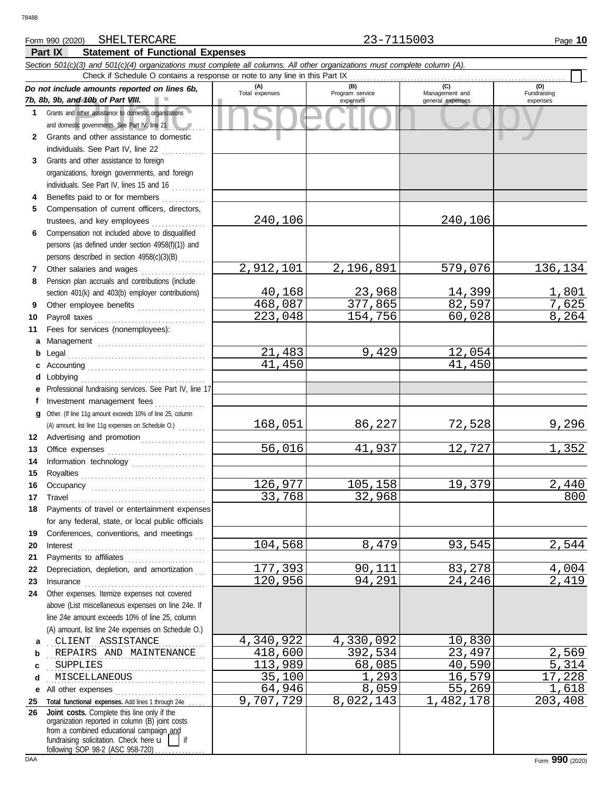# Form 990 (2020) Page **10** SHELTERCARE 23-7115003

**Part IX Statement of Functional Expenses**

### nd 10b of Part VIII.<br>
dother assistance to domestic organizations<br>
and other assistance to domestic<br>
and other assistance to domestic *Section 501(c)(3) and 501(c)(4) organizations must complete all columns. All other organizations must complete column (A). Do not include amounts reported on lines 6b, 7b, 8b, 9b, and 10b of Part VIII.* **1 2 3 4 5 6 7 8 9 10 11 a** Management ................................. **b** Legal . . . . . . . . . . . . . . . . . . . . . . . . . . . . . . . . . . . . . . . . . **c** Accounting . . . . . . . . . . . . . . . . . . . . . . . . . . . . . . . . . . . **d** Lobbying . . . . . . . . . . . . . . . . . . . . . . . . . . . . . . . . . . . . . **e** Professional fundraising services. See Part IV, line 17 **f g** Other. (If line 11g amount exceeds 10% of line 25, column **12** Advertising and promotion . . . . . . . . . . . . . . . . . . **13 14 15 16 17 18 19 20 21 22** Depreciation, depletion, and amortization . . . **23 24 a** . . . . . . . . . . . . . . . . . . . . . . . . . . . . . . . . . . . . . . . . . . . . . . . CLIENT ASSISTANCE 4,340,922 4,330,092 10,830 **b c d** . . . . . . . . . . . . . . . . . . . . . . . . . . . . . . . . . . . . . . . . . . . . . . . MISCELLANEOUS 35,100 1,293 16,579 17,228 **e** All other expenses . . . . . . . . . . . . . . . . . . . . . . . . . . . **25 Total functional expenses.** Add lines 1 through 24e . . . . . **26** Grants and other assistance to domestic organizations and domestic governments. See Part IV, line 21 Grants and other assistance to domestic individuals. See Part IV, line 22 .............. Grants and other assistance to foreign organizations, foreign governments, and foreign individuals. See Part IV, lines 15 and 16 Benefits paid to or for members . . . . . . . . . . . . . Compensation of current officers, directors, trustees, and key employees . . . . . . . . . . . . . . . . Compensation not included above to disqualified persons (as defined under section 4958(f)(1)) and persons described in section 4958(c)(3)(B) . . . . . . . . Other salaries and wages .................... Pension plan accruals and contributions (include section 401(k) and 403(b) employer contributions) Other employee benefits .................... Payroll taxes . . . . . . . . . . . . . . . . . . . . . . . . . . . . . . . . . Fees for services (nonemployees): Investment management fees ............... Office expenses ............................... Information technology ...................... Royalties . . . . . . . . . . . . . . . . . . . . . . . . . . . . . . . . . . . . . Occupancy . . . . . . . . . . . . . . . . . . . . . . . . . . . . . . . . . . Travel . . . . . . . . . . . . . . . . . . . . . . . . . . . . . . . . . . . . . . . . Payments of travel or entertainment expenses for any federal, state, or local public officials Conferences, conventions, and meetings Interest . . . . . . . . . . . . . . . . . . . . . . . . . . . . . . . . . . . . . . Payments to affiliates . . . . . . . . . . . . . . . . . . . . . . . . Insurance . . . . . . . . . . . . . . . . . . . . . . . . . . . . . . . . . . . . Other expenses. Itemize expenses not covered above (List miscellaneous expenses on line 24e. If line 24e amount exceeds 10% of line 25, column (A) amount, list line 24e expenses on Schedule O.) fundraising solicitation. Check here  $\mathbf{u}$  | if organization reported in column (B) joint costs from a combined educational campaign and following SOP 98-2 (ASC 958-720) **(A) (B) (C) (D)** Management and expenses and general expenses (D)<br>Fundraising expenses REPAIRS AND MAINTENANCE 418,600 392,534 23,497 2,569 . . . . . . . . . . . . . . . . . . . . . . . . . . . . . . . . . . . . . . . . . . . . . . . SUPPLIES 113,989 68,085 40,590 5,314 Check if Schedule O contains a response or note to any line in this Part IX **Joint costs.** Complete this line only if the (A) amount, list line 11g expenses on Schedule O.) . . . . . . . . 240,106 240,106 2,912,101 2,196,891 579,076 136,134 <u>40,168 23,968 14,399 1,801</u><br>68,087 377,865 82,597 7,625 <u>468,087 377,865 82,597 7,625</u><br>223.048 154,756 60.028 8.264 223,048 21,483 9,429 12,054<br>41,450 41,450 41,450 41,450 168,051 86,227 72,528 9,296 <mark>56,016</mark> 41,937 12,727 1,352 126,977 105,158 19,379 2,440<br>33,768 32,968 300  $33,768$ 104,568 8,479 93,545 2,544 177,393 90,111 83,278 4,004<br>120,956 94,291 24,246 2,419 120,956  $\begin{array}{c|c|c|c|c|c|c|c|c} \hline 64,946 & & 8,059 & & 55,269 & & 1,618 \\ \hline 07,729 & & 8,022,143 & & 1,482,178 & & 203,408 \end{array}$ 9,707,729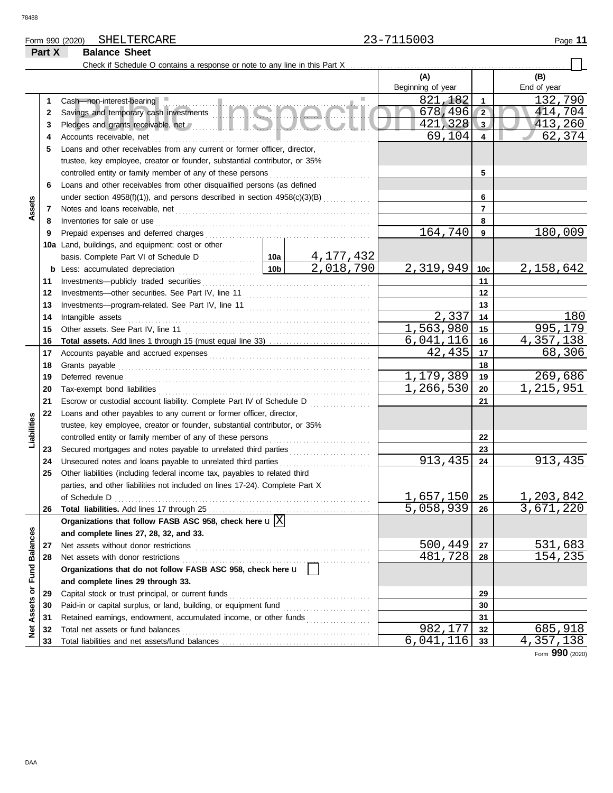78488

# Form 990 (2020) Page **11** SHELTERCARE 23-7115003

# **Part X Balance Sheet**

|                             |    | Check if Schedule O contains a response or note to any line in this Part X                                                                                                                                                          |           |                |                   |                 |                               |
|-----------------------------|----|-------------------------------------------------------------------------------------------------------------------------------------------------------------------------------------------------------------------------------------|-----------|----------------|-------------------|-----------------|-------------------------------|
|                             |    |                                                                                                                                                                                                                                     |           |                | (A)               |                 | (B)                           |
|                             |    |                                                                                                                                                                                                                                     |           |                | Beginning of year |                 | End of year                   |
|                             | 1  | Cash-non-interest-bearing                                                                                                                                                                                                           |           |                | 821, 182          | 1               | 132,790                       |
|                             | 2  | Savings and temporary cash investments                                                                                                                                                                                              |           |                | 678,496           | $\sqrt{2}$      | 414,704                       |
|                             | 3  | Pledges and grants receivable, net <b>All and School and School and School and School and School and School and School</b>                                                                                                          |           |                | $421,328$ 3       |                 | 413,260                       |
|                             | 4  |                                                                                                                                                                                                                                     | 69,104    | $\overline{4}$ | 62,374            |                 |                               |
|                             | 5  | Loans and other receivables from any current or former officer, director,                                                                                                                                                           |           |                |                   |                 |                               |
|                             |    | trustee, key employee, creator or founder, substantial contributor, or 35%                                                                                                                                                          |           |                |                   |                 |                               |
|                             |    |                                                                                                                                                                                                                                     |           |                |                   | 5               |                               |
|                             | 6  | Loans and other receivables from other disqualified persons (as defined                                                                                                                                                             |           |                |                   |                 |                               |
|                             |    | under section 4958(f)(1)), and persons described in section 4958(c)(3)(B)                                                                                                                                                           |           |                |                   | 6               |                               |
| Assets                      | 7  |                                                                                                                                                                                                                                     |           |                |                   | 7               |                               |
|                             | 8  |                                                                                                                                                                                                                                     |           |                |                   | 8               |                               |
|                             | 9  |                                                                                                                                                                                                                                     |           |                | 164,740           | 9               | 180,009                       |
|                             |    | 10a Land, buildings, and equipment: cost or other                                                                                                                                                                                   |           |                |                   |                 |                               |
|                             |    |                                                                                                                                                                                                                                     |           | 4,177,432      |                   |                 |                               |
|                             |    |                                                                                                                                                                                                                                     |           | 2,018,790      | 2,319,949         | 10 <sub>c</sub> | 2,158,642                     |
|                             | 11 |                                                                                                                                                                                                                                     |           |                |                   | 11              |                               |
|                             | 12 |                                                                                                                                                                                                                                     |           |                | 12                |                 |                               |
|                             | 13 |                                                                                                                                                                                                                                     |           |                | 13                |                 |                               |
|                             | 14 | Intangible assets                                                                                                                                                                                                                   | 2,337     | 14             | 180               |                 |                               |
|                             | 15 |                                                                                                                                                                                                                                     |           |                | 1,563,980         | 15              | 995,179                       |
|                             | 16 |                                                                                                                                                                                                                                     |           |                | 6,041,116         | 16              | 4,357,138                     |
|                             | 17 |                                                                                                                                                                                                                                     |           |                | 42,435            | 17              | 68,306                        |
|                             | 18 | Grants payable <i>communication</i> and all the contract of the contract of the contract of the contract of the contract of the contract of the contract of the contract of the contract of the contract of the contract of the con |           | 18             |                   |                 |                               |
|                             | 19 | Deferred revenue contains and all the container and all the container and all the container and all the containing of the container and all the containing of the containing of the containing of the containing of the contai      | 1,179,389 | 19             | 269,686           |                 |                               |
|                             | 20 |                                                                                                                                                                                                                                     |           |                | 1, 266, 530       | 20              | 1,215,951                     |
|                             | 21 | Escrow or custodial account liability. Complete Part IV of Schedule D                                                                                                                                                               |           |                |                   | 21              |                               |
|                             | 22 | Loans and other payables to any current or former officer, director,                                                                                                                                                                |           |                |                   |                 |                               |
| Liabilities                 |    | trustee, key employee, creator or founder, substantial contributor, or 35%                                                                                                                                                          |           |                |                   |                 |                               |
|                             |    |                                                                                                                                                                                                                                     |           |                |                   | 22              |                               |
|                             | 23 | Secured mortgages and notes payable to unrelated third parties                                                                                                                                                                      |           |                |                   | 23              |                               |
|                             | 24 | Unsecured notes and loans payable to unrelated third parties                                                                                                                                                                        |           |                | 913,435           | 24              | 913,435                       |
|                             | 25 | Other liabilities (including federal income tax, payables to related third                                                                                                                                                          |           |                |                   |                 |                               |
|                             |    | parties, and other liabilities not included on lines 17-24). Complete Part X                                                                                                                                                        |           |                |                   |                 |                               |
|                             |    |                                                                                                                                                                                                                                     |           |                | $1,657,150$   25  |                 | $\frac{1,203,842}{3,671,220}$ |
|                             | 26 |                                                                                                                                                                                                                                     |           |                | $5,058,939$ 26    |                 |                               |
|                             |    | Organizations that follow FASB ASC 958, check here $\mathbf{u}[\overline{X}]$                                                                                                                                                       |           |                |                   |                 |                               |
|                             |    | and complete lines 27, 28, 32, and 33.                                                                                                                                                                                              |           |                |                   |                 |                               |
|                             | 27 | Net assets without donor restrictions                                                                                                                                                                                               |           |                | 500,449           | 27              | 531,683                       |
|                             | 28 |                                                                                                                                                                                                                                     |           |                | 481,728           | 28              | 154, 235                      |
|                             |    | Organizations that do not follow FASB ASC 958, check here u                                                                                                                                                                         |           |                |                   |                 |                               |
|                             |    | and complete lines 29 through 33.                                                                                                                                                                                                   |           |                |                   |                 |                               |
|                             | 29 |                                                                                                                                                                                                                                     |           |                |                   | 29              |                               |
|                             | 30 | Paid-in or capital surplus, or land, building, or equipment fund                                                                                                                                                                    |           |                |                   | 30              |                               |
|                             | 31 | Retained earnings, endowment, accumulated income, or other funds                                                                                                                                                                    |           |                |                   | 31              |                               |
| Net Assets or Fund Balances | 32 | Total net assets or fund balances                                                                                                                                                                                                   |           |                | 982,177           | 32              | 685,918                       |
|                             | 33 |                                                                                                                                                                                                                                     |           |                | 6,041,116         | 33              | 4,357,138                     |
|                             |    |                                                                                                                                                                                                                                     |           |                |                   |                 | Form 990 (2020)               |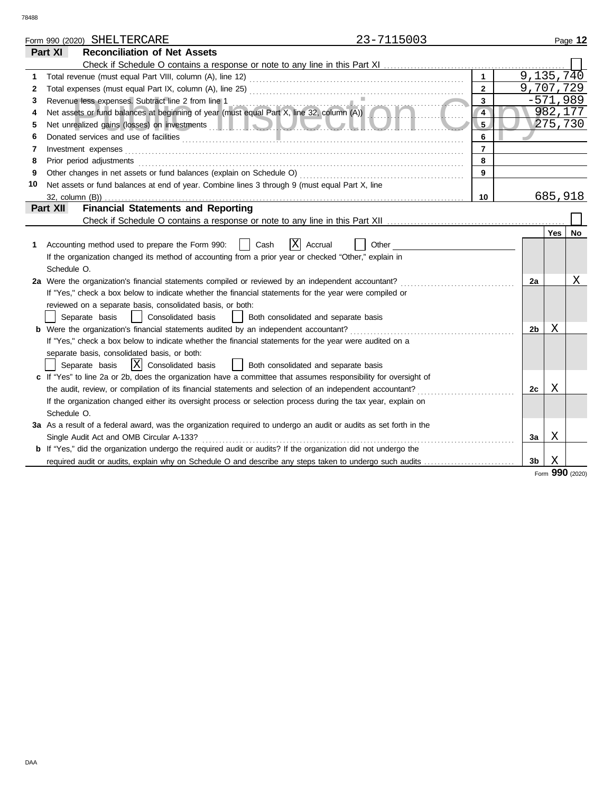|    |                       | Form 990 (2020) SHELTERCARE                                                                                                                     | 23-7115003 |                |                |            | Page 12 |
|----|-----------------------|-------------------------------------------------------------------------------------------------------------------------------------------------|------------|----------------|----------------|------------|---------|
|    | Part XI               | <b>Reconciliation of Net Assets</b>                                                                                                             |            |                |                |            |         |
|    |                       |                                                                                                                                                 |            |                |                |            |         |
| 1  |                       |                                                                                                                                                 |            | $\mathbf{1}$   |                | 9,135,740  |         |
| 2  |                       |                                                                                                                                                 |            | $\mathbf{2}$   |                | 9,707,729  |         |
| 3  |                       | Revenue less expenses. Subtract line 2 from line 1                                                                                              |            | 3              |                | $-571,989$ |         |
| 4  |                       | Revenue less expenses. Subtract line 2 from line 1<br>Net assets or fund balances at beginning of year (must equal Part X, line 32, column (A)) |            | $\overline{4}$ |                |            | 982,177 |
| 5  |                       |                                                                                                                                                 |            | 5 <sub>2</sub> |                |            | 275,730 |
| 6  |                       |                                                                                                                                                 |            | 6              |                |            |         |
| 7  |                       | Investment expenses                                                                                                                             |            | $\overline{7}$ |                |            |         |
| 8  |                       | Prior period adjustments                                                                                                                        |            | 8              |                |            |         |
| 9  |                       |                                                                                                                                                 |            | 9              |                |            |         |
| 10 |                       | Net assets or fund balances at end of year. Combine lines 3 through 9 (must equal Part X, line                                                  |            |                |                |            |         |
|    | $32$ , column $(B)$ ) |                                                                                                                                                 |            | 10             |                | 685,918    |         |
|    | Part XII              | <b>Financial Statements and Reporting</b>                                                                                                       |            |                |                |            |         |
|    |                       |                                                                                                                                                 |            |                |                |            |         |
|    |                       |                                                                                                                                                 |            |                |                | Yes        | No      |
|    |                       | ΙX<br>Cash<br>Accounting method used to prepare the Form 990:<br>Accrual                                                                        | Other      |                |                |            |         |
|    |                       | If the organization changed its method of accounting from a prior year or checked "Other," explain in                                           |            |                |                |            |         |
|    | Schedule O.           |                                                                                                                                                 |            |                |                |            |         |
|    |                       | 2a Were the organization's financial statements compiled or reviewed by an independent accountant?                                              |            |                | 2a             |            | Χ       |
|    |                       | If "Yes," check a box below to indicate whether the financial statements for the year were compiled or                                          |            |                |                |            |         |
|    |                       | reviewed on a separate basis, consolidated basis, or both:                                                                                      |            |                |                |            |         |
|    |                       | Separate basis<br>  Consolidated basis<br>  Both consolidated and separate basis                                                                |            |                |                |            |         |
|    |                       | <b>b</b> Were the organization's financial statements audited by an independent accountant?                                                     |            |                | 2b             | Χ          |         |
|    |                       | If "Yes," check a box below to indicate whether the financial statements for the year were audited on a                                         |            |                |                |            |         |
|    |                       | separate basis, consolidated basis, or both:                                                                                                    |            |                |                |            |         |
|    |                       | $ X $ Consolidated basis<br>Separate basis<br>  Both consolidated and separate basis                                                            |            |                |                |            |         |
|    |                       | c If "Yes" to line 2a or 2b, does the organization have a committee that assumes responsibility for oversight of                                |            |                |                |            |         |
|    |                       | the audit, review, or compilation of its financial statements and selection of an independent accountant?                                       |            |                | 2с             | Χ          |         |
|    |                       | If the organization changed either its oversight process or selection process during the tax year, explain on                                   |            |                |                |            |         |
|    | Schedule O.           |                                                                                                                                                 |            |                |                |            |         |
|    |                       | 3a As a result of a federal award, was the organization required to undergo an audit or audits as set forth in the                              |            |                |                |            |         |
|    |                       | Single Audit Act and OMB Circular A-133?                                                                                                        |            |                | За             | Χ          |         |
|    |                       | <b>b</b> If "Yes," did the organization undergo the required audit or audits? If the organization did not undergo the                           |            |                |                |            |         |
|    |                       | required audit or audits, explain why on Schedule O and describe any steps taken to undergo such audits                                         |            |                | 3 <sub>b</sub> | X          |         |

### Form **990** (2020)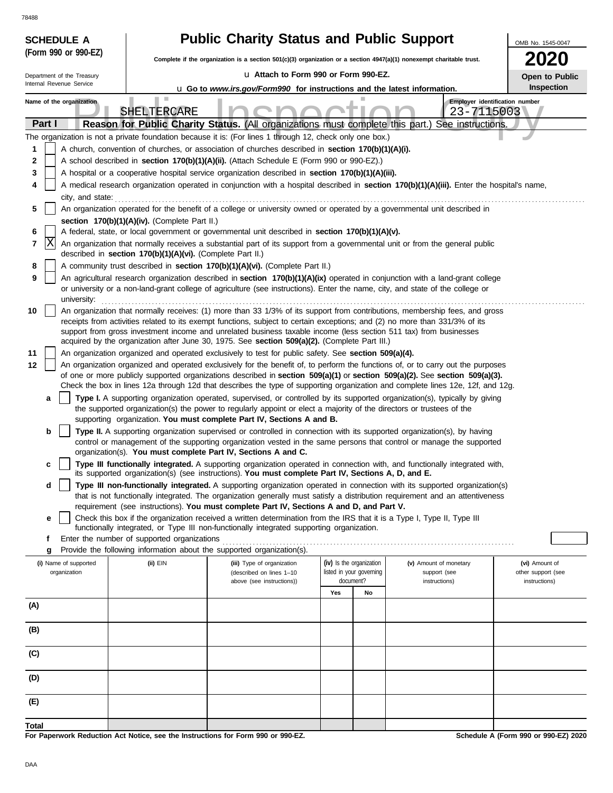78488

| 70400<br><b>SCHEDULE A</b> |                                                                                                                                                                | <b>Public Charity Status and Public Support</b>                                                                                                                                                                                                  |                                                                                                                                           |                                                                                                                                                                                                                                                                 |                              |  |  |  |  |  |  |
|----------------------------|----------------------------------------------------------------------------------------------------------------------------------------------------------------|--------------------------------------------------------------------------------------------------------------------------------------------------------------------------------------------------------------------------------------------------|-------------------------------------------------------------------------------------------------------------------------------------------|-----------------------------------------------------------------------------------------------------------------------------------------------------------------------------------------------------------------------------------------------------------------|------------------------------|--|--|--|--|--|--|
| (Form 990 or 990-EZ)       |                                                                                                                                                                |                                                                                                                                                                                                                                                  | OMB No. 1545-0047<br>Complete if the organization is a section 501(c)(3) organization or a section 4947(a)(1) nonexempt charitable trust. |                                                                                                                                                                                                                                                                 |                              |  |  |  |  |  |  |
| Department of the Treasury |                                                                                                                                                                | La Attach to Form 990 or Form 990-EZ.                                                                                                                                                                                                            |                                                                                                                                           |                                                                                                                                                                                                                                                                 |                              |  |  |  |  |  |  |
| Internal Revenue Service   |                                                                                                                                                                | <b>u</b> Go to www.irs.gov/Form990 for instructions and the latest information.                                                                                                                                                                  |                                                                                                                                           |                                                                                                                                                                                                                                                                 | Open to Public<br>Inspection |  |  |  |  |  |  |
| Name of the organization   | ш<br>SHELTERCARE                                                                                                                                               |                                                                                                                                                                                                                                                  |                                                                                                                                           | Employer identification number<br>23-7115003                                                                                                                                                                                                                    |                              |  |  |  |  |  |  |
| Part I                     |                                                                                                                                                                | Reason for Public Charity Status. (All organizations must complete this part.)                                                                                                                                                                   |                                                                                                                                           | See instructions.                                                                                                                                                                                                                                               |                              |  |  |  |  |  |  |
| 1                          |                                                                                                                                                                | The organization is not a private foundation because it is: (For lines 1 through 12, check only one box.)                                                                                                                                        |                                                                                                                                           |                                                                                                                                                                                                                                                                 |                              |  |  |  |  |  |  |
| 2                          |                                                                                                                                                                | A church, convention of churches, or association of churches described in section 170(b)(1)(A)(i).<br>A school described in section 170(b)(1)(A)(ii). (Attach Schedule E (Form 990 or 990-EZ).)                                                  |                                                                                                                                           |                                                                                                                                                                                                                                                                 |                              |  |  |  |  |  |  |
| 3                          |                                                                                                                                                                | A hospital or a cooperative hospital service organization described in section 170(b)(1)(A)(iii).                                                                                                                                                |                                                                                                                                           |                                                                                                                                                                                                                                                                 |                              |  |  |  |  |  |  |
| 4                          | A medical research organization operated in conjunction with a hospital described in section 170(b)(1)(A)(iii). Enter the hospital's name,<br>city, and state: |                                                                                                                                                                                                                                                  |                                                                                                                                           |                                                                                                                                                                                                                                                                 |                              |  |  |  |  |  |  |
| 5                          |                                                                                                                                                                |                                                                                                                                                                                                                                                  |                                                                                                                                           | An organization operated for the benefit of a college or university owned or operated by a governmental unit described in                                                                                                                                       |                              |  |  |  |  |  |  |
|                            | section 170(b)(1)(A)(iv). (Complete Part II.)                                                                                                                  |                                                                                                                                                                                                                                                  |                                                                                                                                           |                                                                                                                                                                                                                                                                 |                              |  |  |  |  |  |  |
| 6<br> X<br>7               |                                                                                                                                                                | A federal, state, or local government or governmental unit described in section 170(b)(1)(A)(v).                                                                                                                                                 |                                                                                                                                           | An organization that normally receives a substantial part of its support from a governmental unit or from the general public                                                                                                                                    |                              |  |  |  |  |  |  |
|                            | described in section 170(b)(1)(A)(vi). (Complete Part II.)                                                                                                     |                                                                                                                                                                                                                                                  |                                                                                                                                           |                                                                                                                                                                                                                                                                 |                              |  |  |  |  |  |  |
| 8                          |                                                                                                                                                                | A community trust described in section 170(b)(1)(A)(vi). (Complete Part II.)                                                                                                                                                                     |                                                                                                                                           |                                                                                                                                                                                                                                                                 |                              |  |  |  |  |  |  |
| 9<br>university:           |                                                                                                                                                                | or university or a non-land-grant college of agriculture (see instructions). Enter the name, city, and state of the college or                                                                                                                   |                                                                                                                                           | An agricultural research organization described in section 170(b)(1)(A)(ix) operated in conjunction with a land-grant college                                                                                                                                   |                              |  |  |  |  |  |  |
| 10                         |                                                                                                                                                                |                                                                                                                                                                                                                                                  |                                                                                                                                           | An organization that normally receives: (1) more than 33 1/3% of its support from contributions, membership fees, and gross                                                                                                                                     |                              |  |  |  |  |  |  |
|                            |                                                                                                                                                                | receipts from activities related to its exempt functions, subject to certain exceptions; and (2) no more than 331/3% of its<br>support from gross investment income and unrelated business taxable income (less section 511 tax) from businesses |                                                                                                                                           |                                                                                                                                                                                                                                                                 |                              |  |  |  |  |  |  |
|                            |                                                                                                                                                                | acquired by the organization after June 30, 1975. See section 509(a)(2). (Complete Part III.)                                                                                                                                                    |                                                                                                                                           |                                                                                                                                                                                                                                                                 |                              |  |  |  |  |  |  |
| 11                         |                                                                                                                                                                | An organization organized and operated exclusively to test for public safety. See section 509(a)(4).                                                                                                                                             |                                                                                                                                           |                                                                                                                                                                                                                                                                 |                              |  |  |  |  |  |  |
| 12                         |                                                                                                                                                                |                                                                                                                                                                                                                                                  |                                                                                                                                           | An organization organized and operated exclusively for the benefit of, to perform the functions of, or to carry out the purposes<br>of one or more publicly supported organizations described in section 509(a)(1) or section 509(a)(2). See section 509(a)(3). |                              |  |  |  |  |  |  |
|                            |                                                                                                                                                                |                                                                                                                                                                                                                                                  |                                                                                                                                           | Check the box in lines 12a through 12d that describes the type of supporting organization and complete lines 12e, 12f, and 12g.                                                                                                                                 |                              |  |  |  |  |  |  |
| a                          |                                                                                                                                                                | the supported organization(s) the power to regularly appoint or elect a majority of the directors or trustees of the                                                                                                                             |                                                                                                                                           | Type I. A supporting organization operated, supervised, or controlled by its supported organization(s), typically by giving                                                                                                                                     |                              |  |  |  |  |  |  |
| b                          |                                                                                                                                                                | supporting organization. You must complete Part IV, Sections A and B.                                                                                                                                                                            |                                                                                                                                           | Type II. A supporting organization supervised or controlled in connection with its supported organization(s), by having                                                                                                                                         |                              |  |  |  |  |  |  |
|                            |                                                                                                                                                                |                                                                                                                                                                                                                                                  |                                                                                                                                           | control or management of the supporting organization vested in the same persons that control or manage the supported                                                                                                                                            |                              |  |  |  |  |  |  |
|                            |                                                                                                                                                                | organization(s). You must complete Part IV, Sections A and C.                                                                                                                                                                                    |                                                                                                                                           |                                                                                                                                                                                                                                                                 |                              |  |  |  |  |  |  |
| c                          |                                                                                                                                                                | its supported organization(s) (see instructions). You must complete Part IV, Sections A, D, and E.                                                                                                                                               |                                                                                                                                           | Type III functionally integrated. A supporting organization operated in connection with, and functionally integrated with,                                                                                                                                      |                              |  |  |  |  |  |  |
| d                          |                                                                                                                                                                |                                                                                                                                                                                                                                                  |                                                                                                                                           | Type III non-functionally integrated. A supporting organization operated in connection with its supported organization(s)                                                                                                                                       |                              |  |  |  |  |  |  |
|                            |                                                                                                                                                                |                                                                                                                                                                                                                                                  |                                                                                                                                           | that is not functionally integrated. The organization generally must satisfy a distribution requirement and an attentiveness                                                                                                                                    |                              |  |  |  |  |  |  |
| е                          |                                                                                                                                                                | requirement (see instructions). You must complete Part IV, Sections A and D, and Part V.<br>Check this box if the organization received a written determination from the IRS that it is a Type I, Type II, Type III                              |                                                                                                                                           |                                                                                                                                                                                                                                                                 |                              |  |  |  |  |  |  |
|                            |                                                                                                                                                                | functionally integrated, or Type III non-functionally integrated supporting organization.                                                                                                                                                        |                                                                                                                                           |                                                                                                                                                                                                                                                                 |                              |  |  |  |  |  |  |
| f                          | Enter the number of supported organizations                                                                                                                    |                                                                                                                                                                                                                                                  |                                                                                                                                           |                                                                                                                                                                                                                                                                 |                              |  |  |  |  |  |  |
| g<br>(i) Name of supported | (ii) EIN                                                                                                                                                       | Provide the following information about the supported organization(s).<br>(iii) Type of organization                                                                                                                                             | (iv) Is the organization                                                                                                                  | (v) Amount of monetary                                                                                                                                                                                                                                          | (vi) Amount of               |  |  |  |  |  |  |
| organization               |                                                                                                                                                                | (described on lines 1-10                                                                                                                                                                                                                         | listed in your governing                                                                                                                  | support (see                                                                                                                                                                                                                                                    | other support (see           |  |  |  |  |  |  |
|                            |                                                                                                                                                                | above (see instructions))                                                                                                                                                                                                                        | document?<br>Yes<br>No                                                                                                                    | instructions)                                                                                                                                                                                                                                                   | instructions)                |  |  |  |  |  |  |
| (A)                        |                                                                                                                                                                |                                                                                                                                                                                                                                                  |                                                                                                                                           |                                                                                                                                                                                                                                                                 |                              |  |  |  |  |  |  |
|                            |                                                                                                                                                                |                                                                                                                                                                                                                                                  |                                                                                                                                           |                                                                                                                                                                                                                                                                 |                              |  |  |  |  |  |  |
| (B)                        |                                                                                                                                                                |                                                                                                                                                                                                                                                  |                                                                                                                                           |                                                                                                                                                                                                                                                                 |                              |  |  |  |  |  |  |
| (C)                        |                                                                                                                                                                |                                                                                                                                                                                                                                                  |                                                                                                                                           |                                                                                                                                                                                                                                                                 |                              |  |  |  |  |  |  |
| (D)                        |                                                                                                                                                                |                                                                                                                                                                                                                                                  |                                                                                                                                           |                                                                                                                                                                                                                                                                 |                              |  |  |  |  |  |  |
| (E)                        |                                                                                                                                                                |                                                                                                                                                                                                                                                  |                                                                                                                                           |                                                                                                                                                                                                                                                                 |                              |  |  |  |  |  |  |
| <b>Total</b>               |                                                                                                                                                                |                                                                                                                                                                                                                                                  |                                                                                                                                           |                                                                                                                                                                                                                                                                 |                              |  |  |  |  |  |  |

**For Paperwork Reduction Act Notice, see the Instructions for Form 990 or 990-EZ.**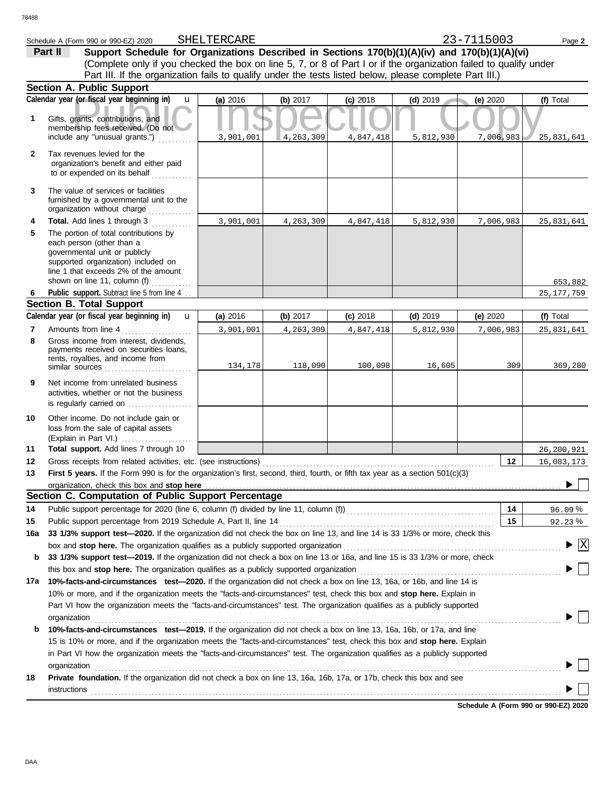|              | Schedule A (Form 990 or 990-EZ) 2020                                                                                                                                                                                                                       | SHELTERCARE |            |            |             | 23-7115003 | Page 2         |
|--------------|------------------------------------------------------------------------------------------------------------------------------------------------------------------------------------------------------------------------------------------------------------|-------------|------------|------------|-------------|------------|----------------|
|              | Support Schedule for Organizations Described in Sections 170(b)(1)(A)(iv) and 170(b)(1)(A)(vi)<br>Part II                                                                                                                                                  |             |            |            |             |            |                |
|              | (Complete only if you checked the box on line 5, 7, or 8 of Part I or if the organization failed to qualify under                                                                                                                                          |             |            |            |             |            |                |
|              | Part III. If the organization fails to qualify under the tests listed below, please complete Part III.)                                                                                                                                                    |             |            |            |             |            |                |
|              | <b>Section A. Public Support</b>                                                                                                                                                                                                                           |             |            |            |             |            |                |
|              | Calendar year (or fiscal year beginning in)<br>$\mathbf{u}$                                                                                                                                                                                                | (a) 2016    | (b) 2017   | $(c)$ 2018 | $(d)$ 2019  | (e) $2020$ | (f) Total      |
| 1            | Gifts, grants, contributions, and<br>membership fees received. (Do not<br>include any "unusual grants.")                                                                                                                                                   | 3,901,001   | 4,263,309  | 4,847,418  | 5, 812, 930 | 7,006,983  | 25,831,641     |
| $\mathbf{2}$ | Tax revenues levied for the<br>organization's benefit and either paid<br>to or expended on its behalf                                                                                                                                                      |             |            |            |             |            |                |
| 3            | .<br>The value of services or facilities<br>furnished by a governmental unit to the<br>organization without charge                                                                                                                                         |             |            |            |             |            |                |
| 4            | Total. Add lines 1 through 3                                                                                                                                                                                                                               | 3,901,001   | 4,263,309  | 4,847,418  | 5,812,930   | 7,006,983  | 25,831,641     |
| 5            | The portion of total contributions by<br>each person (other than a<br>governmental unit or publicly<br>supported organization) included on<br>line 1 that exceeds 2% of the amount<br>shown on line 11, column (f) $\ldots$                                |             |            |            |             |            | 653,882        |
| 6            | Public support. Subtract line 5 from line 4                                                                                                                                                                                                                |             |            |            |             |            | 25,177,759     |
|              | <b>Section B. Total Support</b>                                                                                                                                                                                                                            |             |            |            |             |            |                |
|              | Calendar year (or fiscal year beginning in)<br>$\mathbf{u}$                                                                                                                                                                                                | (a) 2016    | (b) $2017$ | $(c)$ 2018 | $(d)$ 2019  | (e) 2020   | (f) Total      |
| 7            | Amounts from line 4<br>.                                                                                                                                                                                                                                   | 3,901,001   | 4,263,309  | 4,847,418  | 5,812,930   | 7,006,983  | 25,831,641     |
| 8            | Gross income from interest, dividends,<br>payments received on securities loans,<br>rents, royalties, and income from                                                                                                                                      | 134,178     | 118,090    | 100,098    | 16,605      | 309        | 369,280        |
| 9            | Net income from unrelated business<br>activities, whether or not the business<br>is regularly carried on                                                                                                                                                   |             |            |            |             |            |                |
| 10           | Other income. Do not include gain or<br>loss from the sale of capital assets                                                                                                                                                                               |             |            |            |             |            |                |
| 11           | Total support. Add lines 7 through 10                                                                                                                                                                                                                      |             |            |            |             |            | 26,200,921     |
| 12           | Gross receipts from related activities, etc. (see instructions) [11] content content content content content content content content content content content content content content content content content content content c                             |             |            |            |             | 12         | 16,083,173     |
| 13           | First 5 years. If the Form 990 is for the organization's first, second, third, fourth, or fifth tax year as a section 501(c)(3)                                                                                                                            |             |            |            |             |            | $\overline{a}$ |
|              | organization, check this box and stop here                                                                                                                                                                                                                 |             |            |            |             |            | ▶              |
|              | Section C. Computation of Public Support Percentage                                                                                                                                                                                                        |             |            |            |             |            |                |
| 14           |                                                                                                                                                                                                                                                            |             |            |            |             | 14         | 96.09%         |
| 15           | Public support percentage from 2019 Schedule A, Part II, line 14                                                                                                                                                                                           |             |            |            |             | 15         | 92.23%         |
| 16a          | 33 1/3% support test-2020. If the organization did not check the box on line 13, and line 14 is 33 1/3% or more, check this                                                                                                                                |             |            |            |             |            |                |
| b            | 33 1/3% support test-2019. If the organization did not check a box on line 13 or 16a, and line 15 is 33 1/3% or more, check                                                                                                                                |             |            |            |             |            | $\overline{X}$ |
|              |                                                                                                                                                                                                                                                            |             |            |            |             |            |                |
| 17a          | 10%-facts-and-circumstances test-2020. If the organization did not check a box on line 13, 16a, or 16b, and line 14 is                                                                                                                                     |             |            |            |             |            |                |
|              | 10% or more, and if the organization meets the "facts-and-circumstances" test, check this box and stop here. Explain in<br>Part VI how the organization meets the "facts-and-circumstances" test. The organization qualifies as a publicly supported       |             |            |            |             |            |                |
| b            | organization<br>10%-facts-and-circumstances test-2019. If the organization did not check a box on line 13, 16a, 16b, or 17a, and line                                                                                                                      |             |            |            |             |            |                |
|              | 15 is 10% or more, and if the organization meets the "facts-and-circumstances" test, check this box and stop here. Explain<br>in Part VI how the organization meets the "facts-and-circumstances" test. The organization qualifies as a publicly supported |             |            |            |             |            |                |
|              | organization                                                                                                                                                                                                                                               |             |            |            |             |            |                |
| 18           | Private foundation. If the organization did not check a box on line 13, 16a, 16b, 17a, or 17b, check this box and see<br><b>instructions</b>                                                                                                               |             |            |            |             |            |                |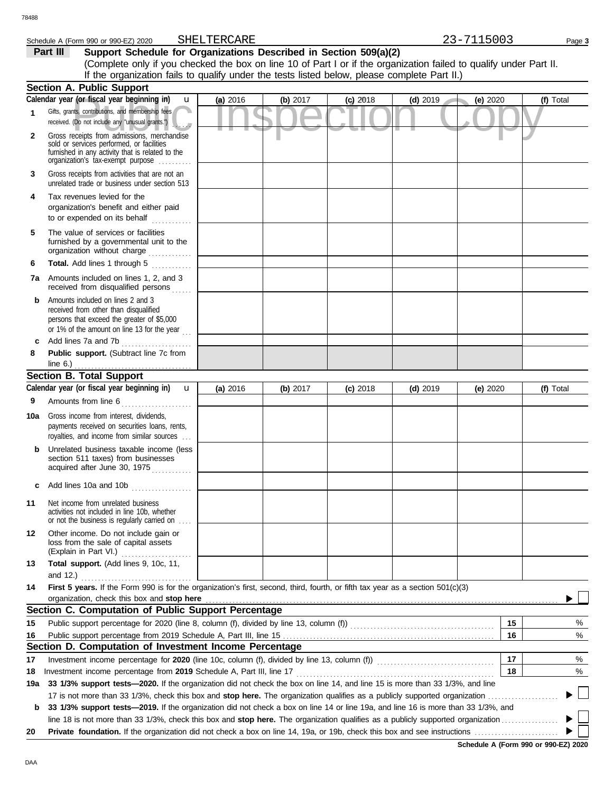### Schedule A (Form 990 or 990-EZ) 2020 SHELTERCARE 23-7115003 Page 3 SHELTERCARE

**Part III** Support Schedule for Organizations Described in Section 509(a)(2) (Complete only if you checked the box on line 10 of Part I or if the organization failed to qualify under Part II. If the organization fails to qualify under the tests listed below, please complete Part II.)

|     | <b>Section A. Public Support</b>                                                                                                                                                                                                              |          |          |            |            |          |           |  |  |
|-----|-----------------------------------------------------------------------------------------------------------------------------------------------------------------------------------------------------------------------------------------------|----------|----------|------------|------------|----------|-----------|--|--|
|     | Calendar year (or fiscal year beginning in)<br>$\mathbf{u}$                                                                                                                                                                                   | (a) 2016 | (b) 2017 | $(c)$ 2018 | $(d)$ 2019 | (e) 2020 | (f) Total |  |  |
| 1   | Gifts, grants, contributions, and membership fees<br>received. (Do not include any "unusual grants.")                                                                                                                                         |          |          |            |            |          |           |  |  |
| 2   | Gross receipts from admissions, merchandise<br>sold or services performed, or facilities<br>furnished in any activity that is related to the<br>organization's tax-exempt purpose                                                             |          |          |            |            |          |           |  |  |
| 3   | Gross receipts from activities that are not an<br>unrelated trade or business under section 513                                                                                                                                               |          |          |            |            |          |           |  |  |
| 4   | Tax revenues levied for the<br>organization's benefit and either paid<br>to or expended on its behalf                                                                                                                                         |          |          |            |            |          |           |  |  |
| 5   | The value of services or facilities<br>furnished by a governmental unit to the<br>organization without charge                                                                                                                                 |          |          |            |            |          |           |  |  |
| 6   | Total. Add lines 1 through 5                                                                                                                                                                                                                  |          |          |            |            |          |           |  |  |
| 7a  | Amounts included on lines 1, 2, and 3<br>received from disqualified persons<br>.                                                                                                                                                              |          |          |            |            |          |           |  |  |
| b   | Amounts included on lines 2 and 3<br>received from other than disqualified<br>persons that exceed the greater of \$5,000<br>or 1% of the amount on line 13 for the year                                                                       |          |          |            |            |          |           |  |  |
| c   | Add lines 7a and 7b<br>.                                                                                                                                                                                                                      |          |          |            |            |          |           |  |  |
| 8   | Public support. (Subtract line 7c from<br>line $6.$ )                                                                                                                                                                                         |          |          |            |            |          |           |  |  |
|     | <u>.</u><br><b>Section B. Total Support</b>                                                                                                                                                                                                   |          |          |            |            |          |           |  |  |
|     | Calendar year (or fiscal year beginning in)<br>$\mathbf{u}$                                                                                                                                                                                   | (a) 2016 | (b) 2017 | $(c)$ 2018 | $(d)$ 2019 | (e) 2020 | (f) Total |  |  |
| 9   | Amounts from line 6<br>.                                                                                                                                                                                                                      |          |          |            |            |          |           |  |  |
| 10a | Gross income from interest, dividends,<br>payments received on securities loans, rents,<br>royalties, and income from similar sources                                                                                                         |          |          |            |            |          |           |  |  |
| b   | Unrelated business taxable income (less<br>section 511 taxes) from businesses<br>acquired after June 30, 1975                                                                                                                                 |          |          |            |            |          |           |  |  |
|     | Add lines 10a and 10b                                                                                                                                                                                                                         |          |          |            |            |          |           |  |  |
| 11  | Net income from unrelated business<br>activities not included in line 10b, whether<br>or not the business is regularly carried on                                                                                                             |          |          |            |            |          |           |  |  |
| 12  | Other income. Do not include gain or<br>loss from the sale of capital assets<br>(Explain in Part VI.)<br>.                                                                                                                                    |          |          |            |            |          |           |  |  |
| 13  | Total support. (Add lines 9, 10c, 11,<br>and 12.) $\ldots$                                                                                                                                                                                    |          |          |            |            |          |           |  |  |
| 14  | First 5 years. If the Form 990 is for the organization's first, second, third, fourth, or fifth tax year as a section 501(c)(3)                                                                                                               |          |          |            |            |          |           |  |  |
|     | organization, check this box and stop here <b>contained</b> and the contained and the contained and stop here <b>contained</b> and stop here <b>contained</b> and <b>stop here contained and stop here contained and and stop here contai</b> |          |          |            |            |          |           |  |  |
|     | Section C. Computation of Public Support Percentage                                                                                                                                                                                           |          |          |            |            |          |           |  |  |
| 15  |                                                                                                                                                                                                                                               |          |          |            |            | 15       | %         |  |  |
| 16  |                                                                                                                                                                                                                                               |          |          |            |            | 16       | $\%$      |  |  |
|     | Section D. Computation of Investment Income Percentage                                                                                                                                                                                        |          |          |            |            |          |           |  |  |
| 17  | Investment income percentage for 2020 (line 10c, column (f), divided by line 13, column (f)) [[[[[[[[[[[[[[[[                                                                                                                                 |          |          |            |            | 17       | %         |  |  |
| 18  | Investment income percentage from 2019 Schedule A, Part III, line 17                                                                                                                                                                          |          |          |            |            | 18       | %         |  |  |
| 19a | 33 1/3% support tests-2020. If the organization did not check the box on line 14, and line 15 is more than 33 1/3%, and line                                                                                                                  |          |          |            |            |          |           |  |  |
|     |                                                                                                                                                                                                                                               |          |          |            |            |          | ▶□        |  |  |
| b   | 33 1/3% support tests-2019. If the organization did not check a box on line 14 or line 19a, and line 16 is more than 33 1/3%, and                                                                                                             |          |          |            |            |          |           |  |  |
| 20  |                                                                                                                                                                                                                                               |          |          |            |            |          |           |  |  |
|     |                                                                                                                                                                                                                                               |          |          |            |            |          |           |  |  |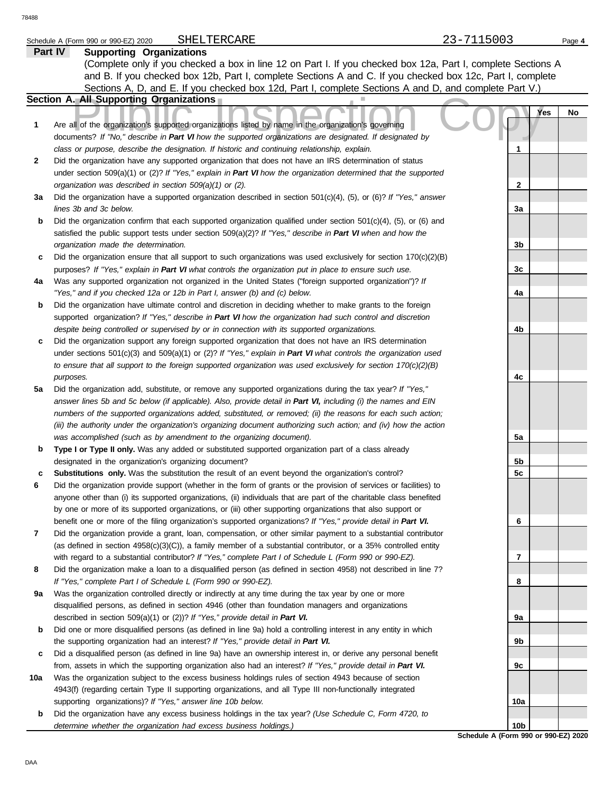### Schedule A (Form 990 or 990-EZ) 2020 SHELTERCARE 23-7115003 Page 4 SHELTERCARE

|     | Part IV<br><b>Supporting Organizations</b>                                                                                                                                                           |     |                  |
|-----|------------------------------------------------------------------------------------------------------------------------------------------------------------------------------------------------------|-----|------------------|
|     | (Complete only if you checked a box in line 12 on Part I. If you checked box 12a, Part I, complete Sections A                                                                                        |     |                  |
|     | and B. If you checked box 12b, Part I, complete Sections A and C. If you checked box 12c, Part I, complete                                                                                           |     |                  |
|     | Sections A, D, and E. If you checked box 12d, Part I, complete Sections A and D, and complete Part V.)                                                                                               |     |                  |
|     | Section A. All Supporting Organizations                                                                                                                                                              |     |                  |
|     |                                                                                                                                                                                                      |     | <b>Yes</b><br>No |
| 1   | Are all of the organization's supported organizations listed by name in the organization's governing                                                                                                 |     |                  |
|     | documents? If "No," describe in Part VI how the supported organizations are designated. If designated by                                                                                             |     |                  |
|     | class or purpose, describe the designation. If historic and continuing relationship, explain.                                                                                                        | 1   |                  |
| 2   | Did the organization have any supported organization that does not have an IRS determination of status                                                                                               |     |                  |
|     | under section 509(a)(1) or (2)? If "Yes," explain in Part VI how the organization determined that the supported                                                                                      |     |                  |
|     | organization was described in section 509(a)(1) or (2).                                                                                                                                              | 2   |                  |
| За  | Did the organization have a supported organization described in section $501(c)(4)$ , (5), or (6)? If "Yes," answer                                                                                  |     |                  |
|     | lines 3b and 3c below.                                                                                                                                                                               | За  |                  |
| b   | Did the organization confirm that each supported organization qualified under section $501(c)(4)$ , $(5)$ , or $(6)$ and                                                                             |     |                  |
|     | satisfied the public support tests under section 509(a)(2)? If "Yes," describe in Part VI when and how the                                                                                           |     |                  |
|     | organization made the determination.                                                                                                                                                                 | 3b  |                  |
| c   | Did the organization ensure that all support to such organizations was used exclusively for section $170(c)(2)(B)$                                                                                   |     |                  |
|     | purposes? If "Yes," explain in Part VI what controls the organization put in place to ensure such use.                                                                                               | 3c  |                  |
| 4a  | Was any supported organization not organized in the United States ("foreign supported organization")? If                                                                                             |     |                  |
|     | "Yes," and if you checked 12a or 12b in Part I, answer (b) and (c) below.                                                                                                                            | 4a  |                  |
| b   | Did the organization have ultimate control and discretion in deciding whether to make grants to the foreign                                                                                          |     |                  |
|     | supported organization? If "Yes," describe in Part VI how the organization had such control and discretion                                                                                           |     |                  |
|     | despite being controlled or supervised by or in connection with its supported organizations.                                                                                                         | 4b  |                  |
| c   | Did the organization support any foreign supported organization that does not have an IRS determination                                                                                              |     |                  |
|     | under sections $501(c)(3)$ and $509(a)(1)$ or (2)? If "Yes," explain in Part VI what controls the organization used                                                                                  |     |                  |
|     | to ensure that all support to the foreign supported organization was used exclusively for section $170(c)(2)(B)$                                                                                     |     |                  |
|     | purposes.                                                                                                                                                                                            | 4c  |                  |
| 5a  | Did the organization add, substitute, or remove any supported organizations during the tax year? If "Yes,"                                                                                           |     |                  |
|     | answer lines 5b and 5c below (if applicable). Also, provide detail in Part VI, including (i) the names and EIN                                                                                       |     |                  |
|     | numbers of the supported organizations added, substituted, or removed; (ii) the reasons for each such action;                                                                                        |     |                  |
|     | (iii) the authority under the organization's organizing document authorizing such action; and (iv) how the action                                                                                    |     |                  |
|     | was accomplished (such as by amendment to the organizing document).                                                                                                                                  | 5a  |                  |
| b   | Type I or Type II only. Was any added or substituted supported organization part of a class already                                                                                                  |     |                  |
|     | designated in the organization's organizing document?                                                                                                                                                | 5b  |                  |
| c   | Substitutions only. Was the substitution the result of an event beyond the organization's control?                                                                                                   | 5c  |                  |
| 6   | Did the organization provide support (whether in the form of grants or the provision of services or facilities) to                                                                                   |     |                  |
|     | anyone other than (i) its supported organizations, (ii) individuals that are part of the charitable class benefited                                                                                  |     |                  |
|     | by one or more of its supported organizations, or (iii) other supporting organizations that also support or                                                                                          |     |                  |
|     | benefit one or more of the filing organization's supported organizations? If "Yes," provide detail in Part VI.                                                                                       | 6   |                  |
| 7   | Did the organization provide a grant, loan, compensation, or other similar payment to a substantial contributor                                                                                      |     |                  |
|     | (as defined in section $4958(c)(3)(C)$ ), a family member of a substantial contributor, or a 35% controlled entity                                                                                   |     |                  |
|     | with regard to a substantial contributor? If "Yes," complete Part I of Schedule L (Form 990 or 990-EZ).                                                                                              | 7   |                  |
| 8   | Did the organization make a loan to a disqualified person (as defined in section 4958) not described in line 7?                                                                                      |     |                  |
|     | If "Yes," complete Part I of Schedule L (Form 990 or 990-EZ).                                                                                                                                        | 8   |                  |
| 9a  | Was the organization controlled directly or indirectly at any time during the tax year by one or more                                                                                                |     |                  |
|     | disqualified persons, as defined in section 4946 (other than foundation managers and organizations                                                                                                   |     |                  |
|     | described in section 509(a)(1) or (2))? If "Yes," provide detail in Part VI.                                                                                                                         | 9a  |                  |
| b   | Did one or more disqualified persons (as defined in line 9a) hold a controlling interest in any entity in which<br>the supporting organization had an interest? If "Yes," provide detail in Part VI. | 9b  |                  |
| c   | Did a disqualified person (as defined in line 9a) have an ownership interest in, or derive any personal benefit                                                                                      |     |                  |
|     | from, assets in which the supporting organization also had an interest? If "Yes," provide detail in Part VI.                                                                                         | 9с  |                  |
| 10a | Was the organization subject to the excess business holdings rules of section 4943 because of section                                                                                                |     |                  |
|     | 4943(f) (regarding certain Type II supporting organizations, and all Type III non-functionally integrated                                                                                            |     |                  |
|     | supporting organizations)? If "Yes," answer line 10b below.                                                                                                                                          | 10a |                  |
| b   | Did the organization have any excess business holdings in the tax year? (Use Schedule C, Form 4720, to                                                                                               |     |                  |
|     | determine whether the organization had excess business holdings.)                                                                                                                                    | 10b |                  |
|     |                                                                                                                                                                                                      |     |                  |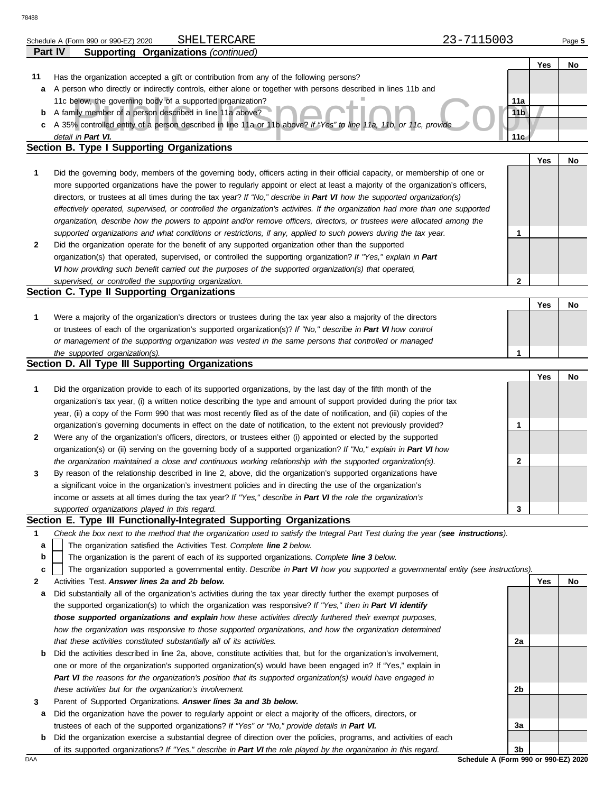|    | SHELTERCARE<br>Schedule A (Form 990 or 990-EZ) 2020                                                                               | 23-7115003      | Page 5 |
|----|-----------------------------------------------------------------------------------------------------------------------------------|-----------------|--------|
|    | <b>Supporting Organizations (continued)</b><br><b>Part IV</b>                                                                     |                 |        |
|    |                                                                                                                                   | Yes             | No     |
| 11 | Has the organization accepted a gift or contribution from any of the following persons?                                           |                 |        |
| а  | A person who directly or indirectly controls, either alone or together with persons described in lines 11b and                    |                 |        |
|    | 11c below, the governing body of a supported organization?                                                                        | 11a             |        |
| b  | A family member of a person described in line 11a above?                                                                          | 11 <sub>b</sub> |        |
| c  | A 35% controlled entity of a person described in line 11a or 11b above? If "Yes" to line 11a, 11b, or 11c, provide                |                 |        |
|    | detail in Part VI.                                                                                                                | 11 <sub>c</sub> |        |
|    | Section B. Type I Supporting Organizations                                                                                        |                 |        |
|    |                                                                                                                                   | Yes             | No     |
| 1  | Did the governing body, members of the governing body, officers acting in their official capacity, or membership of one or        |                 |        |
|    | more supported organizations have the power to regularly appoint or elect at least a majority of the organization's officers,     |                 |        |
|    | directors, or trustees at all times during the tax year? If "No," describe in Part VI how the supported organization(s)           |                 |        |
|    | effectively operated, supervised, or controlled the organization's activities. If the organization had more than one supported    |                 |        |
|    | organization, describe how the powers to appoint and/or remove officers, directors, or trustees were allocated among the          |                 |        |
|    | supported organizations and what conditions or restrictions, if any, applied to such powers during the tax year.                  | 1               |        |
| 2  | Did the organization operate for the benefit of any supported organization other than the supported                               |                 |        |
|    | organization(s) that operated, supervised, or controlled the supporting organization? If "Yes," explain in Part                   |                 |        |
|    | VI how providing such benefit carried out the purposes of the supported organization(s) that operated,                            |                 |        |
|    | supervised, or controlled the supporting organization.                                                                            | $\mathbf{2}$    |        |
|    | Section C. Type II Supporting Organizations                                                                                       |                 |        |
|    |                                                                                                                                   | Yes             | No     |
| 1  | Were a majority of the organization's directors or trustees during the tax year also a majority of the directors                  |                 |        |
|    | or trustees of each of the organization's supported organization(s)? If "No," describe in Part VI how control                     |                 |        |
|    | or management of the supporting organization was vested in the same persons that controlled or managed                            |                 |        |
|    | the supported organization(s).                                                                                                    | 1               |        |
|    | Section D. All Type III Supporting Organizations                                                                                  |                 |        |
|    |                                                                                                                                   | Yes             | No     |
| 1  | Did the organization provide to each of its supported organizations, by the last day of the fifth month of the                    |                 |        |
|    | organization's tax year, (i) a written notice describing the type and amount of support provided during the prior tax             |                 |        |
|    | year, (ii) a copy of the Form 990 that was most recently filed as of the date of notification, and (iii) copies of the            |                 |        |
|    | organization's governing documents in effect on the date of notification, to the extent not previously provided?                  | 1               |        |
| 2  | Were any of the organization's officers, directors, or trustees either (i) appointed or elected by the supported                  |                 |        |
|    | organization(s) or (ii) serving on the governing body of a supported organization? If "No," explain in Part VI how                |                 |        |
|    | the organization maintained a close and continuous working relationship with the supported organization(s).                       | 2               |        |
| 3  | By reason of the relationship described in line 2, above, did the organization's supported organizations have                     |                 |        |
|    | a significant voice in the organization's investment policies and in directing the use of the organization's                      |                 |        |
|    | income or assets at all times during the tax year? If "Yes," describe in Part VI the role the organization's                      |                 |        |
|    | supported organizations played in this regard.                                                                                    | 3               |        |
|    | Section E. Type III Functionally-Integrated Supporting Organizations                                                              |                 |        |
| 1  | Check the box next to the method that the organization used to satisfy the Integral Part Test during the year (see instructions). |                 |        |
| а  | The organization satisfied the Activities Test. Complete line 2 below.                                                            |                 |        |
| b  | The organization is the parent of each of its supported organizations. Complete line 3 below.                                     |                 |        |
| c  | The organization supported a governmental entity. Describe in Part VI how you supported a governmental entity (see instructions). |                 |        |
| 2  | Activities Test. Answer lines 2a and 2b below.                                                                                    | Yes             | No     |
| а  | Did substantially all of the organization's activities during the tax year directly further the exempt purposes of                |                 |        |
|    | the supported organization(s) to which the organization was responsive? If "Yes," then in Part VI identify                        |                 |        |
|    | those supported organizations and explain how these activities directly furthered their exempt purposes,                          |                 |        |
|    | how the organization was responsive to those supported organizations, and how the organization determined                         |                 |        |
|    | that these activities constituted substantially all of its activities.                                                            | 2a              |        |
| b  | Did the activities described in line 2a, above, constitute activities that, but for the organization's involvement,               |                 |        |
|    | one or more of the organization's supported organization(s) would have been engaged in? If "Yes," explain in                      |                 |        |
|    | Part VI the reasons for the organization's position that its supported organization(s) would have engaged in                      |                 |        |
|    | these activities but for the organization's involvement.                                                                          | 2b              |        |
| 3  | Parent of Supported Organizations. Answer lines 3a and 3b below.                                                                  |                 |        |

- **a** Did the organization have the power to regularly appoint or elect a majority of the officers, directors, or trustees of each of the supported organizations? *If "Yes" or "No," provide details in Part VI.*
- **b** Did the organization exercise a substantial degree of direction over the policies, programs, and activities of each of its supported organizations? *If "Yes," describe in Part VI the role played by the organization in this regard.*

DAA **Schedule A (Form 990 or 990-EZ) 2020 3b**

**3a**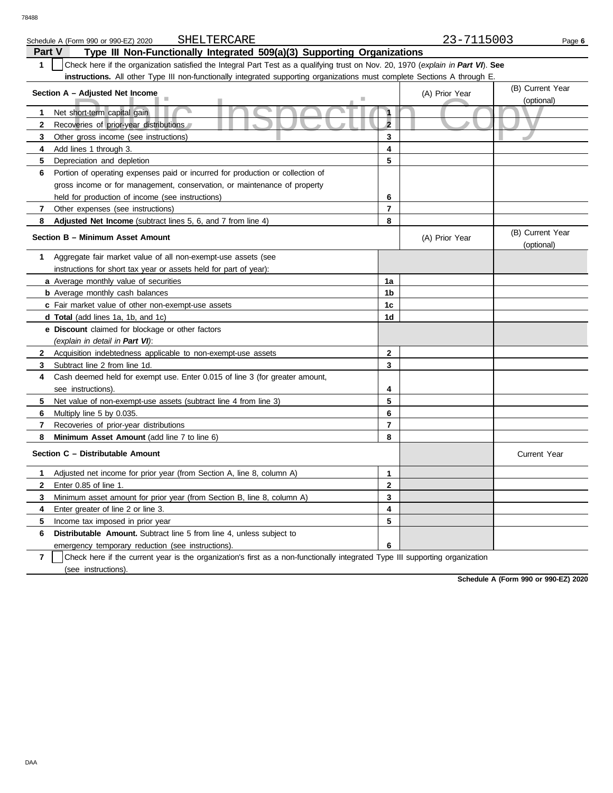|                                                                                          | SHELTERCARE<br>Schedule A (Form 990 or 990-EZ) 2020                                                                              |                | 23-7115003     | Page 6                         |  |  |  |  |
|------------------------------------------------------------------------------------------|----------------------------------------------------------------------------------------------------------------------------------|----------------|----------------|--------------------------------|--|--|--|--|
| <b>Part V</b><br>Type III Non-Functionally Integrated 509(a)(3) Supporting Organizations |                                                                                                                                  |                |                |                                |  |  |  |  |
| $\mathbf{1}$                                                                             | Check here if the organization satisfied the Integral Part Test as a qualifying trust on Nov. 20, 1970 (explain in Part VI). See |                |                |                                |  |  |  |  |
|                                                                                          | instructions. All other Type III non-functionally integrated supporting organizations must complete Sections A through E         |                |                |                                |  |  |  |  |
|                                                                                          | Section A - Adjusted Net Income                                                                                                  |                | (A) Prior Year | (B) Current Year               |  |  |  |  |
|                                                                                          |                                                                                                                                  |                |                | (optional)                     |  |  |  |  |
| 1                                                                                        | Net short-term capital gain                                                                                                      | $\mathbf{A}$   |                |                                |  |  |  |  |
| $\mathbf{2}$                                                                             | Recoveries of prior-year distributions                                                                                           | $\overline{2}$ |                |                                |  |  |  |  |
| 3                                                                                        | Other gross income (see instructions)                                                                                            | 3              |                |                                |  |  |  |  |
| 4                                                                                        | Add lines 1 through 3.                                                                                                           | 4              |                |                                |  |  |  |  |
| 5                                                                                        | Depreciation and depletion                                                                                                       | 5              |                |                                |  |  |  |  |
| 6                                                                                        | Portion of operating expenses paid or incurred for production or collection of                                                   |                |                |                                |  |  |  |  |
|                                                                                          | gross income or for management, conservation, or maintenance of property                                                         |                |                |                                |  |  |  |  |
|                                                                                          | held for production of income (see instructions)                                                                                 | 6              |                |                                |  |  |  |  |
| $\overline{7}$                                                                           | Other expenses (see instructions)                                                                                                | $\overline{7}$ |                |                                |  |  |  |  |
| 8                                                                                        | Adjusted Net Income (subtract lines 5, 6, and 7 from line 4)                                                                     | 8              |                |                                |  |  |  |  |
|                                                                                          | Section B - Minimum Asset Amount                                                                                                 |                | (A) Prior Year | (B) Current Year<br>(optional) |  |  |  |  |
| 1                                                                                        | Aggregate fair market value of all non-exempt-use assets (see                                                                    |                |                |                                |  |  |  |  |
|                                                                                          | instructions for short tax year or assets held for part of year):                                                                |                |                |                                |  |  |  |  |
|                                                                                          | a Average monthly value of securities                                                                                            | 1a             |                |                                |  |  |  |  |
|                                                                                          | <b>b</b> Average monthly cash balances                                                                                           | 1b             |                |                                |  |  |  |  |
|                                                                                          | c Fair market value of other non-exempt-use assets                                                                               | 1 <sub>c</sub> |                |                                |  |  |  |  |
|                                                                                          | d Total (add lines 1a, 1b, and 1c)                                                                                               | 1d             |                |                                |  |  |  |  |
|                                                                                          | e Discount claimed for blockage or other factors                                                                                 |                |                |                                |  |  |  |  |
|                                                                                          | (explain in detail in Part VI):                                                                                                  |                |                |                                |  |  |  |  |
| $\mathbf{2}$                                                                             | Acquisition indebtedness applicable to non-exempt-use assets                                                                     | $\mathbf 2$    |                |                                |  |  |  |  |
| 3                                                                                        | Subtract line 2 from line 1d.                                                                                                    | 3              |                |                                |  |  |  |  |
| 4                                                                                        | Cash deemed held for exempt use. Enter 0.015 of line 3 (for greater amount,                                                      |                |                |                                |  |  |  |  |
|                                                                                          | see instructions).                                                                                                               | 4              |                |                                |  |  |  |  |
| 5                                                                                        | Net value of non-exempt-use assets (subtract line 4 from line 3)                                                                 | 5              |                |                                |  |  |  |  |
| 6                                                                                        | Multiply line 5 by 0.035.                                                                                                        | 6              |                |                                |  |  |  |  |
| 7                                                                                        | Recoveries of prior-year distributions                                                                                           | 7              |                |                                |  |  |  |  |
| 8                                                                                        | Minimum Asset Amount (add line 7 to line 6)                                                                                      | 8              |                |                                |  |  |  |  |
|                                                                                          | Section C - Distributable Amount                                                                                                 |                |                | <b>Current Year</b>            |  |  |  |  |
| 1                                                                                        | Adjusted net income for prior year (from Section A, line 8, column A)                                                            | $\mathbf{1}$   |                |                                |  |  |  |  |
| $\mathbf{2}$                                                                             | Enter 0.85 of line 1.                                                                                                            | $\overline{2}$ |                |                                |  |  |  |  |
| 3                                                                                        | Minimum asset amount for prior year (from Section B, line 8, column A)                                                           | 3              |                |                                |  |  |  |  |
| 4                                                                                        | Enter greater of line 2 or line 3.                                                                                               | 4              |                |                                |  |  |  |  |
| 5                                                                                        | Income tax imposed in prior year                                                                                                 | 5              |                |                                |  |  |  |  |
| 6                                                                                        | <b>Distributable Amount.</b> Subtract line 5 from line 4, unless subject to                                                      |                |                |                                |  |  |  |  |
|                                                                                          | emergency temporary reduction (see instructions).                                                                                | 6              |                |                                |  |  |  |  |

**7** | Check here if the current year is the organization's first as a non-functionally integrated Type III supporting organization (see instructions).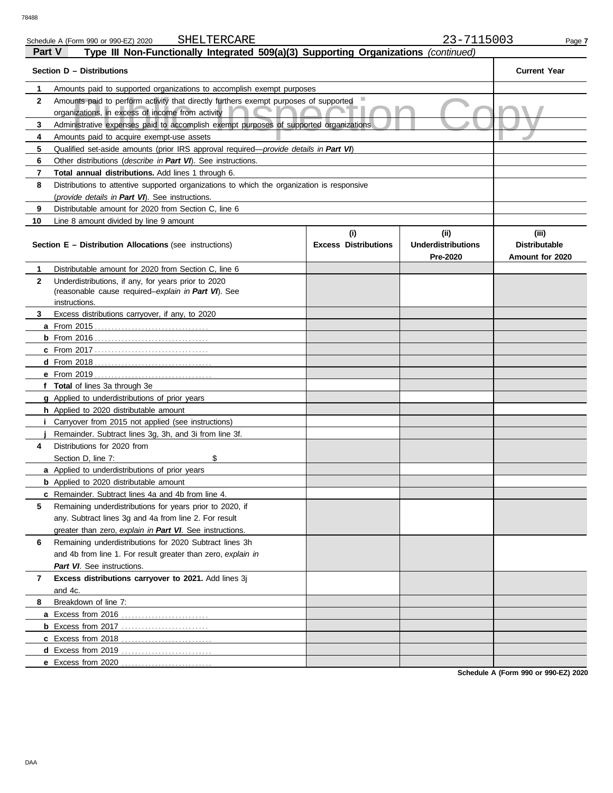| Part V<br>Type III Non-Functionally Integrated 509(a)(3) Supporting Organizations (continued) |                                                                                                                                          |                                    |                                               |                                                  |  |  |  |
|-----------------------------------------------------------------------------------------------|------------------------------------------------------------------------------------------------------------------------------------------|------------------------------------|-----------------------------------------------|--------------------------------------------------|--|--|--|
|                                                                                               | Section D - Distributions                                                                                                                |                                    |                                               | <b>Current Year</b>                              |  |  |  |
| 1                                                                                             | Amounts paid to supported organizations to accomplish exempt purposes                                                                    |                                    |                                               |                                                  |  |  |  |
| $\mathbf{2}$                                                                                  | Amounts paid to perform activity that directly furthers exempt purposes of supported<br>organizations, in excess of income from activity |                                    |                                               |                                                  |  |  |  |
| 3                                                                                             | Administrative expenses paid to accomplish exempt purposes of supported organizations                                                    |                                    |                                               |                                                  |  |  |  |
| 4                                                                                             | Amounts paid to acquire exempt-use assets                                                                                                |                                    |                                               |                                                  |  |  |  |
| 5                                                                                             | Qualified set-aside amounts (prior IRS approval required—provide details in Part VI)                                                     |                                    |                                               |                                                  |  |  |  |
| 6                                                                                             | Other distributions ( <i>describe in Part VI</i> ). See instructions.                                                                    |                                    |                                               |                                                  |  |  |  |
| 7                                                                                             | <b>Total annual distributions.</b> Add lines 1 through 6.                                                                                |                                    |                                               |                                                  |  |  |  |
| 8                                                                                             | Distributions to attentive supported organizations to which the organization is responsive                                               |                                    |                                               |                                                  |  |  |  |
|                                                                                               | (provide details in Part VI). See instructions.                                                                                          |                                    |                                               |                                                  |  |  |  |
| 9                                                                                             | Distributable amount for 2020 from Section C, line 6                                                                                     |                                    |                                               |                                                  |  |  |  |
| 10                                                                                            | Line 8 amount divided by line 9 amount                                                                                                   |                                    |                                               |                                                  |  |  |  |
|                                                                                               | <b>Section E - Distribution Allocations (see instructions)</b>                                                                           | (i)<br><b>Excess Distributions</b> | (ii)<br><b>Underdistributions</b><br>Pre-2020 | (iii)<br><b>Distributable</b><br>Amount for 2020 |  |  |  |
| 1                                                                                             | Distributable amount for 2020 from Section C, line 6                                                                                     |                                    |                                               |                                                  |  |  |  |
| $\mathbf{2}$                                                                                  | Underdistributions, if any, for years prior to 2020                                                                                      |                                    |                                               |                                                  |  |  |  |
|                                                                                               | (reasonable cause required-explain in Part VI). See                                                                                      |                                    |                                               |                                                  |  |  |  |
|                                                                                               | instructions.<br>Excess distributions carryover, if any, to 2020                                                                         |                                    |                                               |                                                  |  |  |  |
| 3                                                                                             |                                                                                                                                          |                                    |                                               |                                                  |  |  |  |
|                                                                                               | <b>a</b> From 2015                                                                                                                       |                                    |                                               |                                                  |  |  |  |
|                                                                                               |                                                                                                                                          |                                    |                                               |                                                  |  |  |  |
|                                                                                               |                                                                                                                                          |                                    |                                               |                                                  |  |  |  |
|                                                                                               |                                                                                                                                          |                                    |                                               |                                                  |  |  |  |
|                                                                                               |                                                                                                                                          |                                    |                                               |                                                  |  |  |  |
|                                                                                               | f Total of lines 3a through 3e                                                                                                           |                                    |                                               |                                                  |  |  |  |
|                                                                                               | <b>g</b> Applied to underdistributions of prior years                                                                                    |                                    |                                               |                                                  |  |  |  |
|                                                                                               | <b>h</b> Applied to 2020 distributable amount<br><i>i</i> Carryover from 2015 not applied (see instructions)                             |                                    |                                               |                                                  |  |  |  |
|                                                                                               | Remainder. Subtract lines 3g, 3h, and 3i from line 3f.                                                                                   |                                    |                                               |                                                  |  |  |  |
| 4                                                                                             | Distributions for 2020 from                                                                                                              |                                    |                                               |                                                  |  |  |  |
|                                                                                               | \$<br>Section D, line 7:                                                                                                                 |                                    |                                               |                                                  |  |  |  |
|                                                                                               | <b>a</b> Applied to underdistributions of prior years                                                                                    |                                    |                                               |                                                  |  |  |  |
|                                                                                               | <b>b</b> Applied to 2020 distributable amount                                                                                            |                                    |                                               |                                                  |  |  |  |
|                                                                                               | c Remainder. Subtract lines 4a and 4b from line 4.                                                                                       |                                    |                                               |                                                  |  |  |  |
| 5                                                                                             | Remaining underdistributions for years prior to 2020, if                                                                                 |                                    |                                               |                                                  |  |  |  |
|                                                                                               | any. Subtract lines 3g and 4a from line 2. For result                                                                                    |                                    |                                               |                                                  |  |  |  |
|                                                                                               | greater than zero, explain in Part VI. See instructions.                                                                                 |                                    |                                               |                                                  |  |  |  |
| 6                                                                                             | Remaining underdistributions for 2020 Subtract lines 3h                                                                                  |                                    |                                               |                                                  |  |  |  |
|                                                                                               | and 4b from line 1. For result greater than zero, explain in                                                                             |                                    |                                               |                                                  |  |  |  |
|                                                                                               | Part VI. See instructions.                                                                                                               |                                    |                                               |                                                  |  |  |  |
| 7                                                                                             | Excess distributions carryover to 2021. Add lines 3j                                                                                     |                                    |                                               |                                                  |  |  |  |
|                                                                                               | and 4c.                                                                                                                                  |                                    |                                               |                                                  |  |  |  |
| 8                                                                                             | Breakdown of line 7:                                                                                                                     |                                    |                                               |                                                  |  |  |  |
|                                                                                               |                                                                                                                                          |                                    |                                               |                                                  |  |  |  |
|                                                                                               |                                                                                                                                          |                                    |                                               |                                                  |  |  |  |
|                                                                                               |                                                                                                                                          |                                    |                                               |                                                  |  |  |  |
|                                                                                               | d Excess from 2019                                                                                                                       |                                    |                                               |                                                  |  |  |  |
|                                                                                               | e Excess from 2020                                                                                                                       |                                    |                                               |                                                  |  |  |  |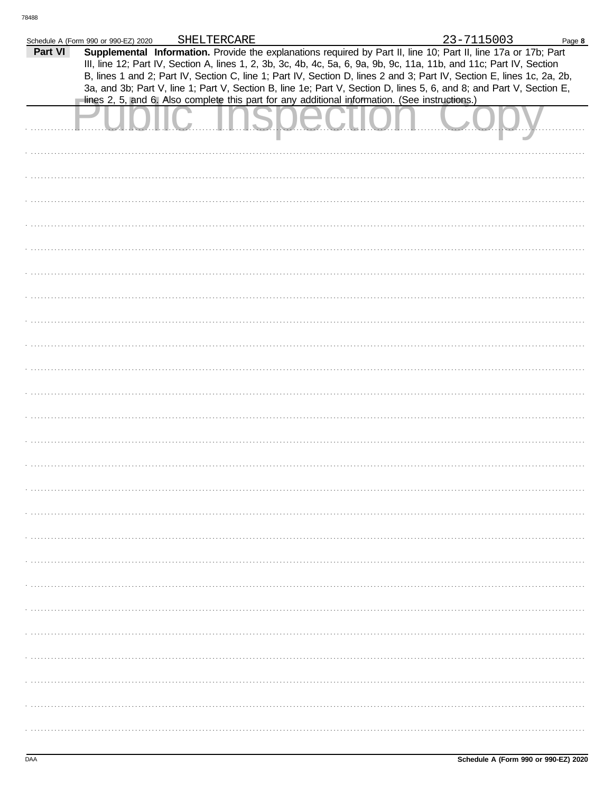|         | Schedule A (Form 990 or 990-EZ) 2020                                                           | SHELTERCARE |  | 23-7115003                                                                                                                                                                                                                              | Page 8 |
|---------|------------------------------------------------------------------------------------------------|-------------|--|-----------------------------------------------------------------------------------------------------------------------------------------------------------------------------------------------------------------------------------------|--------|
| Part VI |                                                                                                |             |  | Supplemental Information. Provide the explanations required by Part II, line 10; Part II, line 17a or 17b; Part<br>III, line 12; Part IV, Section A, lines 1, 2, 3b, 3c, 4b, 4c, 5a, 6, 9a, 9b, 9c, 11a, 11b, and 11c; Part IV, Section |        |
|         |                                                                                                |             |  | B, lines 1 and 2; Part IV, Section C, line 1; Part IV, Section D, lines 2 and 3; Part IV, Section E, lines 1c, 2a, 2b,                                                                                                                  |        |
|         |                                                                                                |             |  | 3a, and 3b; Part V, line 1; Part V, Section B, line 1e; Part V, Section D, lines 5, 6, and 8; and Part V, Section E,                                                                                                                    |        |
|         | lines 2, 5, and 6. Also complete this part for any additional information. (See instructions.) |             |  |                                                                                                                                                                                                                                         |        |
|         |                                                                                                |             |  |                                                                                                                                                                                                                                         |        |
|         |                                                                                                |             |  |                                                                                                                                                                                                                                         |        |
|         |                                                                                                |             |  |                                                                                                                                                                                                                                         |        |
|         |                                                                                                |             |  |                                                                                                                                                                                                                                         |        |
|         |                                                                                                |             |  |                                                                                                                                                                                                                                         |        |
|         |                                                                                                |             |  |                                                                                                                                                                                                                                         |        |
|         |                                                                                                |             |  |                                                                                                                                                                                                                                         |        |
|         |                                                                                                |             |  |                                                                                                                                                                                                                                         |        |
|         |                                                                                                |             |  |                                                                                                                                                                                                                                         |        |
|         |                                                                                                |             |  |                                                                                                                                                                                                                                         |        |
|         |                                                                                                |             |  |                                                                                                                                                                                                                                         |        |
|         |                                                                                                |             |  |                                                                                                                                                                                                                                         |        |
|         |                                                                                                |             |  |                                                                                                                                                                                                                                         |        |
|         |                                                                                                |             |  |                                                                                                                                                                                                                                         |        |
|         |                                                                                                |             |  |                                                                                                                                                                                                                                         |        |
|         |                                                                                                |             |  |                                                                                                                                                                                                                                         |        |
|         |                                                                                                |             |  |                                                                                                                                                                                                                                         |        |
|         |                                                                                                |             |  |                                                                                                                                                                                                                                         |        |
|         |                                                                                                |             |  |                                                                                                                                                                                                                                         |        |
|         |                                                                                                |             |  |                                                                                                                                                                                                                                         |        |
|         |                                                                                                |             |  |                                                                                                                                                                                                                                         |        |
|         |                                                                                                |             |  |                                                                                                                                                                                                                                         |        |
|         |                                                                                                |             |  |                                                                                                                                                                                                                                         |        |
|         |                                                                                                |             |  |                                                                                                                                                                                                                                         |        |
|         |                                                                                                |             |  |                                                                                                                                                                                                                                         |        |
|         |                                                                                                |             |  |                                                                                                                                                                                                                                         |        |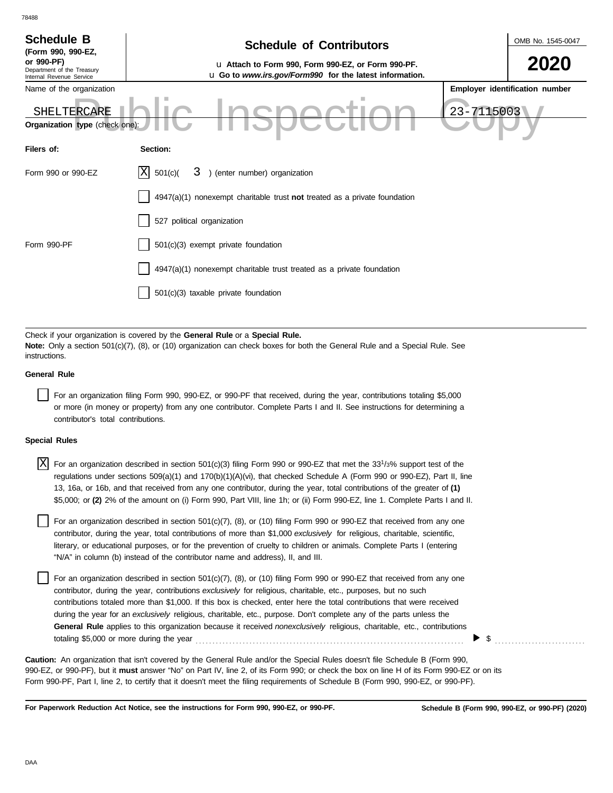| <b>Schedule B</b><br>(Form 990, 990-EZ,<br>or 990-PF)  | <b>Schedule of Contributors</b>                                                                                             |            | OMB No. 1545-0047              |
|--------------------------------------------------------|-----------------------------------------------------------------------------------------------------------------------------|------------|--------------------------------|
| Department of the Treasury<br>Internal Revenue Service | u Attach to Form 990, Form 990-EZ, or Form 990-PF.<br><b>u</b> Go to <i>www.irs.gov/Form990</i> for the latest information. |            | 2020                           |
| Name of the organization                               |                                                                                                                             |            | Employer identification number |
| SHELTERCARE                                            |                                                                                                                             | 23-7115003 |                                |
| <b>Organization type</b> (check one):                  |                                                                                                                             |            |                                |
| Filers of:                                             | Section:                                                                                                                    |            |                                |
| Form 990 or 990-EZ                                     | ΙX<br>3 ) (enter number) organization<br>501(c)                                                                             |            |                                |
|                                                        | 4947(a)(1) nonexempt charitable trust not treated as a private foundation                                                   |            |                                |
|                                                        | 527 political organization                                                                                                  |            |                                |
| Form 990-PF                                            | 501(c)(3) exempt private foundation                                                                                         |            |                                |
|                                                        | 4947(a)(1) nonexempt charitable trust treated as a private foundation                                                       |            |                                |
|                                                        | 501(c)(3) taxable private foundation                                                                                        |            |                                |

Check if your organization is covered by the **General Rule** or a **Special Rule. Note:** Only a section 501(c)(7), (8), or (10) organization can check boxes for both the General Rule and a Special Rule. See instructions.

### **General Rule**

78488

For an organization filing Form 990, 990-EZ, or 990-PF that received, during the year, contributions totaling \$5,000 or more (in money or property) from any one contributor. Complete Parts I and II. See instructions for determining a contributor's total contributions.

### **Special Rules**

| $X$ For an organization described in section 501(c)(3) filing Form 990 or 990-EZ that met the 33 <sup>1</sup> /3% support test of the |
|---------------------------------------------------------------------------------------------------------------------------------------|
| regulations under sections 509(a)(1) and 170(b)(1)(A)(vi), that checked Schedule A (Form 990 or 990-EZ), Part II, line                |
| 13, 16a, or 16b, and that received from any one contributor, during the year, total contributions of the greater of (1)               |
| \$5,000; or (2) 2% of the amount on (i) Form 990, Part VIII, line 1h; or (ii) Form 990-EZ, line 1. Complete Parts I and II.           |

literary, or educational purposes, or for the prevention of cruelty to children or animals. Complete Parts I (entering For an organization described in section  $501(c)(7)$ ,  $(8)$ , or  $(10)$  filing Form 990 or 990-EZ that received from any one contributor, during the year, total contributions of more than \$1,000 *exclusively* for religious, charitable, scientific, "N/A" in column (b) instead of the contributor name and address), II, and III.

For an organization described in section 501(c)(7), (8), or (10) filing Form 990 or 990-EZ that received from any one contributor, during the year, contributions *exclusively* for religious, charitable, etc., purposes, but no such contributions totaled more than \$1,000. If this box is checked, enter here the total contributions that were received during the year for an *exclusively* religious, charitable, etc., purpose. Don't complete any of the parts unless the **General Rule** applies to this organization because it received *nonexclusively* religious, charitable, etc., contributions totaling \$5,000 or more during the year . . . . . . . . . . . . . . . . . . . . . . . . . . . . . . . . . . . . . . . . . . . . . . . . . . . . . . . . . . . . . . . . . . . . . . . . . . . . . . . .

990-EZ, or 990-PF), but it **must** answer "No" on Part IV, line 2, of its Form 990; or check the box on line H of its Form 990-EZ or on its Form 990-PF, Part I, line 2, to certify that it doesn't meet the filing requirements of Schedule B (Form 990, 990-EZ, or 990-PF). **Caution:** An organization that isn't covered by the General Rule and/or the Special Rules doesn't file Schedule B (Form 990,

**For Paperwork Reduction Act Notice, see the instructions for Form 990, 990-EZ, or 990-PF.**

\$ . . . . . . . . . . . . . . . . . . . . . . . . . . .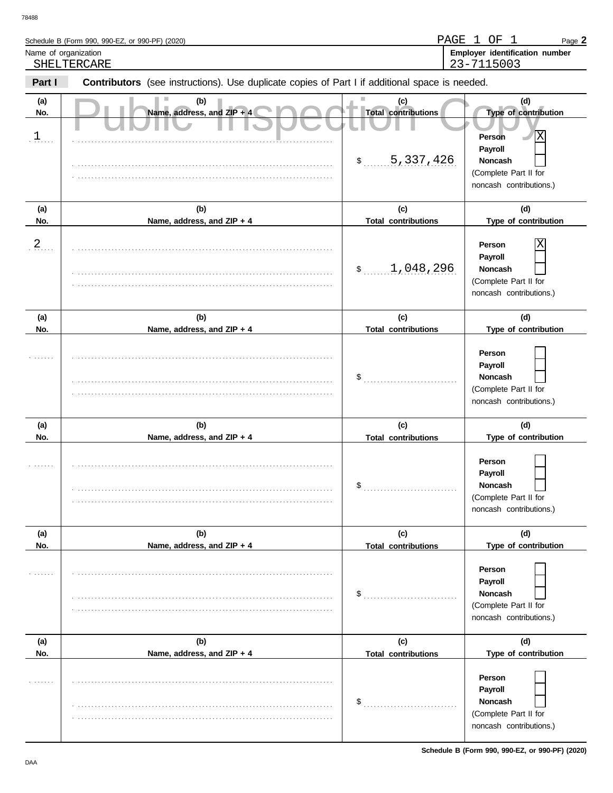| Schedule B (Form 990, 990-EZ, or 990-PF) (2020)                                                                      | PAGE 1 OF  |  | Page 2                                |
|----------------------------------------------------------------------------------------------------------------------|------------|--|---------------------------------------|
| Name of organization                                                                                                 |            |  | <b>Employer identification number</b> |
| SHELTERCARE                                                                                                          | 23-7115003 |  |                                       |
| <b>Contributors</b> (see instructions) Llse duplicate copies of Part Lif additional space is needed<br><b>Dart</b> I |            |  |                                       |

| Part I           | <b>Contributors</b> (see instructions). Use duplicate copies of Part I if additional space is needed. |                                   |                                                                                                                  |
|------------------|-------------------------------------------------------------------------------------------------------|-----------------------------------|------------------------------------------------------------------------------------------------------------------|
| (a)<br>No.       | (b)<br>Name, address, and ZIP + 4                                                                     | (c)<br><b>Total contributions</b> | (d)<br>Type of contribution                                                                                      |
| $1$              |                                                                                                       | 5,337,426<br>$\frac{1}{2}$        | $\overline{\text{X}}$<br>Person<br>Payroll<br><b>Noncash</b><br>(Complete Part II for<br>noncash contributions.) |
| (a)              | (b)                                                                                                   | (c)                               | (d)                                                                                                              |
| No.              | Name, address, and ZIP + 4                                                                            | <b>Total contributions</b>        | Type of contribution                                                                                             |
| $\overline{a}$ . |                                                                                                       | 1,048,296<br>$\frac{1}{2}$        | X<br>Person<br>Payroll<br><b>Noncash</b><br>(Complete Part II for<br>noncash contributions.)                     |
| (a)<br>No.       | (b)<br>Name, address, and ZIP + 4                                                                     | (c)<br><b>Total contributions</b> | (d)<br>Type of contribution                                                                                      |
|                  |                                                                                                       | \$                                | Person<br>Payroll<br><b>Noncash</b><br>(Complete Part II for<br>noncash contributions.)                          |
| (a)              | (b)                                                                                                   | (c)                               | (d)                                                                                                              |
| No.              | Name, address, and ZIP + 4                                                                            | <b>Total contributions</b><br>\$  | Type of contribution<br>Person<br>Payroll<br>Noncash<br>(Complete Part II for<br>noncash contributions.)         |
| (a)              | (b)                                                                                                   | (c)                               | (d)                                                                                                              |
| No.              | Name, address, and ZIP + 4                                                                            | <b>Total contributions</b><br>\$  | Type of contribution<br>Person<br>Payroll<br><b>Noncash</b><br>(Complete Part II for<br>noncash contributions.)  |
| (a)              | (b)                                                                                                   | (c)                               | (d)                                                                                                              |
| No.              | Name, address, and ZIP + 4                                                                            | <b>Total contributions</b>        | Type of contribution                                                                                             |
|                  |                                                                                                       | \$                                | Person<br>Payroll<br>Noncash<br>(Complete Part II for<br>noncash contributions.)                                 |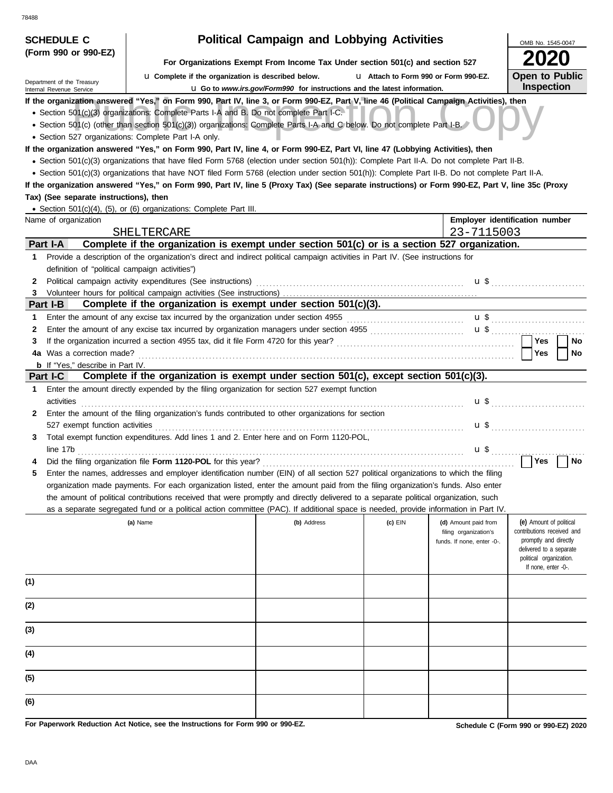| <b>SCHEDULE C</b>                                      |                                                                                                                                                                              | <b>Political Campaign and Lobbying Activities</b>                               |         |                            | OMB No. 1545-0047                                |  |  |  |
|--------------------------------------------------------|------------------------------------------------------------------------------------------------------------------------------------------------------------------------------|---------------------------------------------------------------------------------|---------|----------------------------|--------------------------------------------------|--|--|--|
| (Form 990 or 990-EZ)                                   |                                                                                                                                                                              |                                                                                 |         |                            |                                                  |  |  |  |
|                                                        | For Organizations Exempt From Income Tax Under section 501(c) and section 527<br>La Complete if the organization is described below.<br>U Attach to Form 990 or Form 990-EZ. |                                                                                 |         |                            |                                                  |  |  |  |
| Department of the Treasury<br>Internal Revenue Service |                                                                                                                                                                              | <b>u</b> Go to www.irs.gov/Form990 for instructions and the latest information. |         |                            | <b>Open to Public</b><br><b>Inspection</b>       |  |  |  |
|                                                        | If the organization answered "Yes," on Form 990, Part IV, line 3, or Form 990-EZ, Part V, line 46 (Political Campaign Activities), then                                      |                                                                                 |         |                            |                                                  |  |  |  |
|                                                        | • Section 501(c)(3) organizations: Complete Parts I-A and B. Do not complete Part I-C.                                                                                       |                                                                                 |         |                            |                                                  |  |  |  |
|                                                        | • Section 501(c) (other than section 501(c)(3)) organizations: Complete Parts I-A and C below. Do not complete Part I-B.                                                     |                                                                                 |         |                            |                                                  |  |  |  |
| • Section 527 organizations: Complete Part I-A only.   |                                                                                                                                                                              |                                                                                 |         |                            |                                                  |  |  |  |
|                                                        | If the organization answered "Yes," on Form 990, Part IV, line 4, or Form 990-EZ, Part VI, line 47 (Lobbying Activities), then                                               |                                                                                 |         |                            |                                                  |  |  |  |
|                                                        | · Section 501(c)(3) organizations that have filed Form 5768 (election under section 501(h)): Complete Part II-A. Do not complete Part II-B.                                  |                                                                                 |         |                            |                                                  |  |  |  |
|                                                        | • Section 501(c)(3) organizations that have NOT filed Form 5768 (election under section 501(h)): Complete Part II-B. Do not complete Part II-A.                              |                                                                                 |         |                            |                                                  |  |  |  |
| Tax) (See separate instructions), then                 | If the organization answered "Yes," on Form 990, Part IV, line 5 (Proxy Tax) (See separate instructions) or Form 990-EZ, Part V, line 35c (Proxy                             |                                                                                 |         |                            |                                                  |  |  |  |
|                                                        | • Section 501(c)(4), (5), or (6) organizations: Complete Part III.                                                                                                           |                                                                                 |         |                            |                                                  |  |  |  |
| Name of organization                                   |                                                                                                                                                                              |                                                                                 |         |                            | Employer identification number                   |  |  |  |
|                                                        | SHELTERCARE                                                                                                                                                                  |                                                                                 |         | 23-7115003                 |                                                  |  |  |  |
| Part I-A                                               | Complete if the organization is exempt under section 501(c) or is a section 527 organization.                                                                                |                                                                                 |         |                            |                                                  |  |  |  |
| 1                                                      | Provide a description of the organization's direct and indirect political campaign activities in Part IV. (See instructions for                                              |                                                                                 |         |                            |                                                  |  |  |  |
| definition of "political campaign activities")         |                                                                                                                                                                              |                                                                                 |         |                            |                                                  |  |  |  |
| 2                                                      | Political campaign activity expenditures (See instructions)                                                                                                                  |                                                                                 |         |                            | $\mathbf{u}$ \$                                  |  |  |  |
| 3.                                                     |                                                                                                                                                                              |                                                                                 |         |                            |                                                  |  |  |  |
| Part I-B                                               | Complete if the organization is exempt under section 501(c)(3).                                                                                                              |                                                                                 |         |                            |                                                  |  |  |  |
| 1                                                      | Enter the amount of any excise tax incurred by the organization under section 4955                                                                                           |                                                                                 |         |                            |                                                  |  |  |  |
| 2                                                      | Enter the amount of any excise tax incurred by organization managers under section 4955                                                                                      |                                                                                 |         | $\mathbf{u}$ \$            |                                                  |  |  |  |
| 3                                                      | If the organization incurred a section 4955 tax, did it file Form 4720 for this year?                                                                                        |                                                                                 |         |                            | Yes<br>No                                        |  |  |  |
| 4a Was a correction made?                              |                                                                                                                                                                              |                                                                                 |         |                            | Yes<br>No                                        |  |  |  |
| <b>b</b> If "Yes," describe in Part IV.                |                                                                                                                                                                              |                                                                                 |         |                            |                                                  |  |  |  |
| Part I-C                                               | Complete if the organization is exempt under section 501(c), except section 501(c)(3).                                                                                       |                                                                                 |         |                            |                                                  |  |  |  |
| 1                                                      | Enter the amount directly expended by the filing organization for section 527 exempt function                                                                                |                                                                                 |         |                            |                                                  |  |  |  |
| activities                                             |                                                                                                                                                                              |                                                                                 |         |                            | $\mathbf{u}$ \$                                  |  |  |  |
| 2                                                      | Enter the amount of the filing organization's funds contributed to other organizations for section                                                                           |                                                                                 |         |                            |                                                  |  |  |  |
| 527 exempt function activities<br>3                    | Total exempt function expenditures. Add lines 1 and 2. Enter here and on Form 1120-POL.                                                                                      |                                                                                 |         | u \$                       |                                                  |  |  |  |
| line 17b                                               |                                                                                                                                                                              |                                                                                 |         | u \$                       |                                                  |  |  |  |
|                                                        | Did the filing organization file Form 1120-POL for this year?                                                                                                                |                                                                                 |         |                            | <b>Yes</b><br>No                                 |  |  |  |
| 5                                                      | Enter the names, addresses and employer identification number (EIN) of all section 527 political organizations to which the filing                                           |                                                                                 |         |                            |                                                  |  |  |  |
|                                                        | organization made payments. For each organization listed, enter the amount paid from the filing organization's funds. Also enter                                             |                                                                                 |         |                            |                                                  |  |  |  |
|                                                        | the amount of political contributions received that were promptly and directly delivered to a separate political organization, such                                          |                                                                                 |         |                            |                                                  |  |  |  |
|                                                        | as a separate segregated fund or a political action committee (PAC). If additional space is needed, provide information in Part IV.                                          |                                                                                 |         |                            |                                                  |  |  |  |
|                                                        | (a) Name                                                                                                                                                                     | (b) Address                                                                     | (c) EIN | (d) Amount paid from       | (e) Amount of political                          |  |  |  |
|                                                        |                                                                                                                                                                              |                                                                                 |         | filing organization's      | contributions received and                       |  |  |  |
|                                                        |                                                                                                                                                                              |                                                                                 |         | funds. If none, enter -0-. | promptly and directly<br>delivered to a separate |  |  |  |
|                                                        |                                                                                                                                                                              |                                                                                 |         |                            | political organization.                          |  |  |  |
|                                                        |                                                                                                                                                                              |                                                                                 |         |                            | If none, enter -0-.                              |  |  |  |
| (1)                                                    |                                                                                                                                                                              |                                                                                 |         |                            |                                                  |  |  |  |
|                                                        |                                                                                                                                                                              |                                                                                 |         |                            |                                                  |  |  |  |
| (2)                                                    |                                                                                                                                                                              |                                                                                 |         |                            |                                                  |  |  |  |
|                                                        |                                                                                                                                                                              |                                                                                 |         |                            |                                                  |  |  |  |
| (3)                                                    |                                                                                                                                                                              |                                                                                 |         |                            |                                                  |  |  |  |
|                                                        |                                                                                                                                                                              |                                                                                 |         |                            |                                                  |  |  |  |
| (4)                                                    |                                                                                                                                                                              |                                                                                 |         |                            |                                                  |  |  |  |
|                                                        |                                                                                                                                                                              |                                                                                 |         |                            |                                                  |  |  |  |
| (5)                                                    |                                                                                                                                                                              |                                                                                 |         |                            |                                                  |  |  |  |
|                                                        |                                                                                                                                                                              |                                                                                 |         |                            |                                                  |  |  |  |
| (6)                                                    |                                                                                                                                                                              |                                                                                 |         |                            |                                                  |  |  |  |

**For Paperwork Reduction Act Notice, see the Instructions for Form 990 or 990-EZ.**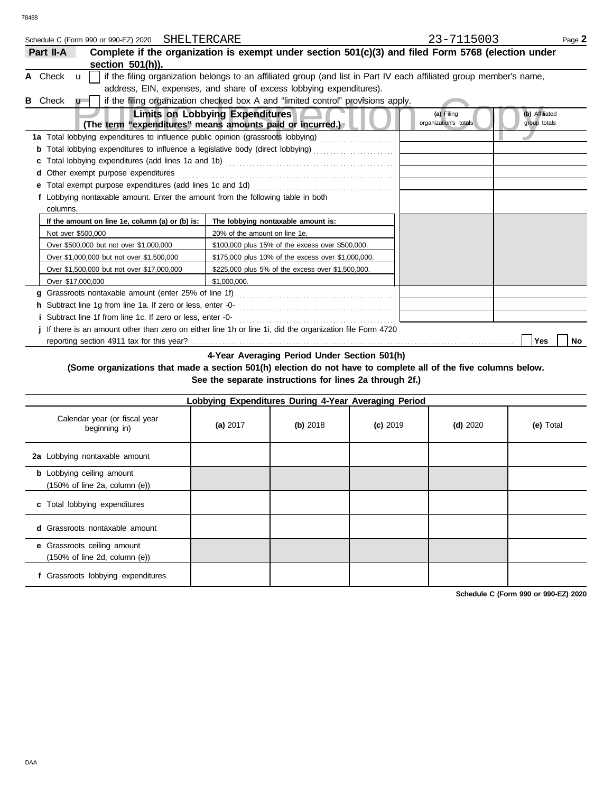|   |           | Schedule C (Form 990 or 990-EZ) 2020 SHELTERCARE |                                                                                                                     | 23-7115003                          | Page 2                         |
|---|-----------|--------------------------------------------------|---------------------------------------------------------------------------------------------------------------------|-------------------------------------|--------------------------------|
|   | Part II-A |                                                  | Complete if the organization is exempt under section 501(c)(3) and filed Form 5768 (election under                  |                                     |                                |
|   |           | section 501(h)).                                 |                                                                                                                     |                                     |                                |
|   | A Check u |                                                  | if the filing organization belongs to an affiliated group (and list in Part IV each affiliated group member's name, |                                     |                                |
|   |           |                                                  | address, EIN, expenses, and share of excess lobbying expenditures).                                                 |                                     |                                |
| в | Check     | $\mathbf{u}$                                     | if the filing organization checked box A and "limited control" provisions apply.                                    |                                     |                                |
|   |           |                                                  | <b>Limits on Lobbying Expenditures</b><br>(The term "expenditures" means amounts paid or incurred.)                 | (a) Filing<br>organization's totals | (b) Affiliated<br>group totals |
|   |           |                                                  | 1a Total lobbying expenditures to influence public opinion (grassroots lobbying) [[[[[[[[[[[[[[[[[[[[[[[[[[[[       |                                     |                                |
|   |           |                                                  | <b>b</b> Total lobbying expenditures to influence a legislative body (direct lobbying)                              |                                     |                                |
|   |           |                                                  |                                                                                                                     |                                     |                                |
|   |           | d Other exempt purpose expenditures              |                                                                                                                     |                                     |                                |
|   |           |                                                  |                                                                                                                     |                                     |                                |
|   |           |                                                  | f Lobbying nontaxable amount. Enter the amount from the following table in both                                     |                                     |                                |
|   | columns.  |                                                  |                                                                                                                     |                                     |                                |
|   |           | If the amount on line 1e, column (a) or (b) is:  | The lobbying nontaxable amount is:                                                                                  |                                     |                                |
|   |           | Not over \$500,000                               | 20% of the amount on line 1e.                                                                                       |                                     |                                |
|   |           | Over \$500,000 but not over \$1,000,000          | \$100,000 plus 15% of the excess over \$500,000.                                                                    |                                     |                                |
|   |           | Over \$1,000,000 but not over \$1,500,000        | \$175,000 plus 10% of the excess over \$1,000,000.                                                                  |                                     |                                |
|   |           | Over \$1,500,000 but not over \$17,000,000       | \$225,000 plus 5% of the excess over \$1,500,000.                                                                   |                                     |                                |
|   |           | Over \$17,000,000                                | \$1.000.000.                                                                                                        |                                     |                                |
|   |           |                                                  |                                                                                                                     |                                     |                                |
|   |           |                                                  | h Subtract line 1g from line 1a. If zero or less, enter -0-<br>[2010]<br>[2010]                                     |                                     |                                |
|   |           |                                                  |                                                                                                                     |                                     |                                |
|   |           |                                                  | j If there is an amount other than zero on either line 1h or line 1i, did the organization file Form 4720           |                                     |                                |
|   |           |                                                  |                                                                                                                     |                                     | Yes<br><b>No</b>               |
|   |           |                                                  |                                                                                                                     |                                     |                                |

**4-Year Averaging Period Under Section 501(h)**

**(Some organizations that made a section 501(h) election do not have to complete all of the five columns below. See the separate instructions for lines 2a through 2f.)**

| Lobbying Expenditures During 4-Year Averaging Period                                   |          |            |            |            |           |  |  |  |  |  |
|----------------------------------------------------------------------------------------|----------|------------|------------|------------|-----------|--|--|--|--|--|
| Calendar year (or fiscal year<br>beginning in)                                         | (a) 2017 | $(b)$ 2018 | $(c)$ 2019 | $(d)$ 2020 | (e) Total |  |  |  |  |  |
| 2a Lobbying nontaxable amount                                                          |          |            |            |            |           |  |  |  |  |  |
| <b>b</b> Lobbying ceiling amount<br>$(150\% \text{ of line } 2a, \text{ column } (e))$ |          |            |            |            |           |  |  |  |  |  |
| c Total lobbying expenditures                                                          |          |            |            |            |           |  |  |  |  |  |
| <b>d</b> Grassroots nontaxable amount                                                  |          |            |            |            |           |  |  |  |  |  |
| e Grassroots ceiling amount<br>$(150\% \text{ of line } 2d, \text{ column } (e))$      |          |            |            |            |           |  |  |  |  |  |
| Grassroots lobbying expenditures                                                       |          |            |            |            |           |  |  |  |  |  |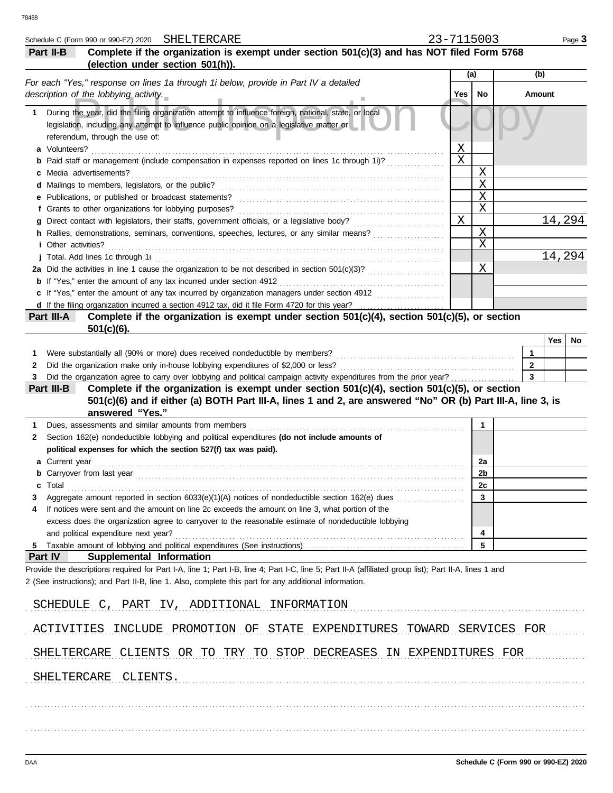|        | Schedule C (Form 990 or 990-EZ) 2020 SHELTERCARE                                                                                                                                                                                   | 23-7115003 |                  |                                         |        | Page 3 |
|--------|------------------------------------------------------------------------------------------------------------------------------------------------------------------------------------------------------------------------------------|------------|------------------|-----------------------------------------|--------|--------|
|        | Complete if the organization is exempt under section 501(c)(3) and has NOT filed Form 5768<br>Part II-B                                                                                                                            |            |                  |                                         |        |        |
|        | (election under section 501(h)).                                                                                                                                                                                                   |            |                  |                                         |        |        |
|        | For each "Yes," response on lines 1a through 1i below, provide in Part IV a detailed                                                                                                                                               |            | (a)              |                                         | (b)    |        |
|        | description of the lobbying activity.                                                                                                                                                                                              | Yes        | No               |                                         | Amount |        |
|        |                                                                                                                                                                                                                                    |            |                  |                                         |        |        |
|        | 1 During the year, did the filing organization attempt to influence foreign, national, state, or local                                                                                                                             |            |                  |                                         |        |        |
|        | legislation, including any attempt to influence public opinion on a legislative matter or                                                                                                                                          |            |                  |                                         |        |        |
|        | referendum, through the use of:                                                                                                                                                                                                    |            |                  |                                         |        |        |
|        | a Volunteers?                                                                                                                                                                                                                      | Χ          |                  |                                         |        |        |
|        | Paid staff or management (include compensation in expenses reported on lines 1c through 1i)?                                                                                                                                       | $\rm X$    |                  |                                         |        |        |
|        | <b>c</b> Media advertisements?                                                                                                                                                                                                     |            | Χ                |                                         |        |        |
|        | d Mailings to members, legislators, or the public?                                                                                                                                                                                 |            | X                |                                         |        |        |
|        | e Publications, or published or broadcast statements?                                                                                                                                                                              |            | $\mathbf X$<br>X |                                         |        |        |
|        | f Grants to other organizations for lobbying purposes?                                                                                                                                                                             |            |                  |                                         |        |        |
|        | g Direct contact with legislators, their staffs, government officials, or a legislative body?                                                                                                                                      | X          |                  |                                         |        | 14,294 |
|        | h Rallies, demonstrations, seminars, conventions, speeches, lectures, or any similar means?                                                                                                                                        |            | X<br>X           |                                         |        |        |
|        | <i>i</i> Other activities?                                                                                                                                                                                                         |            |                  |                                         |        | 14,294 |
|        | j Total. Add lines 1c through 1i                                                                                                                                                                                                   |            | Χ                |                                         |        |        |
|        |                                                                                                                                                                                                                                    |            |                  |                                         |        |        |
|        | <b>b</b> If "Yes," enter the amount of any tax incurred under section 4912                                                                                                                                                         |            |                  |                                         |        |        |
|        | c If "Yes," enter the amount of any tax incurred by organization managers under section 4912                                                                                                                                       |            |                  |                                         |        |        |
|        |                                                                                                                                                                                                                                    |            |                  |                                         |        |        |
|        | Complete if the organization is exempt under section 501(c)(4), section 501(c)(5), or section<br>Part III-A                                                                                                                        |            |                  |                                         |        |        |
|        | $501(c)(6)$ .                                                                                                                                                                                                                      |            |                  |                                         |        |        |
|        |                                                                                                                                                                                                                                    |            |                  |                                         | Yes    | No     |
| 1.     | Were substantially all (90% or more) dues received nondeductible by members?                                                                                                                                                       |            |                  | 1                                       |        |        |
| 2      | Did the organization make only in-house lobbying expenditures of \$2,000 or less?                                                                                                                                                  |            |                  | $\mathbf{2}$<br>$\overline{\mathbf{3}}$ |        |        |
|        | Did the organization agree to carry over lobbying and political campaign activity expenditures from the prior year?<br>Complete if the organization is exempt under section 501(c)(4), section 501(c)(5), or section<br>Part III-B |            |                  |                                         |        |        |
|        | 501(c)(6) and if either (a) BOTH Part III-A, lines 1 and 2, are answered "No" OR (b) Part III-A, line 3, is                                                                                                                        |            |                  |                                         |        |        |
|        | answered "Yes."                                                                                                                                                                                                                    |            |                  |                                         |        |        |
| 1      | Dues, assessments and similar amounts from members                                                                                                                                                                                 |            | 1                |                                         |        |        |
| 2      | Section 162(e) nondeductible lobbying and political expenditures (do not include amounts of                                                                                                                                        |            |                  |                                         |        |        |
|        | political expenses for which the section 527(f) tax was paid).                                                                                                                                                                     |            |                  |                                         |        |        |
|        | a Current year                                                                                                                                                                                                                     |            | 2a               |                                         |        |        |
|        |                                                                                                                                                                                                                                    |            | 2b               |                                         |        |        |
|        | <b>b</b> Carryover from last year <i>manufacture content of the care content of the carryover from last year</i><br>Total                                                                                                          |            |                  |                                         |        |        |
| c<br>3 | Aggregate amount reported in section $6033(e)(1)(A)$ notices of nondeductible section $162(e)$ dues                                                                                                                                |            | <u>zc</u><br>3   |                                         |        |        |
|        | If notices were sent and the amount on line 2c exceeds the amount on line 3, what portion of the                                                                                                                                   |            |                  |                                         |        |        |
|        | excess does the organization agree to carryover to the reasonable estimate of nondeductible lobbying                                                                                                                               |            |                  |                                         |        |        |
|        | and political expenditure next year?                                                                                                                                                                                               |            | 4                |                                         |        |        |
| 5      |                                                                                                                                                                                                                                    |            | 5                |                                         |        |        |
|        | Part IV<br>Supplemental Information                                                                                                                                                                                                |            |                  |                                         |        |        |
|        | Provide the descriptions required for Part I-A, line 1; Part I-B, line 4; Part I-C, line 5; Part II-A (affiliated group list); Part II-A, lines 1 and                                                                              |            |                  |                                         |        |        |
|        | 2 (See instructions); and Part II-B, line 1. Also, complete this part for any additional information.                                                                                                                              |            |                  |                                         |        |        |
|        |                                                                                                                                                                                                                                    |            |                  |                                         |        |        |
|        | SCHEDULE C, PART IV, ADDITIONAL INFORMATION                                                                                                                                                                                        |            |                  |                                         |        |        |
|        |                                                                                                                                                                                                                                    |            |                  |                                         |        |        |
|        | ACTIVITIES INCLUDE PROMOTION OF STATE EXPENDITURES TOWARD SERVICES FOR                                                                                                                                                             |            |                  |                                         |        |        |
|        | SHELTERCARE CLIENTS OR TO TRY TO STOP DECREASES IN EXPENDITURES FOR                                                                                                                                                                |            |                  |                                         |        |        |
|        |                                                                                                                                                                                                                                    |            |                  |                                         |        |        |
|        | SHELTERCARE CLIENTS.                                                                                                                                                                                                               |            |                  |                                         |        |        |
|        |                                                                                                                                                                                                                                    |            |                  |                                         |        |        |
|        |                                                                                                                                                                                                                                    |            |                  |                                         |        |        |
|        |                                                                                                                                                                                                                                    |            |                  |                                         |        |        |
|        |                                                                                                                                                                                                                                    |            |                  |                                         |        |        |
|        |                                                                                                                                                                                                                                    |            |                  |                                         |        |        |
|        |                                                                                                                                                                                                                                    |            |                  |                                         |        |        |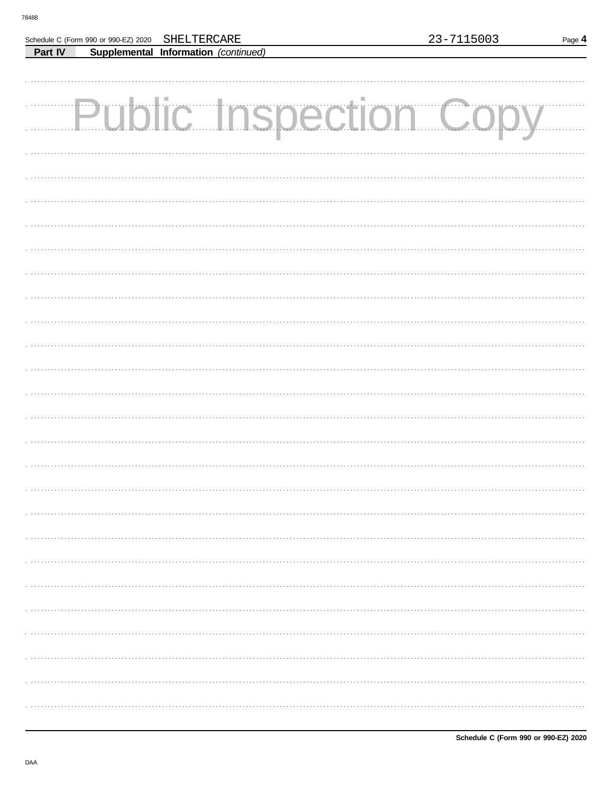Г

Part IV

Schedule C (Form 990 or 990-EZ) 2020

SHELTERCARE

Supplemental Information (continued)

| <b>Public Inspection Copy</b> |  |
|-------------------------------|--|
|                               |  |
|                               |  |
|                               |  |
|                               |  |
|                               |  |
|                               |  |
|                               |  |
|                               |  |
|                               |  |
|                               |  |
|                               |  |
|                               |  |
|                               |  |
|                               |  |
|                               |  |
|                               |  |
|                               |  |
|                               |  |
|                               |  |
|                               |  |
|                               |  |
|                               |  |
|                               |  |
|                               |  |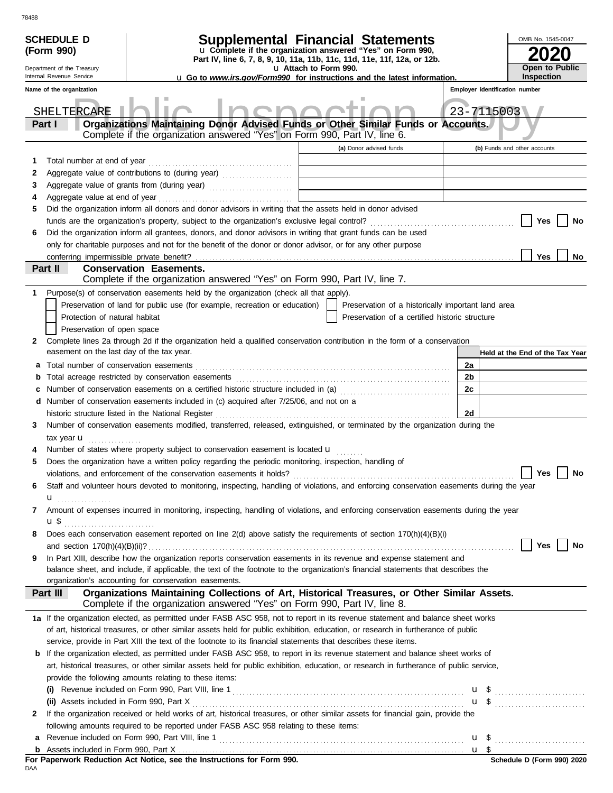|    | <b>SCHEDULE D</b><br>(Form 990)<br>Department of the Treasury<br>Internal Revenue Service | <b>Supplemental Financial Statements</b><br>u Complete if the organization answered "Yes" on Form 990,<br>Part IV, line 6, 7, 8, 9, 10, 11a, 11b, 11c, 11d, 11e, 11f, 12a, or 12b.                                           | u Attach to Form 990.                                                      |                                                    |    | OMB No. 1545-0047<br>Open to Public                 |
|----|-------------------------------------------------------------------------------------------|------------------------------------------------------------------------------------------------------------------------------------------------------------------------------------------------------------------------------|----------------------------------------------------------------------------|----------------------------------------------------|----|-----------------------------------------------------|
|    | Name of the organization                                                                  | <b>u</b> Go to <i>www.irs.gov/Form990</i> for instructions and the latest information.                                                                                                                                       |                                                                            |                                                    |    | <b>Inspection</b><br>Employer identification number |
|    |                                                                                           |                                                                                                                                                                                                                              |                                                                            |                                                    |    |                                                     |
|    | SHELTERCARE<br>Part I                                                                     | Organizations Maintaining Donor Advised Funds or Other Similar Funds or Accounts.<br>Complete if the organization answered "Yes" on Form 990, Part IV, line 6.                                                               |                                                                            |                                                    |    | 23-7115003                                          |
|    |                                                                                           |                                                                                                                                                                                                                              |                                                                            | (a) Donor advised funds                            |    | (b) Funds and other accounts                        |
| 1  | Total number at end of year                                                               |                                                                                                                                                                                                                              |                                                                            |                                                    |    |                                                     |
| 2  |                                                                                           |                                                                                                                                                                                                                              |                                                                            |                                                    |    |                                                     |
| 3  |                                                                                           |                                                                                                                                                                                                                              | the control of the control of the control of the control of the control of |                                                    |    |                                                     |
| 4  |                                                                                           |                                                                                                                                                                                                                              |                                                                            |                                                    |    |                                                     |
| 5  |                                                                                           | Did the organization inform all donors and donor advisors in writing that the assets held in donor advised                                                                                                                   |                                                                            |                                                    |    |                                                     |
|    |                                                                                           |                                                                                                                                                                                                                              |                                                                            |                                                    |    | Yes<br>No                                           |
| 6  |                                                                                           | Did the organization inform all grantees, donors, and donor advisors in writing that grant funds can be used<br>only for charitable purposes and not for the benefit of the donor or donor advisor, or for any other purpose |                                                                            |                                                    |    |                                                     |
|    | conferring impermissible private benefit?                                                 |                                                                                                                                                                                                                              |                                                                            |                                                    |    | Yes<br>No                                           |
|    | Part II                                                                                   | <b>Conservation Easements.</b>                                                                                                                                                                                               |                                                                            |                                                    |    |                                                     |
|    |                                                                                           | Complete if the organization answered "Yes" on Form 990, Part IV, line 7.                                                                                                                                                    |                                                                            |                                                    |    |                                                     |
| 1. |                                                                                           | Purpose(s) of conservation easements held by the organization (check all that apply).                                                                                                                                        |                                                                            |                                                    |    |                                                     |
|    |                                                                                           | Preservation of land for public use (for example, recreation or education)                                                                                                                                                   |                                                                            | Preservation of a historically important land area |    |                                                     |
|    | Protection of natural habitat                                                             |                                                                                                                                                                                                                              |                                                                            | Preservation of a certified historic structure     |    |                                                     |
|    | Preservation of open space                                                                |                                                                                                                                                                                                                              |                                                                            |                                                    |    |                                                     |
| 2  | easement on the last day of the tax year.                                                 | Complete lines 2a through 2d if the organization held a qualified conservation contribution in the form of a conservation                                                                                                    |                                                                            |                                                    |    | Held at the End of the Tax Year                     |
| а  |                                                                                           |                                                                                                                                                                                                                              |                                                                            |                                                    | 2a |                                                     |
| b  |                                                                                           |                                                                                                                                                                                                                              |                                                                            |                                                    | 2b |                                                     |
| c  |                                                                                           | Number of conservation easements on a certified historic structure included in (a) [[[[[ [ [ a]]]                                                                                                                            |                                                                            |                                                    | 2c |                                                     |
| d  |                                                                                           | Number of conservation easements included in (c) acquired after 7/25/06, and not on a                                                                                                                                        |                                                                            |                                                    |    |                                                     |
|    |                                                                                           | historic structure listed in the National Register                                                                                                                                                                           |                                                                            |                                                    | 2d |                                                     |
| 3  |                                                                                           | Number of conservation easements modified, transferred, released, extinguished, or terminated by the organization during the                                                                                                 |                                                                            |                                                    |    |                                                     |
|    | tax year $\mathbf{u}$                                                                     |                                                                                                                                                                                                                              |                                                                            |                                                    |    |                                                     |
| 4  |                                                                                           | Number of states where property subject to conservation easement is located u                                                                                                                                                |                                                                            |                                                    |    |                                                     |
| 5  |                                                                                           | Does the organization have a written policy regarding the periodic monitoring, inspection, handling of                                                                                                                       |                                                                            |                                                    |    |                                                     |
|    |                                                                                           |                                                                                                                                                                                                                              |                                                                            |                                                    |    | Yes $\boxed{\phantom{a}}$<br>No                     |
| 6  |                                                                                           | Staff and volunteer hours devoted to monitoring, inspecting, handling of violations, and enforcing conservation easements during the year                                                                                    |                                                                            |                                                    |    |                                                     |
|    |                                                                                           |                                                                                                                                                                                                                              |                                                                            |                                                    |    |                                                     |
| 7  |                                                                                           | Amount of expenses incurred in monitoring, inspecting, handling of violations, and enforcing conservation easements during the year                                                                                          |                                                                            |                                                    |    |                                                     |
|    |                                                                                           |                                                                                                                                                                                                                              |                                                                            |                                                    |    |                                                     |
| 8  |                                                                                           | Does each conservation easement reported on line 2(d) above satisfy the requirements of section 170(h)(4)(B)(i)                                                                                                              |                                                                            |                                                    |    | Yes                                                 |
|    |                                                                                           | In Part XIII, describe how the organization reports conservation easements in its revenue and expense statement and                                                                                                          |                                                                            |                                                    |    | No                                                  |
| 9  |                                                                                           | balance sheet, and include, if applicable, the text of the footnote to the organization's financial statements that describes the<br>organization's accounting for conservation easements.                                   |                                                                            |                                                    |    |                                                     |
|    | Part III                                                                                  | Organizations Maintaining Collections of Art, Historical Treasures, or Other Similar Assets.<br>Complete if the organization answered "Yes" on Form 990, Part IV, line 8.                                                    |                                                                            |                                                    |    |                                                     |
|    |                                                                                           | 1a If the organization elected, as permitted under FASB ASC 958, not to report in its revenue statement and balance sheet works                                                                                              |                                                                            |                                                    |    |                                                     |
|    |                                                                                           | of art, historical treasures, or other similar assets held for public exhibition, education, or research in furtherance of public                                                                                            |                                                                            |                                                    |    |                                                     |
|    |                                                                                           | service, provide in Part XIII the text of the footnote to its financial statements that describes these items.                                                                                                               |                                                                            |                                                    |    |                                                     |
| b  |                                                                                           | If the organization elected, as permitted under FASB ASC 958, to report in its revenue statement and balance sheet works of                                                                                                  |                                                                            |                                                    |    |                                                     |
|    |                                                                                           | art, historical treasures, or other similar assets held for public exhibition, education, or research in furtherance of public service,                                                                                      |                                                                            |                                                    |    |                                                     |
|    |                                                                                           | provide the following amounts relating to these items:                                                                                                                                                                       |                                                                            |                                                    |    |                                                     |
|    | (i)                                                                                       |                                                                                                                                                                                                                              |                                                                            |                                                    |    | $\mathbf{u}$ \$                                     |
|    |                                                                                           |                                                                                                                                                                                                                              |                                                                            |                                                    |    |                                                     |
| 2  |                                                                                           | If the organization received or held works of art, historical treasures, or other similar assets for financial gain, provide the                                                                                             |                                                                            |                                                    |    |                                                     |
|    |                                                                                           | following amounts required to be reported under FASB ASC 958 relating to these items:                                                                                                                                        |                                                                            |                                                    |    |                                                     |
| a  |                                                                                           |                                                                                                                                                                                                                              |                                                                            |                                                    |    | $u \text{ }$                                        |
|    |                                                                                           |                                                                                                                                                                                                                              |                                                                            |                                                    |    |                                                     |
|    |                                                                                           | For Paperwork Reduction Act Notice, see the Instructions for Form 990.                                                                                                                                                       |                                                                            |                                                    |    | Schedule D (Form 990) 2020                          |

78488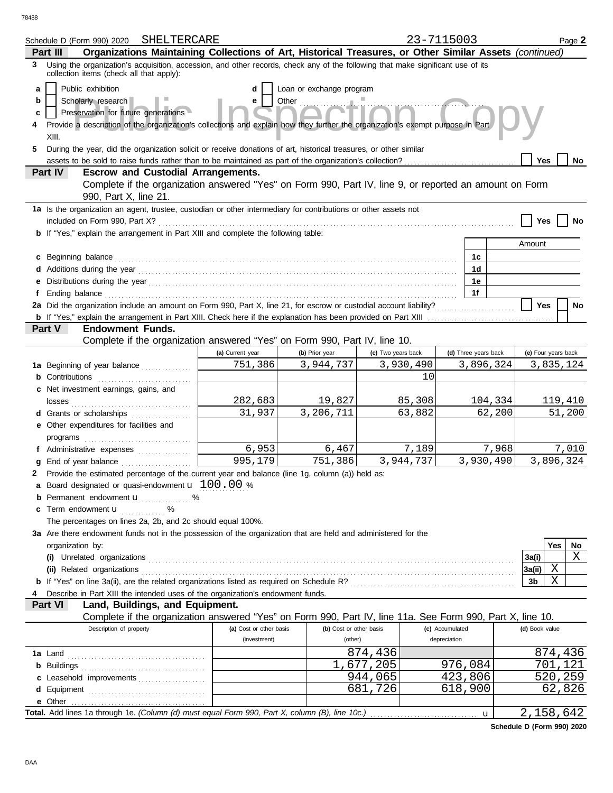78488

| Organizations Maintaining Collections of Art, Historical Treasures, or Other Similar Assets (continued)<br>Part III<br>Using the organization's acquisition, accession, and other records, check any of the following that make significant use of its<br>3<br>collection items (check all that apply):<br>Public exhibition<br>Loan or exchange program<br>d<br>a<br>Scholarly research<br>Other<br>b<br>е<br>Preservation for future generations<br>c<br>Provide a description of the organization's collections and explain how they further the organization's exempt purpose in Part<br>4<br>XIII.<br>During the year, did the organization solicit or receive donations of art, historical treasures, or other similar<br>5<br>Yes<br>No.<br><b>Escrow and Custodial Arrangements.</b><br>Part IV<br>Complete if the organization answered "Yes" on Form 990, Part IV, line 9, or reported an amount on Form<br>990, Part X, line 21.<br>1a Is the organization an agent, trustee, custodian or other intermediary for contributions or other assets not<br>included on Form 990, Part X?<br>Yes<br>No<br><b>b</b> If "Yes," explain the arrangement in Part XIII and complete the following table:<br>Amount<br>c Beginning balance <b>contract to the contract of the set of the contract of the contract of the contract of the contract of the contract of the contract of the contract of the contract of the contract of the contract of th</b><br>1c<br>1d<br>1e<br>1f<br>2a Did the organization include an amount on Form 990, Part X, line 21, for escrow or custodial account liability?<br><b>Yes</b><br>No<br>Part V<br><b>Endowment Funds.</b><br>Complete if the organization answered "Yes" on Form 990, Part IV, line 10.<br>(a) Current year<br>(b) Prior year<br>(c) Two years back<br>(d) Three years back<br>(e) Four years back<br>751,386<br>3,944,737<br>3,930,490<br>3,896,324<br>3,835,124<br>1a Beginning of year balance<br>10<br><b>b</b> Contributions<br>c Net investment earnings, gains, and<br>282,683<br>19,827<br>85,308<br>104,334<br>119,410<br>3,206,711<br>31,937<br>63,882<br>62,200<br>51,200<br><b>d</b> Grants or scholarships<br>.<br>e Other expenditures for facilities and<br>6,953<br>7,189<br>7,968<br>7,010<br>6,467<br>f Administrative expenses<br>995,179<br>3,944,737<br>751,386<br>3,930,490<br>3,896,324<br>g End of year balance<br>2 Provide the estimated percentage of the current year end balance (line 1g, column (a)) held as:<br><b>a</b> Board designated or quasi-endowment $\mathbf{u}$ 100.00 %<br>Permanent endowment <b>u</b> %<br>c Term endowment <b>u</b> %<br>The percentages on lines 2a, 2b, and 2c should equal 100%.<br>3a Are there endowment funds not in the possession of the organization that are held and administered for the<br>Yes<br>No.<br>organization by:<br>X<br>3a(i)<br>Χ<br>3a(ii)<br>X<br>3b<br>Describe in Part XIII the intended uses of the organization's endowment funds.<br>Part VI<br>Land, Buildings, and Equipment.<br>Complete if the organization answered "Yes" on Form 990, Part IV, line 11a. See Form 990, Part X, line 10.<br>Description of property<br>(b) Cost or other basis<br>(c) Accumulated<br>(d) Book value<br>(a) Cost or other basis<br>(investment)<br>depreciation<br>(other)<br>874,436<br>874,436<br>,677,205<br>976,084<br>701,121<br>423,806<br>520,259<br>944,065<br>c Leasehold improvements<br>681,726<br>618,900<br>62,826<br>e Other<br>2,158,642 | Schedule D (Form 990) 2020 SHELTERCARE |  | 23-7115003 |   |  | Page 2 |
|---------------------------------------------------------------------------------------------------------------------------------------------------------------------------------------------------------------------------------------------------------------------------------------------------------------------------------------------------------------------------------------------------------------------------------------------------------------------------------------------------------------------------------------------------------------------------------------------------------------------------------------------------------------------------------------------------------------------------------------------------------------------------------------------------------------------------------------------------------------------------------------------------------------------------------------------------------------------------------------------------------------------------------------------------------------------------------------------------------------------------------------------------------------------------------------------------------------------------------------------------------------------------------------------------------------------------------------------------------------------------------------------------------------------------------------------------------------------------------------------------------------------------------------------------------------------------------------------------------------------------------------------------------------------------------------------------------------------------------------------------------------------------------------------------------------------------------------------------------------------------------------------------------------------------------------------------------------------------------------------------------------------------------------------------------------------------------------------------------------------------------------------------------------------------------------------------------------------------------------------------------------------------------------------------------------------------------------------------------------------------------------------------------------------------------------------------------------------------------------------------------------------------------------------------------------------------------------------------------------------------------------------------------------------------------------------------------------------------------------------------------------------------------------------------------------------------------------------------------------------------------------------------------------------------------------------------------------------------------------------------------------------------------------------------------------------------------------------------------------------------------------------------------------------------------------------------------------------------------------------------------------------------------------------------------------------------------------------------------------------------------------------------------------------------------------------------------------------------------------------------|----------------------------------------|--|------------|---|--|--------|
|                                                                                                                                                                                                                                                                                                                                                                                                                                                                                                                                                                                                                                                                                                                                                                                                                                                                                                                                                                                                                                                                                                                                                                                                                                                                                                                                                                                                                                                                                                                                                                                                                                                                                                                                                                                                                                                                                                                                                                                                                                                                                                                                                                                                                                                                                                                                                                                                                                                                                                                                                                                                                                                                                                                                                                                                                                                                                                                                                                                                                                                                                                                                                                                                                                                                                                                                                                                                                                                                                                   |                                        |  |            |   |  |        |
|                                                                                                                                                                                                                                                                                                                                                                                                                                                                                                                                                                                                                                                                                                                                                                                                                                                                                                                                                                                                                                                                                                                                                                                                                                                                                                                                                                                                                                                                                                                                                                                                                                                                                                                                                                                                                                                                                                                                                                                                                                                                                                                                                                                                                                                                                                                                                                                                                                                                                                                                                                                                                                                                                                                                                                                                                                                                                                                                                                                                                                                                                                                                                                                                                                                                                                                                                                                                                                                                                                   |                                        |  |            |   |  |        |
|                                                                                                                                                                                                                                                                                                                                                                                                                                                                                                                                                                                                                                                                                                                                                                                                                                                                                                                                                                                                                                                                                                                                                                                                                                                                                                                                                                                                                                                                                                                                                                                                                                                                                                                                                                                                                                                                                                                                                                                                                                                                                                                                                                                                                                                                                                                                                                                                                                                                                                                                                                                                                                                                                                                                                                                                                                                                                                                                                                                                                                                                                                                                                                                                                                                                                                                                                                                                                                                                                                   |                                        |  |            |   |  |        |
|                                                                                                                                                                                                                                                                                                                                                                                                                                                                                                                                                                                                                                                                                                                                                                                                                                                                                                                                                                                                                                                                                                                                                                                                                                                                                                                                                                                                                                                                                                                                                                                                                                                                                                                                                                                                                                                                                                                                                                                                                                                                                                                                                                                                                                                                                                                                                                                                                                                                                                                                                                                                                                                                                                                                                                                                                                                                                                                                                                                                                                                                                                                                                                                                                                                                                                                                                                                                                                                                                                   |                                        |  |            |   |  |        |
|                                                                                                                                                                                                                                                                                                                                                                                                                                                                                                                                                                                                                                                                                                                                                                                                                                                                                                                                                                                                                                                                                                                                                                                                                                                                                                                                                                                                                                                                                                                                                                                                                                                                                                                                                                                                                                                                                                                                                                                                                                                                                                                                                                                                                                                                                                                                                                                                                                                                                                                                                                                                                                                                                                                                                                                                                                                                                                                                                                                                                                                                                                                                                                                                                                                                                                                                                                                                                                                                                                   |                                        |  |            |   |  |        |
|                                                                                                                                                                                                                                                                                                                                                                                                                                                                                                                                                                                                                                                                                                                                                                                                                                                                                                                                                                                                                                                                                                                                                                                                                                                                                                                                                                                                                                                                                                                                                                                                                                                                                                                                                                                                                                                                                                                                                                                                                                                                                                                                                                                                                                                                                                                                                                                                                                                                                                                                                                                                                                                                                                                                                                                                                                                                                                                                                                                                                                                                                                                                                                                                                                                                                                                                                                                                                                                                                                   |                                        |  |            |   |  |        |
|                                                                                                                                                                                                                                                                                                                                                                                                                                                                                                                                                                                                                                                                                                                                                                                                                                                                                                                                                                                                                                                                                                                                                                                                                                                                                                                                                                                                                                                                                                                                                                                                                                                                                                                                                                                                                                                                                                                                                                                                                                                                                                                                                                                                                                                                                                                                                                                                                                                                                                                                                                                                                                                                                                                                                                                                                                                                                                                                                                                                                                                                                                                                                                                                                                                                                                                                                                                                                                                                                                   |                                        |  |            |   |  |        |
|                                                                                                                                                                                                                                                                                                                                                                                                                                                                                                                                                                                                                                                                                                                                                                                                                                                                                                                                                                                                                                                                                                                                                                                                                                                                                                                                                                                                                                                                                                                                                                                                                                                                                                                                                                                                                                                                                                                                                                                                                                                                                                                                                                                                                                                                                                                                                                                                                                                                                                                                                                                                                                                                                                                                                                                                                                                                                                                                                                                                                                                                                                                                                                                                                                                                                                                                                                                                                                                                                                   |                                        |  |            |   |  |        |
|                                                                                                                                                                                                                                                                                                                                                                                                                                                                                                                                                                                                                                                                                                                                                                                                                                                                                                                                                                                                                                                                                                                                                                                                                                                                                                                                                                                                                                                                                                                                                                                                                                                                                                                                                                                                                                                                                                                                                                                                                                                                                                                                                                                                                                                                                                                                                                                                                                                                                                                                                                                                                                                                                                                                                                                                                                                                                                                                                                                                                                                                                                                                                                                                                                                                                                                                                                                                                                                                                                   |                                        |  |            |   |  |        |
|                                                                                                                                                                                                                                                                                                                                                                                                                                                                                                                                                                                                                                                                                                                                                                                                                                                                                                                                                                                                                                                                                                                                                                                                                                                                                                                                                                                                                                                                                                                                                                                                                                                                                                                                                                                                                                                                                                                                                                                                                                                                                                                                                                                                                                                                                                                                                                                                                                                                                                                                                                                                                                                                                                                                                                                                                                                                                                                                                                                                                                                                                                                                                                                                                                                                                                                                                                                                                                                                                                   |                                        |  |            |   |  |        |
|                                                                                                                                                                                                                                                                                                                                                                                                                                                                                                                                                                                                                                                                                                                                                                                                                                                                                                                                                                                                                                                                                                                                                                                                                                                                                                                                                                                                                                                                                                                                                                                                                                                                                                                                                                                                                                                                                                                                                                                                                                                                                                                                                                                                                                                                                                                                                                                                                                                                                                                                                                                                                                                                                                                                                                                                                                                                                                                                                                                                                                                                                                                                                                                                                                                                                                                                                                                                                                                                                                   |                                        |  |            |   |  |        |
|                                                                                                                                                                                                                                                                                                                                                                                                                                                                                                                                                                                                                                                                                                                                                                                                                                                                                                                                                                                                                                                                                                                                                                                                                                                                                                                                                                                                                                                                                                                                                                                                                                                                                                                                                                                                                                                                                                                                                                                                                                                                                                                                                                                                                                                                                                                                                                                                                                                                                                                                                                                                                                                                                                                                                                                                                                                                                                                                                                                                                                                                                                                                                                                                                                                                                                                                                                                                                                                                                                   |                                        |  |            |   |  |        |
|                                                                                                                                                                                                                                                                                                                                                                                                                                                                                                                                                                                                                                                                                                                                                                                                                                                                                                                                                                                                                                                                                                                                                                                                                                                                                                                                                                                                                                                                                                                                                                                                                                                                                                                                                                                                                                                                                                                                                                                                                                                                                                                                                                                                                                                                                                                                                                                                                                                                                                                                                                                                                                                                                                                                                                                                                                                                                                                                                                                                                                                                                                                                                                                                                                                                                                                                                                                                                                                                                                   |                                        |  |            |   |  |        |
|                                                                                                                                                                                                                                                                                                                                                                                                                                                                                                                                                                                                                                                                                                                                                                                                                                                                                                                                                                                                                                                                                                                                                                                                                                                                                                                                                                                                                                                                                                                                                                                                                                                                                                                                                                                                                                                                                                                                                                                                                                                                                                                                                                                                                                                                                                                                                                                                                                                                                                                                                                                                                                                                                                                                                                                                                                                                                                                                                                                                                                                                                                                                                                                                                                                                                                                                                                                                                                                                                                   |                                        |  |            |   |  |        |
|                                                                                                                                                                                                                                                                                                                                                                                                                                                                                                                                                                                                                                                                                                                                                                                                                                                                                                                                                                                                                                                                                                                                                                                                                                                                                                                                                                                                                                                                                                                                                                                                                                                                                                                                                                                                                                                                                                                                                                                                                                                                                                                                                                                                                                                                                                                                                                                                                                                                                                                                                                                                                                                                                                                                                                                                                                                                                                                                                                                                                                                                                                                                                                                                                                                                                                                                                                                                                                                                                                   |                                        |  |            |   |  |        |
|                                                                                                                                                                                                                                                                                                                                                                                                                                                                                                                                                                                                                                                                                                                                                                                                                                                                                                                                                                                                                                                                                                                                                                                                                                                                                                                                                                                                                                                                                                                                                                                                                                                                                                                                                                                                                                                                                                                                                                                                                                                                                                                                                                                                                                                                                                                                                                                                                                                                                                                                                                                                                                                                                                                                                                                                                                                                                                                                                                                                                                                                                                                                                                                                                                                                                                                                                                                                                                                                                                   |                                        |  |            |   |  |        |
|                                                                                                                                                                                                                                                                                                                                                                                                                                                                                                                                                                                                                                                                                                                                                                                                                                                                                                                                                                                                                                                                                                                                                                                                                                                                                                                                                                                                                                                                                                                                                                                                                                                                                                                                                                                                                                                                                                                                                                                                                                                                                                                                                                                                                                                                                                                                                                                                                                                                                                                                                                                                                                                                                                                                                                                                                                                                                                                                                                                                                                                                                                                                                                                                                                                                                                                                                                                                                                                                                                   |                                        |  |            |   |  |        |
|                                                                                                                                                                                                                                                                                                                                                                                                                                                                                                                                                                                                                                                                                                                                                                                                                                                                                                                                                                                                                                                                                                                                                                                                                                                                                                                                                                                                                                                                                                                                                                                                                                                                                                                                                                                                                                                                                                                                                                                                                                                                                                                                                                                                                                                                                                                                                                                                                                                                                                                                                                                                                                                                                                                                                                                                                                                                                                                                                                                                                                                                                                                                                                                                                                                                                                                                                                                                                                                                                                   |                                        |  |            |   |  |        |
|                                                                                                                                                                                                                                                                                                                                                                                                                                                                                                                                                                                                                                                                                                                                                                                                                                                                                                                                                                                                                                                                                                                                                                                                                                                                                                                                                                                                                                                                                                                                                                                                                                                                                                                                                                                                                                                                                                                                                                                                                                                                                                                                                                                                                                                                                                                                                                                                                                                                                                                                                                                                                                                                                                                                                                                                                                                                                                                                                                                                                                                                                                                                                                                                                                                                                                                                                                                                                                                                                                   |                                        |  |            |   |  |        |
|                                                                                                                                                                                                                                                                                                                                                                                                                                                                                                                                                                                                                                                                                                                                                                                                                                                                                                                                                                                                                                                                                                                                                                                                                                                                                                                                                                                                                                                                                                                                                                                                                                                                                                                                                                                                                                                                                                                                                                                                                                                                                                                                                                                                                                                                                                                                                                                                                                                                                                                                                                                                                                                                                                                                                                                                                                                                                                                                                                                                                                                                                                                                                                                                                                                                                                                                                                                                                                                                                                   |                                        |  |            |   |  |        |
|                                                                                                                                                                                                                                                                                                                                                                                                                                                                                                                                                                                                                                                                                                                                                                                                                                                                                                                                                                                                                                                                                                                                                                                                                                                                                                                                                                                                                                                                                                                                                                                                                                                                                                                                                                                                                                                                                                                                                                                                                                                                                                                                                                                                                                                                                                                                                                                                                                                                                                                                                                                                                                                                                                                                                                                                                                                                                                                                                                                                                                                                                                                                                                                                                                                                                                                                                                                                                                                                                                   |                                        |  |            |   |  |        |
|                                                                                                                                                                                                                                                                                                                                                                                                                                                                                                                                                                                                                                                                                                                                                                                                                                                                                                                                                                                                                                                                                                                                                                                                                                                                                                                                                                                                                                                                                                                                                                                                                                                                                                                                                                                                                                                                                                                                                                                                                                                                                                                                                                                                                                                                                                                                                                                                                                                                                                                                                                                                                                                                                                                                                                                                                                                                                                                                                                                                                                                                                                                                                                                                                                                                                                                                                                                                                                                                                                   |                                        |  |            |   |  |        |
|                                                                                                                                                                                                                                                                                                                                                                                                                                                                                                                                                                                                                                                                                                                                                                                                                                                                                                                                                                                                                                                                                                                                                                                                                                                                                                                                                                                                                                                                                                                                                                                                                                                                                                                                                                                                                                                                                                                                                                                                                                                                                                                                                                                                                                                                                                                                                                                                                                                                                                                                                                                                                                                                                                                                                                                                                                                                                                                                                                                                                                                                                                                                                                                                                                                                                                                                                                                                                                                                                                   |                                        |  |            |   |  |        |
|                                                                                                                                                                                                                                                                                                                                                                                                                                                                                                                                                                                                                                                                                                                                                                                                                                                                                                                                                                                                                                                                                                                                                                                                                                                                                                                                                                                                                                                                                                                                                                                                                                                                                                                                                                                                                                                                                                                                                                                                                                                                                                                                                                                                                                                                                                                                                                                                                                                                                                                                                                                                                                                                                                                                                                                                                                                                                                                                                                                                                                                                                                                                                                                                                                                                                                                                                                                                                                                                                                   |                                        |  |            |   |  |        |
|                                                                                                                                                                                                                                                                                                                                                                                                                                                                                                                                                                                                                                                                                                                                                                                                                                                                                                                                                                                                                                                                                                                                                                                                                                                                                                                                                                                                                                                                                                                                                                                                                                                                                                                                                                                                                                                                                                                                                                                                                                                                                                                                                                                                                                                                                                                                                                                                                                                                                                                                                                                                                                                                                                                                                                                                                                                                                                                                                                                                                                                                                                                                                                                                                                                                                                                                                                                                                                                                                                   |                                        |  |            |   |  |        |
|                                                                                                                                                                                                                                                                                                                                                                                                                                                                                                                                                                                                                                                                                                                                                                                                                                                                                                                                                                                                                                                                                                                                                                                                                                                                                                                                                                                                                                                                                                                                                                                                                                                                                                                                                                                                                                                                                                                                                                                                                                                                                                                                                                                                                                                                                                                                                                                                                                                                                                                                                                                                                                                                                                                                                                                                                                                                                                                                                                                                                                                                                                                                                                                                                                                                                                                                                                                                                                                                                                   |                                        |  |            |   |  |        |
|                                                                                                                                                                                                                                                                                                                                                                                                                                                                                                                                                                                                                                                                                                                                                                                                                                                                                                                                                                                                                                                                                                                                                                                                                                                                                                                                                                                                                                                                                                                                                                                                                                                                                                                                                                                                                                                                                                                                                                                                                                                                                                                                                                                                                                                                                                                                                                                                                                                                                                                                                                                                                                                                                                                                                                                                                                                                                                                                                                                                                                                                                                                                                                                                                                                                                                                                                                                                                                                                                                   |                                        |  |            |   |  |        |
|                                                                                                                                                                                                                                                                                                                                                                                                                                                                                                                                                                                                                                                                                                                                                                                                                                                                                                                                                                                                                                                                                                                                                                                                                                                                                                                                                                                                                                                                                                                                                                                                                                                                                                                                                                                                                                                                                                                                                                                                                                                                                                                                                                                                                                                                                                                                                                                                                                                                                                                                                                                                                                                                                                                                                                                                                                                                                                                                                                                                                                                                                                                                                                                                                                                                                                                                                                                                                                                                                                   |                                        |  |            |   |  |        |
|                                                                                                                                                                                                                                                                                                                                                                                                                                                                                                                                                                                                                                                                                                                                                                                                                                                                                                                                                                                                                                                                                                                                                                                                                                                                                                                                                                                                                                                                                                                                                                                                                                                                                                                                                                                                                                                                                                                                                                                                                                                                                                                                                                                                                                                                                                                                                                                                                                                                                                                                                                                                                                                                                                                                                                                                                                                                                                                                                                                                                                                                                                                                                                                                                                                                                                                                                                                                                                                                                                   |                                        |  |            |   |  |        |
|                                                                                                                                                                                                                                                                                                                                                                                                                                                                                                                                                                                                                                                                                                                                                                                                                                                                                                                                                                                                                                                                                                                                                                                                                                                                                                                                                                                                                                                                                                                                                                                                                                                                                                                                                                                                                                                                                                                                                                                                                                                                                                                                                                                                                                                                                                                                                                                                                                                                                                                                                                                                                                                                                                                                                                                                                                                                                                                                                                                                                                                                                                                                                                                                                                                                                                                                                                                                                                                                                                   |                                        |  |            |   |  |        |
|                                                                                                                                                                                                                                                                                                                                                                                                                                                                                                                                                                                                                                                                                                                                                                                                                                                                                                                                                                                                                                                                                                                                                                                                                                                                                                                                                                                                                                                                                                                                                                                                                                                                                                                                                                                                                                                                                                                                                                                                                                                                                                                                                                                                                                                                                                                                                                                                                                                                                                                                                                                                                                                                                                                                                                                                                                                                                                                                                                                                                                                                                                                                                                                                                                                                                                                                                                                                                                                                                                   |                                        |  |            |   |  |        |
|                                                                                                                                                                                                                                                                                                                                                                                                                                                                                                                                                                                                                                                                                                                                                                                                                                                                                                                                                                                                                                                                                                                                                                                                                                                                                                                                                                                                                                                                                                                                                                                                                                                                                                                                                                                                                                                                                                                                                                                                                                                                                                                                                                                                                                                                                                                                                                                                                                                                                                                                                                                                                                                                                                                                                                                                                                                                                                                                                                                                                                                                                                                                                                                                                                                                                                                                                                                                                                                                                                   |                                        |  |            |   |  |        |
|                                                                                                                                                                                                                                                                                                                                                                                                                                                                                                                                                                                                                                                                                                                                                                                                                                                                                                                                                                                                                                                                                                                                                                                                                                                                                                                                                                                                                                                                                                                                                                                                                                                                                                                                                                                                                                                                                                                                                                                                                                                                                                                                                                                                                                                                                                                                                                                                                                                                                                                                                                                                                                                                                                                                                                                                                                                                                                                                                                                                                                                                                                                                                                                                                                                                                                                                                                                                                                                                                                   |                                        |  |            |   |  |        |
|                                                                                                                                                                                                                                                                                                                                                                                                                                                                                                                                                                                                                                                                                                                                                                                                                                                                                                                                                                                                                                                                                                                                                                                                                                                                                                                                                                                                                                                                                                                                                                                                                                                                                                                                                                                                                                                                                                                                                                                                                                                                                                                                                                                                                                                                                                                                                                                                                                                                                                                                                                                                                                                                                                                                                                                                                                                                                                                                                                                                                                                                                                                                                                                                                                                                                                                                                                                                                                                                                                   |                                        |  |            |   |  |        |
|                                                                                                                                                                                                                                                                                                                                                                                                                                                                                                                                                                                                                                                                                                                                                                                                                                                                                                                                                                                                                                                                                                                                                                                                                                                                                                                                                                                                                                                                                                                                                                                                                                                                                                                                                                                                                                                                                                                                                                                                                                                                                                                                                                                                                                                                                                                                                                                                                                                                                                                                                                                                                                                                                                                                                                                                                                                                                                                                                                                                                                                                                                                                                                                                                                                                                                                                                                                                                                                                                                   |                                        |  |            |   |  |        |
|                                                                                                                                                                                                                                                                                                                                                                                                                                                                                                                                                                                                                                                                                                                                                                                                                                                                                                                                                                                                                                                                                                                                                                                                                                                                                                                                                                                                                                                                                                                                                                                                                                                                                                                                                                                                                                                                                                                                                                                                                                                                                                                                                                                                                                                                                                                                                                                                                                                                                                                                                                                                                                                                                                                                                                                                                                                                                                                                                                                                                                                                                                                                                                                                                                                                                                                                                                                                                                                                                                   |                                        |  |            |   |  |        |
|                                                                                                                                                                                                                                                                                                                                                                                                                                                                                                                                                                                                                                                                                                                                                                                                                                                                                                                                                                                                                                                                                                                                                                                                                                                                                                                                                                                                                                                                                                                                                                                                                                                                                                                                                                                                                                                                                                                                                                                                                                                                                                                                                                                                                                                                                                                                                                                                                                                                                                                                                                                                                                                                                                                                                                                                                                                                                                                                                                                                                                                                                                                                                                                                                                                                                                                                                                                                                                                                                                   |                                        |  |            |   |  |        |
|                                                                                                                                                                                                                                                                                                                                                                                                                                                                                                                                                                                                                                                                                                                                                                                                                                                                                                                                                                                                                                                                                                                                                                                                                                                                                                                                                                                                                                                                                                                                                                                                                                                                                                                                                                                                                                                                                                                                                                                                                                                                                                                                                                                                                                                                                                                                                                                                                                                                                                                                                                                                                                                                                                                                                                                                                                                                                                                                                                                                                                                                                                                                                                                                                                                                                                                                                                                                                                                                                                   |                                        |  |            |   |  |        |
|                                                                                                                                                                                                                                                                                                                                                                                                                                                                                                                                                                                                                                                                                                                                                                                                                                                                                                                                                                                                                                                                                                                                                                                                                                                                                                                                                                                                                                                                                                                                                                                                                                                                                                                                                                                                                                                                                                                                                                                                                                                                                                                                                                                                                                                                                                                                                                                                                                                                                                                                                                                                                                                                                                                                                                                                                                                                                                                                                                                                                                                                                                                                                                                                                                                                                                                                                                                                                                                                                                   |                                        |  |            |   |  |        |
|                                                                                                                                                                                                                                                                                                                                                                                                                                                                                                                                                                                                                                                                                                                                                                                                                                                                                                                                                                                                                                                                                                                                                                                                                                                                                                                                                                                                                                                                                                                                                                                                                                                                                                                                                                                                                                                                                                                                                                                                                                                                                                                                                                                                                                                                                                                                                                                                                                                                                                                                                                                                                                                                                                                                                                                                                                                                                                                                                                                                                                                                                                                                                                                                                                                                                                                                                                                                                                                                                                   |                                        |  |            |   |  |        |
|                                                                                                                                                                                                                                                                                                                                                                                                                                                                                                                                                                                                                                                                                                                                                                                                                                                                                                                                                                                                                                                                                                                                                                                                                                                                                                                                                                                                                                                                                                                                                                                                                                                                                                                                                                                                                                                                                                                                                                                                                                                                                                                                                                                                                                                                                                                                                                                                                                                                                                                                                                                                                                                                                                                                                                                                                                                                                                                                                                                                                                                                                                                                                                                                                                                                                                                                                                                                                                                                                                   |                                        |  |            |   |  |        |
|                                                                                                                                                                                                                                                                                                                                                                                                                                                                                                                                                                                                                                                                                                                                                                                                                                                                                                                                                                                                                                                                                                                                                                                                                                                                                                                                                                                                                                                                                                                                                                                                                                                                                                                                                                                                                                                                                                                                                                                                                                                                                                                                                                                                                                                                                                                                                                                                                                                                                                                                                                                                                                                                                                                                                                                                                                                                                                                                                                                                                                                                                                                                                                                                                                                                                                                                                                                                                                                                                                   |                                        |  |            |   |  |        |
|                                                                                                                                                                                                                                                                                                                                                                                                                                                                                                                                                                                                                                                                                                                                                                                                                                                                                                                                                                                                                                                                                                                                                                                                                                                                                                                                                                                                                                                                                                                                                                                                                                                                                                                                                                                                                                                                                                                                                                                                                                                                                                                                                                                                                                                                                                                                                                                                                                                                                                                                                                                                                                                                                                                                                                                                                                                                                                                                                                                                                                                                                                                                                                                                                                                                                                                                                                                                                                                                                                   |                                        |  |            |   |  |        |
|                                                                                                                                                                                                                                                                                                                                                                                                                                                                                                                                                                                                                                                                                                                                                                                                                                                                                                                                                                                                                                                                                                                                                                                                                                                                                                                                                                                                                                                                                                                                                                                                                                                                                                                                                                                                                                                                                                                                                                                                                                                                                                                                                                                                                                                                                                                                                                                                                                                                                                                                                                                                                                                                                                                                                                                                                                                                                                                                                                                                                                                                                                                                                                                                                                                                                                                                                                                                                                                                                                   |                                        |  |            |   |  |        |
|                                                                                                                                                                                                                                                                                                                                                                                                                                                                                                                                                                                                                                                                                                                                                                                                                                                                                                                                                                                                                                                                                                                                                                                                                                                                                                                                                                                                                                                                                                                                                                                                                                                                                                                                                                                                                                                                                                                                                                                                                                                                                                                                                                                                                                                                                                                                                                                                                                                                                                                                                                                                                                                                                                                                                                                                                                                                                                                                                                                                                                                                                                                                                                                                                                                                                                                                                                                                                                                                                                   |                                        |  |            |   |  |        |
|                                                                                                                                                                                                                                                                                                                                                                                                                                                                                                                                                                                                                                                                                                                                                                                                                                                                                                                                                                                                                                                                                                                                                                                                                                                                                                                                                                                                                                                                                                                                                                                                                                                                                                                                                                                                                                                                                                                                                                                                                                                                                                                                                                                                                                                                                                                                                                                                                                                                                                                                                                                                                                                                                                                                                                                                                                                                                                                                                                                                                                                                                                                                                                                                                                                                                                                                                                                                                                                                                                   |                                        |  |            |   |  |        |
|                                                                                                                                                                                                                                                                                                                                                                                                                                                                                                                                                                                                                                                                                                                                                                                                                                                                                                                                                                                                                                                                                                                                                                                                                                                                                                                                                                                                                                                                                                                                                                                                                                                                                                                                                                                                                                                                                                                                                                                                                                                                                                                                                                                                                                                                                                                                                                                                                                                                                                                                                                                                                                                                                                                                                                                                                                                                                                                                                                                                                                                                                                                                                                                                                                                                                                                                                                                                                                                                                                   |                                        |  |            |   |  |        |
|                                                                                                                                                                                                                                                                                                                                                                                                                                                                                                                                                                                                                                                                                                                                                                                                                                                                                                                                                                                                                                                                                                                                                                                                                                                                                                                                                                                                                                                                                                                                                                                                                                                                                                                                                                                                                                                                                                                                                                                                                                                                                                                                                                                                                                                                                                                                                                                                                                                                                                                                                                                                                                                                                                                                                                                                                                                                                                                                                                                                                                                                                                                                                                                                                                                                                                                                                                                                                                                                                                   |                                        |  |            |   |  |        |
|                                                                                                                                                                                                                                                                                                                                                                                                                                                                                                                                                                                                                                                                                                                                                                                                                                                                                                                                                                                                                                                                                                                                                                                                                                                                                                                                                                                                                                                                                                                                                                                                                                                                                                                                                                                                                                                                                                                                                                                                                                                                                                                                                                                                                                                                                                                                                                                                                                                                                                                                                                                                                                                                                                                                                                                                                                                                                                                                                                                                                                                                                                                                                                                                                                                                                                                                                                                                                                                                                                   |                                        |  |            |   |  |        |
|                                                                                                                                                                                                                                                                                                                                                                                                                                                                                                                                                                                                                                                                                                                                                                                                                                                                                                                                                                                                                                                                                                                                                                                                                                                                                                                                                                                                                                                                                                                                                                                                                                                                                                                                                                                                                                                                                                                                                                                                                                                                                                                                                                                                                                                                                                                                                                                                                                                                                                                                                                                                                                                                                                                                                                                                                                                                                                                                                                                                                                                                                                                                                                                                                                                                                                                                                                                                                                                                                                   |                                        |  |            | u |  |        |

**Schedule D (Form 990) 2020**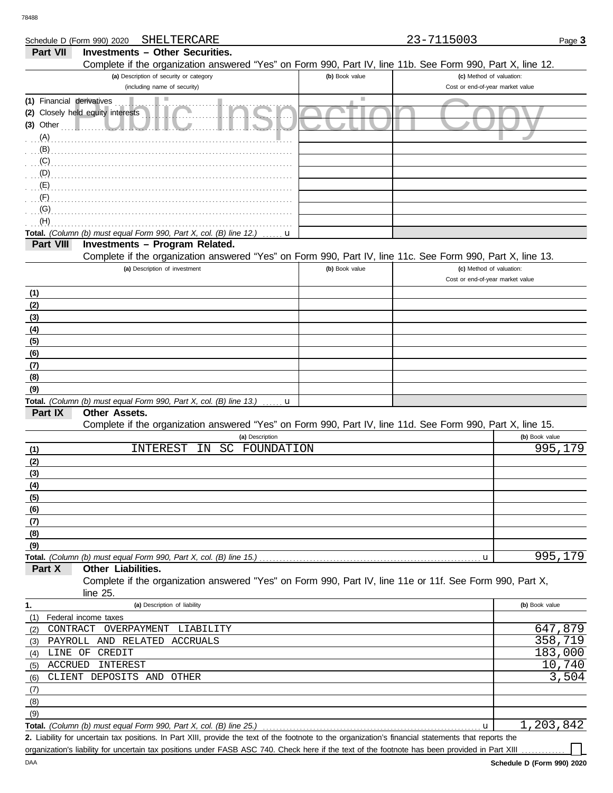DAA

|                           | SHELTERCARE<br>Schedule D (Form 990) 2020                                                                                                            |                | 23-7115003                       | Page 3         |
|---------------------------|------------------------------------------------------------------------------------------------------------------------------------------------------|----------------|----------------------------------|----------------|
| <b>Part VII</b>           | <b>Investments - Other Securities.</b>                                                                                                               |                |                                  |                |
|                           | Complete if the organization answered "Yes" on Form 990, Part IV, line 11b. See Form 990, Part X, line 12.                                           |                |                                  |                |
|                           | (a) Description of security or category                                                                                                              | (b) Book value | (c) Method of valuation:         |                |
|                           | (including name of security)                                                                                                                         |                | Cost or end-of-year market value |                |
| (1) Financial derivatives | Ш                                                                                                                                                    | ш              |                                  |                |
|                           | (2) Closely held equity interests                                                                                                                    |                |                                  |                |
| $(3)$ Other               |                                                                                                                                                      |                |                                  |                |
| (A)                       |                                                                                                                                                      |                |                                  |                |
| (B)                       |                                                                                                                                                      |                |                                  |                |
| (C)                       |                                                                                                                                                      |                |                                  |                |
| (D)                       |                                                                                                                                                      |                |                                  |                |
| (E)                       |                                                                                                                                                      |                |                                  |                |
| (F)                       |                                                                                                                                                      |                |                                  |                |
| (G)                       |                                                                                                                                                      |                |                                  |                |
| (H)                       |                                                                                                                                                      |                |                                  |                |
|                           | Total. (Column (b) must equal Form 990, Part X, col. (B) line 12.)<br>u                                                                              |                |                                  |                |
| Part VIII                 | <b>Investments - Program Related.</b>                                                                                                                |                |                                  |                |
|                           | Complete if the organization answered "Yes" on Form 990, Part IV, line 11c. See Form 990, Part X, line 13.                                           |                |                                  |                |
|                           | (a) Description of investment                                                                                                                        | (b) Book value | (c) Method of valuation:         |                |
|                           |                                                                                                                                                      |                | Cost or end-of-year market value |                |
| (1)                       |                                                                                                                                                      |                |                                  |                |
| (2)                       |                                                                                                                                                      |                |                                  |                |
| (3)                       |                                                                                                                                                      |                |                                  |                |
| (4)                       |                                                                                                                                                      |                |                                  |                |
| (5)                       |                                                                                                                                                      |                |                                  |                |
| (6)                       |                                                                                                                                                      |                |                                  |                |
| (7)                       |                                                                                                                                                      |                |                                  |                |
| (8)                       |                                                                                                                                                      |                |                                  |                |
| (9)                       |                                                                                                                                                      |                |                                  |                |
|                           | Total. (Column (b) must equal Form 990, Part X, col. (B) line 13.)                                                                                   |                |                                  |                |
| Part IX                   | u<br>Other Assets.                                                                                                                                   |                |                                  |                |
|                           | Complete if the organization answered "Yes" on Form 990, Part IV, line 11d. See Form 990, Part X, line 15.                                           |                |                                  |                |
|                           | (a) Description                                                                                                                                      |                |                                  | (b) Book value |
| (1)                       | SC<br>INTEREST<br>IN<br>FOUNDATION                                                                                                                   |                |                                  | 995,179        |
| (2)                       |                                                                                                                                                      |                |                                  |                |
| (3)                       |                                                                                                                                                      |                |                                  |                |
|                           |                                                                                                                                                      |                |                                  |                |
| (4)                       |                                                                                                                                                      |                |                                  |                |
| (5)                       |                                                                                                                                                      |                |                                  |                |
| (6)                       |                                                                                                                                                      |                |                                  |                |
| (7)                       |                                                                                                                                                      |                |                                  |                |
| (8)                       |                                                                                                                                                      |                |                                  |                |
| (9)                       |                                                                                                                                                      |                |                                  | 995,179        |
| Part X                    | Other Liabilities.                                                                                                                                   |                | u                                |                |
|                           | Complete if the organization answered "Yes" on Form 990, Part IV, line 11e or 11f. See Form 990, Part X,                                             |                |                                  |                |
|                           | line 25.                                                                                                                                             |                |                                  |                |
|                           | (a) Description of liability                                                                                                                         |                |                                  | (b) Book value |
| 1.                        |                                                                                                                                                      |                |                                  |                |
| (1)                       | Federal income taxes<br>CONTRACT OVERPAYMENT<br>LIABILITY                                                                                            |                |                                  | 647,879        |
| (2)                       |                                                                                                                                                      |                |                                  | 358,719        |
| (3)                       | PAYROLL AND RELATED ACCRUALS                                                                                                                         |                |                                  |                |
| LINE OF<br>(4)            | CREDIT                                                                                                                                               |                |                                  | 183,000        |
| ACCRUED<br>(5)            | INTEREST                                                                                                                                             |                |                                  | 10,740         |
| (6)                       | CLIENT DEPOSITS AND<br>OTHER                                                                                                                         |                |                                  | 3,504          |
| (7)                       |                                                                                                                                                      |                |                                  |                |
| (8)                       |                                                                                                                                                      |                |                                  |                |
| (9)                       |                                                                                                                                                      |                |                                  |                |
|                           | Total. (Column (b) must equal Form 990, Part X, col. (B) line 25.)                                                                                   |                | u                                | 1,203,842      |
|                           | 2. Liability for uncertain tax positions. In Part XIII, provide the text of the footnote to the organization's financial statements that reports the |                |                                  |                |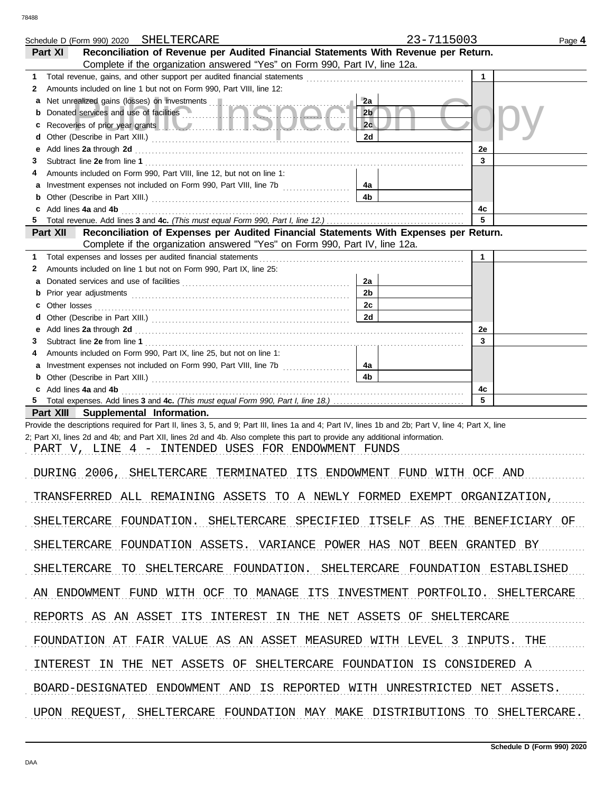|                                                                            | Schedule D (Form 990) 2020 SHELTERCARE                                                                                                                                                                                               | 23-7115003           |              | Page 4 |  |  |  |
|----------------------------------------------------------------------------|--------------------------------------------------------------------------------------------------------------------------------------------------------------------------------------------------------------------------------------|----------------------|--------------|--------|--|--|--|
|                                                                            | Reconciliation of Revenue per Audited Financial Statements With Revenue per Return.<br>Part XI                                                                                                                                       |                      |              |        |  |  |  |
|                                                                            | Complete if the organization answered "Yes" on Form 990, Part IV, line 12a.                                                                                                                                                          |                      |              |        |  |  |  |
| 1<br>2                                                                     | Amounts included on line 1 but not on Form 990, Part VIII, line 12:                                                                                                                                                                  |                      | $\mathbf{1}$ |        |  |  |  |
| а                                                                          | Net unrealized gains (losses) on investments [11]                                                                                                                                                                                    | 2a                   |              |        |  |  |  |
| b                                                                          | Donated services and use of facilities                                                                                                                                                                                               | 2 <sub>b</sub>       |              |        |  |  |  |
| c                                                                          | Recoveries of prior year grants <b>All Constitution and Constitution</b> Recoveries of prior year                                                                                                                                    | 2c                   |              |        |  |  |  |
| d                                                                          |                                                                                                                                                                                                                                      | 2d                   |              |        |  |  |  |
| е                                                                          | Add lines 2a through 2d <b>contained a contained a contained a contained a contained a contained a contained a contained a contained a contained a contained a contained a contained a contained a contained a contained a conta</b> |                      | 2e           |        |  |  |  |
| З                                                                          |                                                                                                                                                                                                                                      |                      | 3            |        |  |  |  |
| 4                                                                          | Amounts included on Form 990, Part VIII, line 12, but not on line 1:                                                                                                                                                                 |                      |              |        |  |  |  |
| а<br>b                                                                     |                                                                                                                                                                                                                                      | 4a<br>4 <sub>b</sub> |              |        |  |  |  |
| c                                                                          | Add lines 4a and 4b                                                                                                                                                                                                                  |                      | 4c           |        |  |  |  |
| 5                                                                          |                                                                                                                                                                                                                                      |                      | 5            |        |  |  |  |
|                                                                            | Reconciliation of Expenses per Audited Financial Statements With Expenses per Return.<br>Part XII                                                                                                                                    |                      |              |        |  |  |  |
|                                                                            | Complete if the organization answered "Yes" on Form 990, Part IV, line 12a.                                                                                                                                                          |                      |              |        |  |  |  |
| 1                                                                          | Total expenses and losses per audited financial statements                                                                                                                                                                           |                      | $\mathbf{1}$ |        |  |  |  |
| 2                                                                          | Amounts included on line 1 but not on Form 990, Part IX, line 25:                                                                                                                                                                    |                      |              |        |  |  |  |
| a                                                                          |                                                                                                                                                                                                                                      | 2a<br>2 <sub>b</sub> |              |        |  |  |  |
| b<br>c.                                                                    |                                                                                                                                                                                                                                      | 2c                   |              |        |  |  |  |
| d                                                                          |                                                                                                                                                                                                                                      | 2d                   |              |        |  |  |  |
| е                                                                          | Add lines 2a through 2d [11] Additional Contract of Additional Contract of Additional Contract of Additional Contract of Additional Contract of Additional Contract of Additional Contract of Additional Contract of Additiona       |                      | 2e           |        |  |  |  |
| З                                                                          |                                                                                                                                                                                                                                      |                      | 3            |        |  |  |  |
| 4                                                                          | Amounts included on Form 990, Part IX, line 25, but not on line 1:                                                                                                                                                                   |                      |              |        |  |  |  |
| а                                                                          |                                                                                                                                                                                                                                      | 4a                   |              |        |  |  |  |
| b                                                                          |                                                                                                                                                                                                                                      | 4 <sub>b</sub>       |              |        |  |  |  |
| 5.                                                                         | c Add lines 4a and 4b                                                                                                                                                                                                                |                      | 4c<br>5      |        |  |  |  |
|                                                                            | Part XIII Supplemental Information.                                                                                                                                                                                                  |                      |              |        |  |  |  |
|                                                                            | Provide the descriptions required for Part II, lines 3, 5, and 9; Part III, lines 1a and 4; Part IV, lines 1b and 2b; Part V, line 4; Part X, line                                                                                   |                      |              |        |  |  |  |
|                                                                            | 2; Part XI, lines 2d and 4b; and Part XII, lines 2d and 4b. Also complete this part to provide any additional information.                                                                                                           |                      |              |        |  |  |  |
|                                                                            | PART V, LINE 4 - INTENDED USES FOR ENDOWMENT FUNDS                                                                                                                                                                                   |                      |              |        |  |  |  |
|                                                                            |                                                                                                                                                                                                                                      |                      |              |        |  |  |  |
|                                                                            | DURING 2006, SHELTERCARE TERMINATED ITS ENDOWMENT FUND WITH OCF AND                                                                                                                                                                  |                      |              |        |  |  |  |
|                                                                            |                                                                                                                                                                                                                                      |                      |              |        |  |  |  |
|                                                                            | TRANSFERRED ALL REMAINING ASSETS TO A NEWLY FORMED EXEMPT ORGANIZATION,                                                                                                                                                              |                      |              |        |  |  |  |
|                                                                            | SHELTERCARE FOUNDATION. SHELTERCARE SPECIFIED ITSELF AS THE BENEFICIARY OF                                                                                                                                                           |                      |              |        |  |  |  |
|                                                                            |                                                                                                                                                                                                                                      |                      |              |        |  |  |  |
|                                                                            | SHELTERCARE FOUNDATION ASSETS. VARIANCE POWER HAS NOT BEEN GRANTED BY                                                                                                                                                                |                      |              |        |  |  |  |
|                                                                            |                                                                                                                                                                                                                                      |                      |              |        |  |  |  |
|                                                                            | SHELTERCARE TO SHELTERCARE FOUNDATION. SHELTERCARE FOUNDATION ESTABLISHED                                                                                                                                                            |                      |              |        |  |  |  |
|                                                                            |                                                                                                                                                                                                                                      |                      |              |        |  |  |  |
| AN ENDOWMENT FUND WITH OCF TO MANAGE ITS INVESTMENT PORTFOLIO. SHELTERCARE |                                                                                                                                                                                                                                      |                      |              |        |  |  |  |
|                                                                            |                                                                                                                                                                                                                                      |                      |              |        |  |  |  |
| REPORTS AS AN ASSET ITS INTEREST IN THE NET ASSETS OF SHELTERCARE          |                                                                                                                                                                                                                                      |                      |              |        |  |  |  |
| FOUNDATION AT FAIR VALUE AS AN ASSET MEASURED WITH LEVEL 3 INPUTS. THE     |                                                                                                                                                                                                                                      |                      |              |        |  |  |  |
|                                                                            |                                                                                                                                                                                                                                      |                      |              |        |  |  |  |
| INTEREST IN THE NET ASSETS OF SHELTERCARE FOUNDATION IS CONSIDERED A       |                                                                                                                                                                                                                                      |                      |              |        |  |  |  |
|                                                                            |                                                                                                                                                                                                                                      |                      |              |        |  |  |  |
|                                                                            | BOARD-DESIGNATED ENDOWMENT AND IS REPORTED WITH UNRESTRICTED NET ASSETS.                                                                                                                                                             |                      |              |        |  |  |  |
|                                                                            | UPON REQUEST, SHELTERCARE FOUNDATION MAY MAKE DISTRIBUTIONS TO SHELTERCARE.                                                                                                                                                          |                      |              |        |  |  |  |
|                                                                            |                                                                                                                                                                                                                                      |                      |              |        |  |  |  |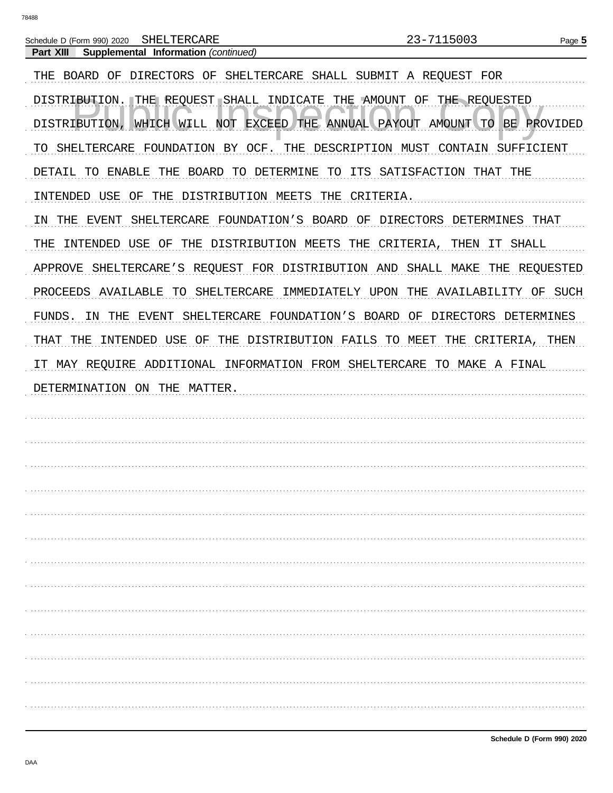Schedule D (Form 990) 2020 SHELTERCARE

Supplemental Information (continued) Part XIII THE BOARD OF DIRECTORS OF SHELTERCARE SHALL SUBMIT A REQUEST FOR DISTRIBUTION. THE REQUEST SHALL INDICATE THE AMOUNT OF THE REQUESTED DISTRIBUTION, WHICH WILL NOT EXCEED THE ANNUAL PAYOUT AMOUNT TO BE PROVIDED TO SHELTERCARE FOUNDATION BY OCF. THE DESCRIPTION MUST CONTAIN SUFFICIENT DETAIL TO ENABLE THE BOARD TO DETERMINE TO ITS SATISFACTION THAT THE INTENDED USE OF THE DISTRIBUTION MEETS THE CRITERIA. IN THE EVENT SHELTERCARE FOUNDATION'S BOARD OF DIRECTORS DETERMINES THAT THE INTENDED USE OF THE DISTRIBUTION MEETS THE CRITERIA, THEN IT SHALL APPROVE SHELTERCARE'S REQUEST FOR DISTRIBUTION AND SHALL MAKE THE REQUESTED PROCEEDS AVAILABLE TO SHELTERCARE IMMEDIATELY UPON THE AVAILABILITY OF SUCH FUNDS. IN THE EVENT SHELTERCARE FOUNDATION'S BOARD OF DIRECTORS DETERMINES THAT THE INTENDED USE OF THE DISTRIBUTION FAILS TO MEET THE CRITERIA, THEN IT MAY REQUIRE ADDITIONAL INFORMATION FROM SHELTERCARE TO MAKE A FINAL DETERMINATION ON THE MATTER.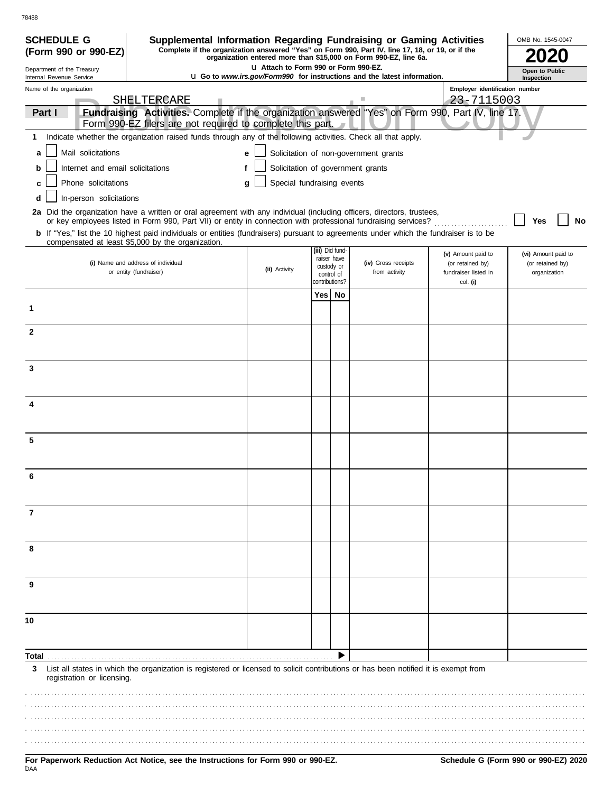| <b>SCHEDULE G</b><br>(Form 990 or 990-EZ)                                                                              | Supplemental Information Regarding Fundraising or Gaming Activities<br>Complete if the organization answered "Yes" on Form 990, Part IV, line 17, 18, or 19, or if the |                                       |     |                                |                                                                                 |                                          | OMB No. 1545-0047                |
|------------------------------------------------------------------------------------------------------------------------|------------------------------------------------------------------------------------------------------------------------------------------------------------------------|---------------------------------------|-----|--------------------------------|---------------------------------------------------------------------------------|------------------------------------------|----------------------------------|
|                                                                                                                        |                                                                                                                                                                        |                                       |     |                                | organization entered more than \$15,000 on Form 990-EZ, line 6a.                |                                          |                                  |
| Department of the Treasury<br>Internal Revenue Service                                                                 |                                                                                                                                                                        | L1 Attach to Form 990 or Form 990-EZ. |     |                                | <b>u</b> Go to www.irs.gov/Form990 for instructions and the latest information. |                                          | Open to Public<br>Inspection     |
| Name of the organization                                                                                               |                                                                                                                                                                        |                                       |     |                                |                                                                                 | Employer identification number           |                                  |
|                                                                                                                        | SHELTERCARE<br>Fundraising Activities. Complete if the organization answered "Yes" on Form 990, Part IV, line 17.                                                      |                                       |     |                                |                                                                                 | 23-7115003                               |                                  |
| Part I                                                                                                                 | Form 990-EZ filers are not required to complete this part.                                                                                                             |                                       |     |                                |                                                                                 |                                          |                                  |
| 1.                                                                                                                     | Indicate whether the organization raised funds through any of the following activities. Check all that apply.                                                          |                                       |     |                                |                                                                                 |                                          |                                  |
| Mail solicitations<br>a                                                                                                |                                                                                                                                                                        | е                                     |     |                                | Solicitation of non-government grants                                           |                                          |                                  |
| Internet and email solicitations                                                                                       |                                                                                                                                                                        |                                       |     |                                | Solicitation of government grants                                               |                                          |                                  |
| Phone solicitations<br>c                                                                                               |                                                                                                                                                                        | Special fundraising events<br>g       |     |                                |                                                                                 |                                          |                                  |
| In-person solicitations<br>d                                                                                           |                                                                                                                                                                        |                                       |     |                                |                                                                                 |                                          |                                  |
| 2a Did the organization have a written or oral agreement with any individual (including officers, directors, trustees, |                                                                                                                                                                        |                                       |     |                                |                                                                                 |                                          |                                  |
|                                                                                                                        | or key employees listed in Form 990, Part VII) or entity in connection with professional fundraising services?                                                         |                                       |     |                                |                                                                                 |                                          | Yes<br>No                        |
| compensated at least \$5,000 by the organization.                                                                      | <b>b</b> If "Yes," list the 10 highest paid individuals or entities (fundraisers) pursuant to agreements under which the fundraiser is to be                           |                                       |     |                                |                                                                                 |                                          |                                  |
|                                                                                                                        |                                                                                                                                                                        |                                       |     | (iii) Did fund-<br>raiser have |                                                                                 | (v) Amount paid to                       | (vi) Amount paid to              |
| (i) Name and address of individual<br>or entity (fundraiser)                                                           |                                                                                                                                                                        | (ii) Activity                         |     | custody or<br>control of       | (iv) Gross receipts<br>from activity                                            | (or retained by)<br>fundraiser listed in | (or retained by)<br>organization |
|                                                                                                                        |                                                                                                                                                                        |                                       |     | contributions?                 |                                                                                 | col. (i)                                 |                                  |
|                                                                                                                        |                                                                                                                                                                        |                                       | Yes | No                             |                                                                                 |                                          |                                  |
| 1                                                                                                                      |                                                                                                                                                                        |                                       |     |                                |                                                                                 |                                          |                                  |
| $\mathbf{2}$                                                                                                           |                                                                                                                                                                        |                                       |     |                                |                                                                                 |                                          |                                  |
|                                                                                                                        |                                                                                                                                                                        |                                       |     |                                |                                                                                 |                                          |                                  |
|                                                                                                                        |                                                                                                                                                                        |                                       |     |                                |                                                                                 |                                          |                                  |
| 3                                                                                                                      |                                                                                                                                                                        |                                       |     |                                |                                                                                 |                                          |                                  |
|                                                                                                                        |                                                                                                                                                                        |                                       |     |                                |                                                                                 |                                          |                                  |
| 4                                                                                                                      |                                                                                                                                                                        |                                       |     |                                |                                                                                 |                                          |                                  |
|                                                                                                                        |                                                                                                                                                                        |                                       |     |                                |                                                                                 |                                          |                                  |
| 5                                                                                                                      |                                                                                                                                                                        |                                       |     |                                |                                                                                 |                                          |                                  |
|                                                                                                                        |                                                                                                                                                                        |                                       |     |                                |                                                                                 |                                          |                                  |
|                                                                                                                        |                                                                                                                                                                        |                                       |     |                                |                                                                                 |                                          |                                  |
|                                                                                                                        |                                                                                                                                                                        |                                       |     |                                |                                                                                 |                                          |                                  |
|                                                                                                                        |                                                                                                                                                                        |                                       |     |                                |                                                                                 |                                          |                                  |
| 7                                                                                                                      |                                                                                                                                                                        |                                       |     |                                |                                                                                 |                                          |                                  |
|                                                                                                                        |                                                                                                                                                                        |                                       |     |                                |                                                                                 |                                          |                                  |
|                                                                                                                        |                                                                                                                                                                        |                                       |     |                                |                                                                                 |                                          |                                  |
| 8                                                                                                                      |                                                                                                                                                                        |                                       |     |                                |                                                                                 |                                          |                                  |
|                                                                                                                        |                                                                                                                                                                        |                                       |     |                                |                                                                                 |                                          |                                  |
| 9                                                                                                                      |                                                                                                                                                                        |                                       |     |                                |                                                                                 |                                          |                                  |
|                                                                                                                        |                                                                                                                                                                        |                                       |     |                                |                                                                                 |                                          |                                  |
| 10                                                                                                                     |                                                                                                                                                                        |                                       |     |                                |                                                                                 |                                          |                                  |
|                                                                                                                        |                                                                                                                                                                        |                                       |     |                                |                                                                                 |                                          |                                  |
|                                                                                                                        |                                                                                                                                                                        |                                       |     |                                |                                                                                 |                                          |                                  |
| Total                                                                                                                  |                                                                                                                                                                        |                                       |     |                                |                                                                                 |                                          |                                  |
| 3<br>registration or licensing.                                                                                        | List all states in which the organization is registered or licensed to solicit contributions or has been notified it is exempt from                                    |                                       |     |                                |                                                                                 |                                          |                                  |
|                                                                                                                        |                                                                                                                                                                        |                                       |     |                                |                                                                                 |                                          |                                  |
|                                                                                                                        |                                                                                                                                                                        |                                       |     |                                |                                                                                 |                                          |                                  |
|                                                                                                                        |                                                                                                                                                                        |                                       |     |                                |                                                                                 |                                          |                                  |
|                                                                                                                        |                                                                                                                                                                        |                                       |     |                                |                                                                                 |                                          |                                  |
|                                                                                                                        |                                                                                                                                                                        |                                       |     |                                |                                                                                 |                                          |                                  |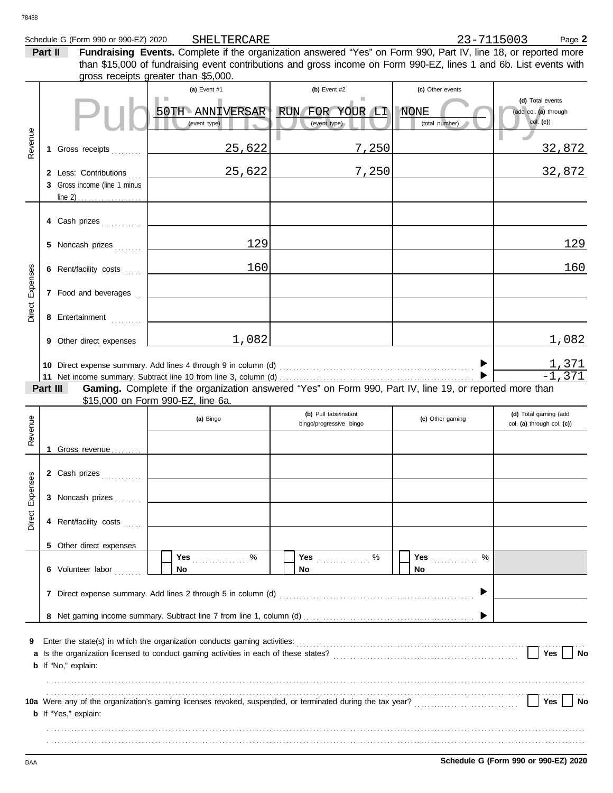| 78488    |                                                       |                                                     |                                                                                                                                                                                                                                       |                                                   |                                                       |
|----------|-------------------------------------------------------|-----------------------------------------------------|---------------------------------------------------------------------------------------------------------------------------------------------------------------------------------------------------------------------------------------|---------------------------------------------------|-------------------------------------------------------|
|          | Schedule G (Form 990 or 990-EZ) 2020<br>Part II       | SHELTERCARE<br>gross receipts greater than \$5,000. | Fundraising Events. Complete if the organization answered "Yes" on Form 990, Part IV, line 18, or reported more<br>than \$15,000 of fundraising event contributions and gross income on Form 990-EZ, lines 1 and 6b. List events with | 23-7115003                                        | Page 2                                                |
|          |                                                       | (a) Event $#1$<br>50TH ANNIVERSAR<br>(event type)   | (b) Event $#2$<br>RUN FOR YOUR LI<br>(event type)                                                                                                                                                                                     | (c) Other events<br><b>NONE</b><br>(total number) | (d) Total events<br>(add col. (a) through<br>col. (c) |
| Revenue  | Gross receipts<br>1.                                  | 25,622                                              | 7,250                                                                                                                                                                                                                                 |                                                   | 32,872                                                |
|          | 2 Less: Contributions<br>3 Gross income (line 1 minus | 25,622                                              | 7,250                                                                                                                                                                                                                                 |                                                   | 32,872                                                |
|          | 4 Cash prizes                                         |                                                     |                                                                                                                                                                                                                                       |                                                   |                                                       |
|          | 5 Noncash prizes                                      | 129                                                 |                                                                                                                                                                                                                                       |                                                   | 129                                                   |
|          | 6 Rent/facility costs                                 | 160                                                 |                                                                                                                                                                                                                                       |                                                   | 160                                                   |
| Expenses | 7 Food and beverages                                  |                                                     |                                                                                                                                                                                                                                       |                                                   |                                                       |
| Direct   | 8 Entertainment                                       |                                                     |                                                                                                                                                                                                                                       |                                                   |                                                       |
|          | 9 Other direct expenses                               | 1,082                                               |                                                                                                                                                                                                                                       |                                                   | 1,082                                                 |
|          | Part III                                              |                                                     | Gaming. Complete if the organization answered "Yes" on Form 990, Part IV, line 19, or reported more than                                                                                                                              |                                                   | $\frac{1,371}{-1,371}$                                |
|          |                                                       | \$15,000 on Form 990-EZ, line 6a.                   | (b) Pull tabs/instant                                                                                                                                                                                                                 |                                                   | (d) Total gaming (add                                 |
| Revenue  |                                                       | (a) Bingo                                           | bingo/progressive bingo                                                                                                                                                                                                               | (c) Other gaming                                  | col. (a) through col. (c))                            |
|          | 1 Gross revenue                                       |                                                     |                                                                                                                                                                                                                                       |                                                   |                                                       |
| Expenses | 2 Cash prizes<br>3 Noncash prizes                     |                                                     |                                                                                                                                                                                                                                       |                                                   |                                                       |
| Direct   | 4 Rent/facility costs                                 |                                                     |                                                                                                                                                                                                                                       |                                                   |                                                       |
|          | 5 Other direct expenses                               |                                                     |                                                                                                                                                                                                                                       |                                                   |                                                       |
|          | 6 Volunteer labor                                     | Yes $%$<br><b>No</b>                                | No                                                                                                                                                                                                                                    | %<br><b>Yes</b><br>No                             |                                                       |
|          |                                                       |                                                     |                                                                                                                                                                                                                                       |                                                   |                                                       |
|          |                                                       |                                                     |                                                                                                                                                                                                                                       |                                                   |                                                       |
| 9<br>а   | <b>b</b> If "No," explain:                            |                                                     |                                                                                                                                                                                                                                       |                                                   | Yes<br>No                                             |
|          | <b>b</b> If "Yes," explain:                           |                                                     |                                                                                                                                                                                                                                       |                                                   | Yes<br>No                                             |

. . . . . . . . . . . . . . . . . . . . . . . . . . . . . . . . . . . . . . . . . . . . . . . . . . . . . . . . . . . . . . . . . . . . . . . . . . . . . . . . . . . . . . . . . . . . . . . . . . . . . . . . . . . . . . . . . . . . . . . . . . . . . . . . . . . . . . . . . . . . . . . . . . . . . . . . . . . . . . . . . . . . . . . . . . . . . . . . . . . . . . . . . . . . . . . . . . . . . . . . . . . . . . . . . . . . . . . . . . . . . . . . . . . . . . . . . . . . . . . . . . . . . . . . . . . . . . . . . . . . . . . . . . . . . . . . . . . . . . . . . . . . . . . . . . . . . . . . . . . . . . . . . . . . . . . . . . . . . . . .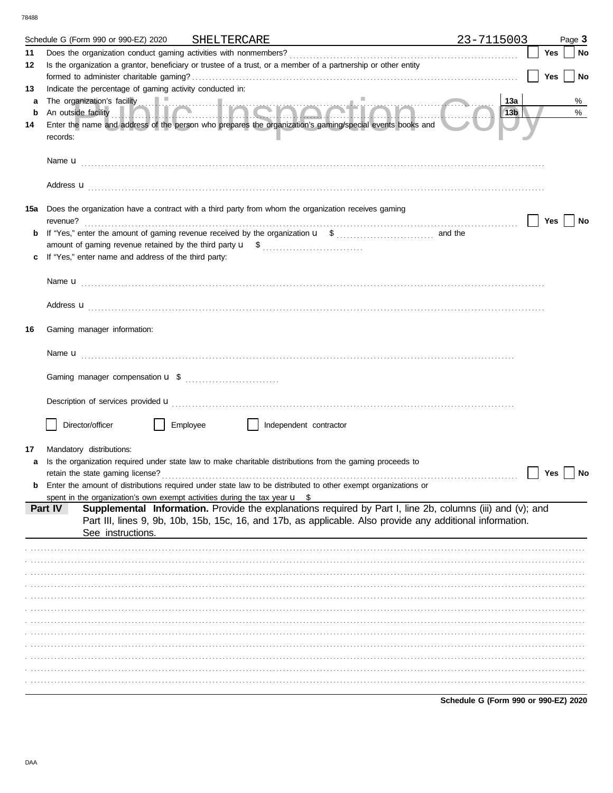78488

|    | Schedule G (Form 990 or 990-EZ) 2020 SHELTERCARE                                                        |          |                        | <u> 1980 - Johann Barbara, martxa alemaniar arg</u>                                                                                                                                                                                     | 23-7115003                           |     | Page 3 |
|----|---------------------------------------------------------------------------------------------------------|----------|------------------------|-----------------------------------------------------------------------------------------------------------------------------------------------------------------------------------------------------------------------------------------|--------------------------------------|-----|--------|
| 11 |                                                                                                         |          |                        |                                                                                                                                                                                                                                         |                                      | Yes | No     |
| 12 |                                                                                                         |          |                        | Is the organization a grantor, beneficiary or trustee of a trust, or a member of a partnership or other entity                                                                                                                          |                                      |     |        |
|    |                                                                                                         |          |                        |                                                                                                                                                                                                                                         |                                      | Yes | No     |
| 13 | Indicate the percentage of gaming activity conducted in:                                                |          |                        |                                                                                                                                                                                                                                         |                                      |     |        |
| a  |                                                                                                         |          |                        | The organization's facility<br>An outside facility <b>The contract of the set of the contract of the contract of the contract of the contract of the contract of the contract of the contract of the contract of the contract of th</b> | 13a                                  |     | %      |
| b  |                                                                                                         |          |                        | Enter the name and address of the person who prepares the organization's gaming/special events books and                                                                                                                                | 13b                                  |     | %      |
| 14 | records:                                                                                                |          |                        |                                                                                                                                                                                                                                         |                                      |     |        |
|    |                                                                                                         |          |                        |                                                                                                                                                                                                                                         |                                      |     |        |
|    |                                                                                                         |          |                        | Address <b>u</b>                                                                                                                                                                                                                        |                                      |     |        |
|    | 15a Does the organization have a contract with a third party from whom the organization receives gaming |          |                        |                                                                                                                                                                                                                                         |                                      |     |        |
|    |                                                                                                         |          |                        |                                                                                                                                                                                                                                         |                                      | Yes | No     |
|    |                                                                                                         |          |                        |                                                                                                                                                                                                                                         |                                      |     |        |
|    |                                                                                                         |          |                        |                                                                                                                                                                                                                                         |                                      |     |        |
|    | If "Yes," enter name and address of the third party:                                                    |          |                        |                                                                                                                                                                                                                                         |                                      |     |        |
|    |                                                                                                         |          |                        |                                                                                                                                                                                                                                         |                                      |     |        |
|    |                                                                                                         |          |                        |                                                                                                                                                                                                                                         |                                      |     |        |
|    |                                                                                                         |          |                        | Address <b>u</b>                                                                                                                                                                                                                        |                                      |     |        |
| 16 | Gaming manager information:                                                                             |          |                        |                                                                                                                                                                                                                                         |                                      |     |        |
|    |                                                                                                         |          |                        |                                                                                                                                                                                                                                         |                                      |     |        |
|    |                                                                                                         |          |                        |                                                                                                                                                                                                                                         |                                      |     |        |
|    |                                                                                                         |          |                        |                                                                                                                                                                                                                                         |                                      |     |        |
|    |                                                                                                         |          |                        | Description of services provided <b>u</b> electron contract the contract of the contract of the contract of the contract of the contract of the contract of the contract of the contract of the contract of the contract of the con     |                                      |     |        |
|    |                                                                                                         |          |                        |                                                                                                                                                                                                                                         |                                      |     |        |
|    | Director/officer                                                                                        | Employee | Independent contractor |                                                                                                                                                                                                                                         |                                      |     |        |
|    |                                                                                                         |          |                        |                                                                                                                                                                                                                                         |                                      |     |        |
| 17 | Mandatory distributions:                                                                                |          |                        |                                                                                                                                                                                                                                         |                                      |     |        |
| a  | retain the state gaming license?                                                                        |          |                        | Is the organization required under state law to make charitable distributions from the gaming proceeds to                                                                                                                               |                                      | Yes | No     |
|    |                                                                                                         |          |                        | <b>b</b> Enter the amount of distributions required under state law to be distributed to other exempt organizations or                                                                                                                  |                                      |     |        |
|    | spent in the organization's own exempt activities during the tax year $\mathbf{u}$ \$                   |          |                        |                                                                                                                                                                                                                                         |                                      |     |        |
|    | Part IV                                                                                                 |          |                        | Supplemental Information. Provide the explanations required by Part I, line 2b, columns (iii) and (v); and                                                                                                                              |                                      |     |        |
|    | See instructions.                                                                                       |          |                        | Part III, lines 9, 9b, 10b, 15b, 15c, 16, and 17b, as applicable. Also provide any additional information.                                                                                                                              |                                      |     |        |
|    |                                                                                                         |          |                        |                                                                                                                                                                                                                                         |                                      |     |        |
|    |                                                                                                         |          |                        |                                                                                                                                                                                                                                         |                                      |     |        |
|    |                                                                                                         |          |                        |                                                                                                                                                                                                                                         |                                      |     |        |
|    |                                                                                                         |          |                        |                                                                                                                                                                                                                                         |                                      |     |        |
|    |                                                                                                         |          |                        |                                                                                                                                                                                                                                         |                                      |     |        |
|    |                                                                                                         |          |                        |                                                                                                                                                                                                                                         |                                      |     |        |
|    |                                                                                                         |          |                        |                                                                                                                                                                                                                                         |                                      |     |        |
|    |                                                                                                         |          |                        |                                                                                                                                                                                                                                         |                                      |     |        |
|    |                                                                                                         |          |                        |                                                                                                                                                                                                                                         |                                      |     |        |
|    |                                                                                                         |          |                        |                                                                                                                                                                                                                                         |                                      |     |        |
|    |                                                                                                         |          |                        |                                                                                                                                                                                                                                         |                                      |     |        |
|    |                                                                                                         |          |                        |                                                                                                                                                                                                                                         |                                      |     |        |
|    |                                                                                                         |          |                        |                                                                                                                                                                                                                                         | Schedule G (Form 990 or 990-EZ) 2020 |     |        |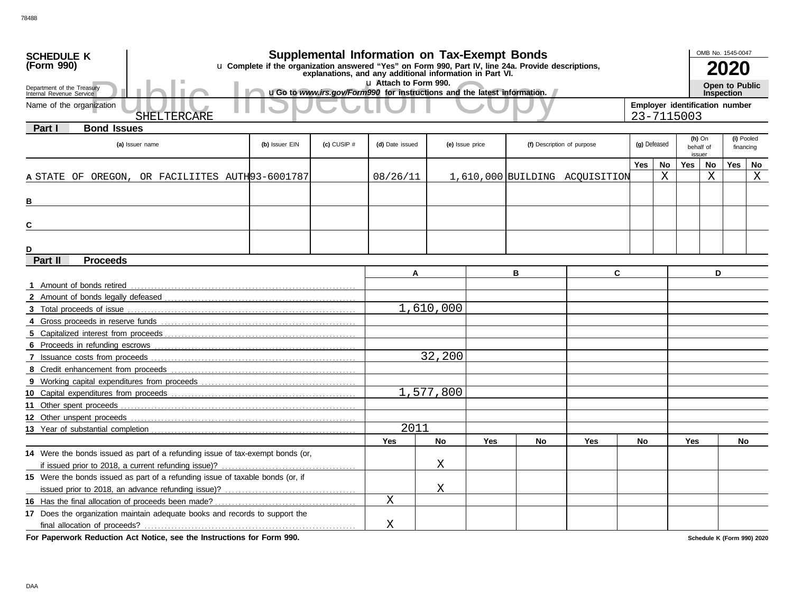| <b>SCHEDULE K</b>                                                                                                                                                             |                |                 | <b>Supplemental Information on Tax-Exempt Bonds</b>                     |                 |     |    |                                |              |    |                     | OMB No. 1545-0047              |                   |            |
|-------------------------------------------------------------------------------------------------------------------------------------------------------------------------------|----------------|-----------------|-------------------------------------------------------------------------|-----------------|-----|----|--------------------------------|--------------|----|---------------------|--------------------------------|-------------------|------------|
| u Complete if the organization answered "Yes" on Form 990, Part IV, line 24a. Provide descriptions,<br>(Form 990)<br>explanations, and any additional information in Part VI. |                |                 |                                                                         |                 |     |    |                                |              |    |                     | 2020                           |                   |            |
| Lu Attach to Form 990.                                                                                                                                                        |                |                 |                                                                         |                 |     |    |                                |              |    |                     |                                | Open to Public    |            |
| Department of the Treasury<br>Internal Revenue Service                                                                                                                        |                |                 | uGo to www.irs.gov/Form990 for instructions and the latest information. |                 |     |    |                                |              |    |                     |                                | <b>Inspection</b> |            |
| Name of the organization                                                                                                                                                      |                |                 |                                                                         |                 |     |    |                                |              |    |                     | Employer identification number |                   |            |
| SHELTERCARE                                                                                                                                                                   |                |                 |                                                                         |                 |     |    |                                |              |    | 23-7115003          |                                |                   |            |
| <b>Bond Issues</b><br>Part I                                                                                                                                                  |                |                 |                                                                         |                 |     |    |                                |              |    | $(h)$ On            |                                |                   | (i) Pooled |
| (a) Issuer name                                                                                                                                                               | (b) Issuer EIN | $(c)$ CUSIP $#$ | (d) Date issued                                                         | (e) Issue price |     |    | (f) Description of purpose     | (g) Defeased |    | behalf of<br>issuer |                                |                   | financing  |
|                                                                                                                                                                               |                |                 |                                                                         |                 |     |    |                                | Yes          | No | Yes                 | No                             | Yes               | No         |
| A STATE OF OREGON, OR FACILIITES AUTH93-6001787                                                                                                                               |                |                 | 08/26/11                                                                |                 |     |    | 1,610,000 BUILDING ACQUISITION |              | X  |                     | $\mathbf X$                    |                   | X          |
|                                                                                                                                                                               |                |                 |                                                                         |                 |     |    |                                |              |    |                     |                                |                   |            |
| В                                                                                                                                                                             |                |                 |                                                                         |                 |     |    |                                |              |    |                     |                                |                   |            |
|                                                                                                                                                                               |                |                 |                                                                         |                 |     |    |                                |              |    |                     |                                |                   |            |
| C                                                                                                                                                                             |                |                 |                                                                         |                 |     |    |                                |              |    |                     |                                |                   |            |
|                                                                                                                                                                               |                |                 |                                                                         |                 |     |    |                                |              |    |                     |                                |                   |            |
| D                                                                                                                                                                             |                |                 |                                                                         |                 |     |    |                                |              |    |                     |                                |                   |            |
| Part II<br><b>Proceeds</b>                                                                                                                                                    |                |                 |                                                                         |                 |     |    |                                |              |    |                     |                                |                   |            |
|                                                                                                                                                                               |                |                 | A                                                                       |                 |     | в  | C                              |              |    |                     | D                              |                   |            |
| 1 Amount of bonds retired                                                                                                                                                     |                |                 |                                                                         |                 |     |    |                                |              |    |                     |                                |                   |            |
|                                                                                                                                                                               |                |                 |                                                                         |                 |     |    |                                |              |    |                     |                                |                   |            |
|                                                                                                                                                                               |                |                 |                                                                         | 1,610,000       |     |    |                                |              |    |                     |                                |                   |            |
|                                                                                                                                                                               |                |                 |                                                                         |                 |     |    |                                |              |    |                     |                                |                   |            |
|                                                                                                                                                                               |                |                 |                                                                         |                 |     |    |                                |              |    |                     |                                |                   |            |
|                                                                                                                                                                               |                |                 |                                                                         |                 |     |    |                                |              |    |                     |                                |                   |            |
|                                                                                                                                                                               |                |                 |                                                                         | 32,200          |     |    |                                |              |    |                     |                                |                   |            |
|                                                                                                                                                                               |                |                 |                                                                         |                 |     |    |                                |              |    |                     |                                |                   |            |
|                                                                                                                                                                               |                |                 |                                                                         | 1,577,800       |     |    |                                |              |    |                     |                                |                   |            |
|                                                                                                                                                                               |                |                 |                                                                         |                 |     |    |                                |              |    |                     |                                |                   |            |
| 12 Other unspent proceeds                                                                                                                                                     |                |                 |                                                                         |                 |     |    |                                |              |    |                     |                                |                   |            |
|                                                                                                                                                                               |                |                 | 2011                                                                    |                 |     |    |                                |              |    |                     |                                |                   |            |
|                                                                                                                                                                               |                |                 | <b>Yes</b>                                                              | <b>No</b>       | Yes | No | Yes                            | No           |    | <b>Yes</b>          |                                | No                |            |
| 14 Were the bonds issued as part of a refunding issue of tax-exempt bonds (or,                                                                                                |                |                 |                                                                         |                 |     |    |                                |              |    |                     |                                |                   |            |
|                                                                                                                                                                               |                |                 |                                                                         | Χ               |     |    |                                |              |    |                     |                                |                   |            |
| 15 Were the bonds issued as part of a refunding issue of taxable bonds (or, if                                                                                                |                |                 |                                                                         |                 |     |    |                                |              |    |                     |                                |                   |            |
|                                                                                                                                                                               |                |                 |                                                                         | Χ               |     |    |                                |              |    |                     |                                |                   |            |
|                                                                                                                                                                               |                |                 | Χ                                                                       |                 |     |    |                                |              |    |                     |                                |                   |            |
| 17 Does the organization maintain adequate books and records to support the                                                                                                   |                |                 |                                                                         |                 |     |    |                                |              |    |                     |                                |                   |            |
|                                                                                                                                                                               |                |                 | Χ                                                                       |                 |     |    |                                |              |    |                     |                                |                   |            |

**For Paperwork Reduction Act Notice, see the Instructions for Form 990.**

**Schedule K (Form 990) 2020**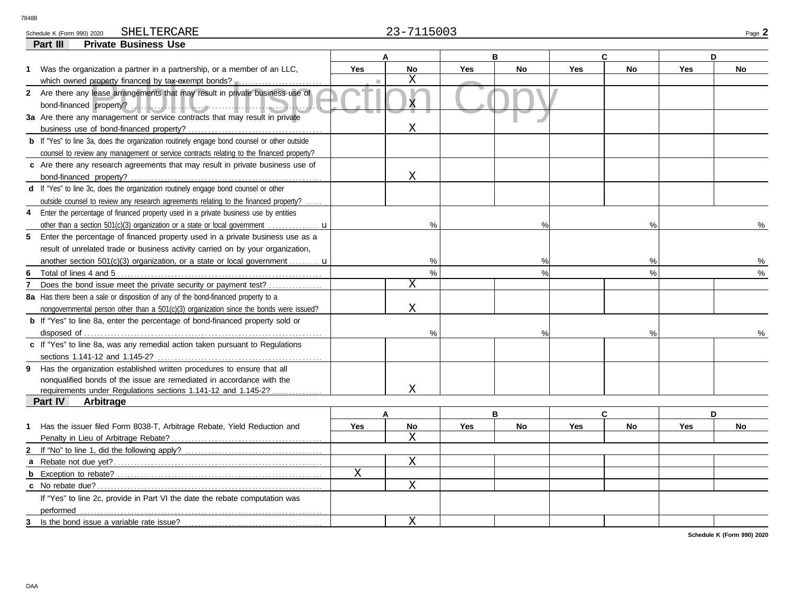Schedule K (Form 990) 2020 SHELTERCARE Page **2**  $23-7115003$ 

## SHELTERCARE 23-7115003

X

X

| <b>Private Business Use</b><br>Part III                                                            |             |                |            |               |            |               |            |    |
|----------------------------------------------------------------------------------------------------|-------------|----------------|------------|---------------|------------|---------------|------------|----|
|                                                                                                    |             |                |            | B             |            | C             | D          |    |
| 1 Was the organization a partner in a partnership, or a member of an LLC,                          | <b>Yes</b>  | <b>No</b>      | <b>Yes</b> | <b>No</b>     | <b>Yes</b> | <b>No</b>     | Yes        | No |
| which owned property financed by tax-exempt bonds?                                                 |             | $\mathbf X$    |            |               |            |               |            |    |
| Are there any lease arrangements that may result in private business use of<br>$\mathbf{2}$        |             | $\overline{X}$ |            |               |            |               |            |    |
|                                                                                                    |             |                |            |               |            |               |            |    |
| 3a Are there any management or service contracts that may result in private                        |             |                |            |               |            |               |            |    |
|                                                                                                    |             | X              |            |               |            |               |            |    |
| <b>b</b> If "Yes" to line 3a, does the organization routinely engage bond counsel or other outside |             |                |            |               |            |               |            |    |
| counsel to review any management or service contracts relating to the financed property?           |             |                |            |               |            |               |            |    |
| c Are there any research agreements that may result in private business use of                     |             |                |            |               |            |               |            |    |
|                                                                                                    |             | X              |            |               |            |               |            |    |
| d If "Yes" to line 3c, does the organization routinely engage bond counsel or other                |             |                |            |               |            |               |            |    |
| outside counsel to review any research agreements relating to the financed property?               |             |                |            |               |            |               |            |    |
| Enter the percentage of financed property used in a private business use by entities<br>4          |             |                |            |               |            |               |            |    |
| other than a section 501(c)(3) organization or a state or local government                         |             | $\%$           |            |               |            | $\%$          |            |    |
| Enter the percentage of financed property used in a private business use as a<br>5                 |             |                |            |               |            |               |            |    |
| result of unrelated trade or business activity carried on by your organization,                    |             |                |            |               |            |               |            |    |
| another section 501(c)(3) organization, or a state or local government $\mathbf{u}$                |             | %              |            | $\frac{0}{0}$ |            | %             |            | ℅  |
|                                                                                                    |             | $\%$           |            | $\frac{0}{0}$ |            | $\%$          |            | ℅  |
| Does the bond issue meet the private security or payment test?                                     |             | X              |            |               |            |               |            |    |
| 8a Has there been a sale or disposition of any of the bond-financed property to a                  |             |                |            |               |            |               |            |    |
| nongovernmental person other than a 501(c)(3) organization since the bonds were issued?            |             | X              |            |               |            |               |            |    |
| <b>b</b> If "Yes" to line 8a, enter the percentage of bond-financed property sold or               |             |                |            |               |            |               |            |    |
|                                                                                                    |             | $\%$           |            |               |            | $\frac{9}{6}$ |            |    |
| c If "Yes" to line 8a, was any remedial action taken pursuant to Regulations                       |             |                |            |               |            |               |            |    |
|                                                                                                    |             |                |            |               |            |               |            |    |
| 9 Has the organization established written procedures to ensure that all                           |             |                |            |               |            |               |            |    |
| nonqualified bonds of the issue are remediated in accordance with the                              |             |                |            |               |            |               |            |    |
| requirements under Regulations sections 1.141-12 and 1.145-2?                                      |             | X              |            |               |            |               |            |    |
| Part IV<br>Arbitrage                                                                               |             |                |            |               |            |               |            |    |
|                                                                                                    |             | A              |            | B             |            | C             |            | D  |
| Has the issuer filed Form 8038-T, Arbitrage Rebate, Yield Reduction and<br>1                       | <b>Yes</b>  | <b>No</b>      | <b>Yes</b> | <b>No</b>     | Yes        | <b>No</b>     | <b>Yes</b> | No |
|                                                                                                    |             | X              |            |               |            |               |            |    |
|                                                                                                    |             |                |            |               |            |               |            |    |
|                                                                                                    |             | $\mathbf X$    |            |               |            |               |            |    |
| b                                                                                                  | $\mathbf X$ |                |            |               |            |               |            |    |
|                                                                                                    |             |                |            |               |            |               |            |    |

**Schedule K (Form 990) 2020**

performed

**c** No rebate due?

**3** Is the bond issue a variable rate issue?

If "Yes" to line 2c, provide in Part VI the date the rebate computation was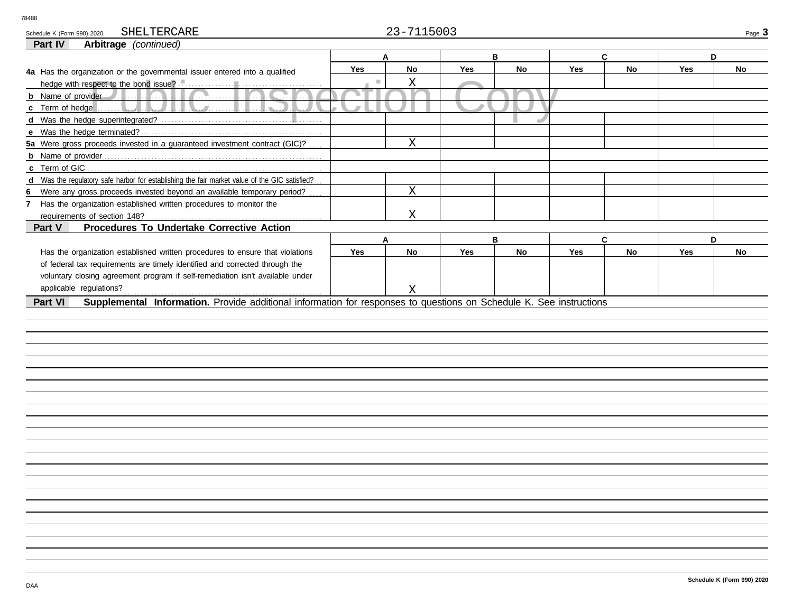| SHELTERCARE<br>Schedule K (Form 990) 2020                                                                                      |     | 23-7115003  |            |    |            |           |            | Page 3 |
|--------------------------------------------------------------------------------------------------------------------------------|-----|-------------|------------|----|------------|-----------|------------|--------|
| Part IV<br>Arbitrage (continued)                                                                                               |     |             |            |    |            |           |            |        |
|                                                                                                                                |     | A           |            | в  |            | C         | D          |        |
| 4a Has the organization or the governmental issuer entered into a qualified                                                    | Yes | No          | Yes        | No | <b>Yes</b> | <b>No</b> | <b>Yes</b> | No     |
|                                                                                                                                |     | Χ           |            |    |            |           |            |        |
|                                                                                                                                |     |             |            |    |            |           |            |        |
| . 1                                                                                                                            |     |             |            |    |            |           |            |        |
|                                                                                                                                |     |             |            |    |            |           |            |        |
|                                                                                                                                |     |             |            |    |            |           |            |        |
| 5a Were gross proceeds invested in a guaranteed investment contract (GIC)?                                                     |     | X           |            |    |            |           |            |        |
|                                                                                                                                |     |             |            |    |            |           |            |        |
| c Term of GIC                                                                                                                  |     |             |            |    |            |           |            |        |
| d Was the regulatory safe harbor for establishing the fair market value of the GIC satisfied?                                  |     |             |            |    |            |           |            |        |
| 6 Were any gross proceeds invested beyond an available temporary period?                                                       |     | $\mathbf X$ |            |    |            |           |            |        |
| 7 Has the organization established written procedures to monitor the                                                           |     |             |            |    |            |           |            |        |
| requirements of section 148?                                                                                                   |     | X           |            |    |            |           |            |        |
| Procedures To Undertake Corrective Action<br>Part V                                                                            |     |             |            |    |            |           |            |        |
|                                                                                                                                |     | А           |            | в  |            | C         | D          |        |
| Has the organization established written procedures to ensure that violations                                                  | Yes | <b>No</b>   | <b>Yes</b> | No | <b>Yes</b> | <b>No</b> | <b>Yes</b> | No     |
| of federal tax requirements are timely identified and corrected through the                                                    |     |             |            |    |            |           |            |        |
| voluntary closing agreement program if self-remediation isn't available under                                                  |     |             |            |    |            |           |            |        |
| applicable regulations?                                                                                                        |     |             |            |    |            |           |            |        |
|                                                                                                                                |     | X           |            |    |            |           |            |        |
| Supplemental Information. Provide additional information for responses to questions on Schedule K. See instructions<br>Part VI |     |             |            |    |            |           |            |        |
|                                                                                                                                |     |             |            |    |            |           |            |        |
|                                                                                                                                |     |             |            |    |            |           |            |        |
|                                                                                                                                |     |             |            |    |            |           |            |        |
|                                                                                                                                |     |             |            |    |            |           |            |        |
|                                                                                                                                |     |             |            |    |            |           |            |        |
|                                                                                                                                |     |             |            |    |            |           |            |        |
|                                                                                                                                |     |             |            |    |            |           |            |        |
|                                                                                                                                |     |             |            |    |            |           |            |        |
|                                                                                                                                |     |             |            |    |            |           |            |        |
|                                                                                                                                |     |             |            |    |            |           |            |        |
|                                                                                                                                |     |             |            |    |            |           |            |        |
|                                                                                                                                |     |             |            |    |            |           |            |        |
|                                                                                                                                |     |             |            |    |            |           |            |        |
|                                                                                                                                |     |             |            |    |            |           |            |        |
|                                                                                                                                |     |             |            |    |            |           |            |        |
|                                                                                                                                |     |             |            |    |            |           |            |        |
|                                                                                                                                |     |             |            |    |            |           |            |        |
|                                                                                                                                |     |             |            |    |            |           |            |        |
|                                                                                                                                |     |             |            |    |            |           |            |        |
|                                                                                                                                |     |             |            |    |            |           |            |        |
|                                                                                                                                |     |             |            |    |            |           |            |        |
|                                                                                                                                |     |             |            |    |            |           |            |        |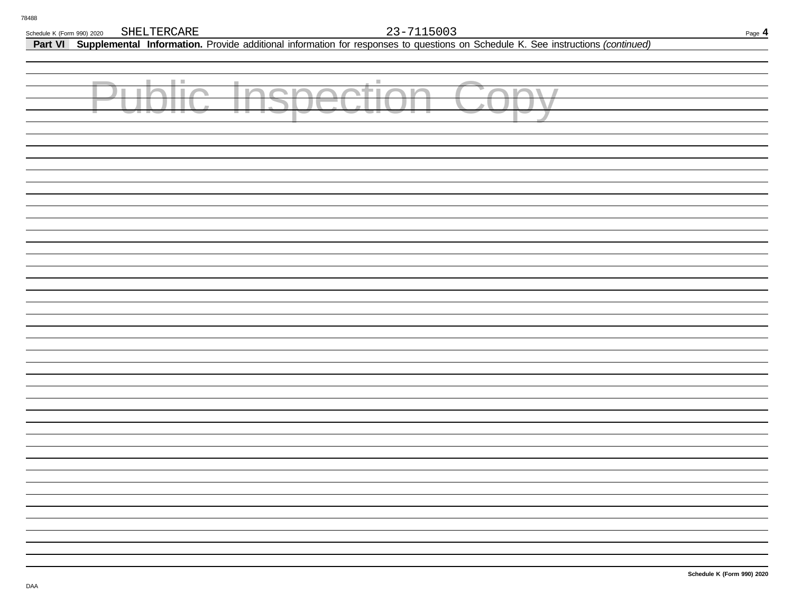**Part VI Supplemental Information.** Provide additional information for responses to questions on Schedule K. See instructions *(continued)*

| <b>Public Inspection Copy</b> |  |  |
|-------------------------------|--|--|
|                               |  |  |
|                               |  |  |
|                               |  |  |
|                               |  |  |
|                               |  |  |
|                               |  |  |
|                               |  |  |
|                               |  |  |
|                               |  |  |
|                               |  |  |
|                               |  |  |
|                               |  |  |
|                               |  |  |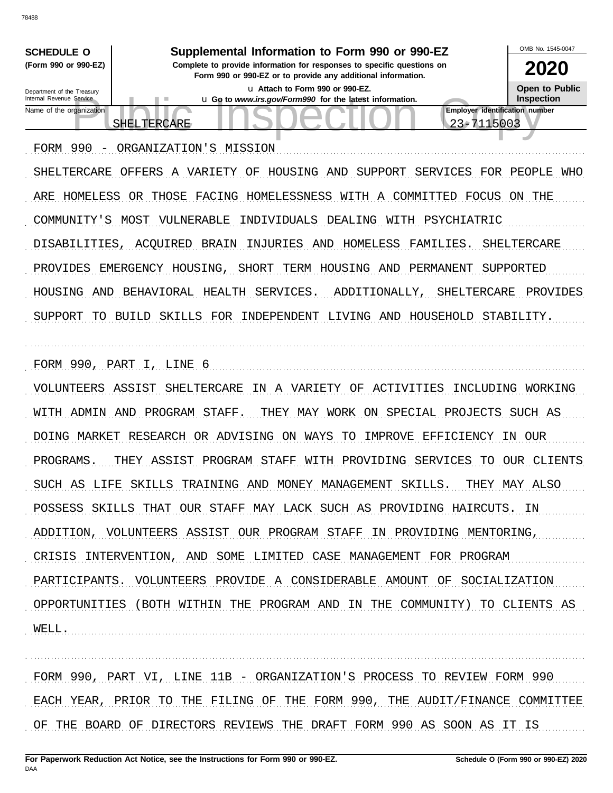OMB No 1545-0047 **SCHEDULE O** Supplemental Information to Form 990 or 990-EZ (Form 990 or 990-EZ) Complete to provide information for responses to specific questions on 2020 Form 990 or 990-EZ or to provide any additional information. **Open to Public** u Attach to Form 990 or 990-EZ. Department of the Treasury Internal Revenue Service u Go to www.irs.gov/Form990 for the latest information. Inspection Employer identification number Name of the organization 23-7115003 SHELTERCARE FORM 990 - ORGANIZATION'S MISSION SHELTERCARE OFFERS A VARIETY OF HOUSING AND SUPPORT SERVICES FOR PEOPLE WHO ARE HOMELESS OR THOSE FACING HOMELESSNESS WITH A COMMITTED FOCUS ON THE COMMUNITY'S MOST VULNERABLE INDIVIDUALS DEALING WITH PSYCHIATRIC DISABILITIES, ACOUIRED BRAIN INJURIES AND HOMELESS FAMILIES. SHELTERCARE PROVIDES EMERGENCY HOUSING, SHORT TERM HOUSING AND PERMANENT SUPPORTED HOUSING AND BEHAVIORAL HEALTH SERVICES. ADDITIONALLY, SHELTERCARE PROVIDES SUPPORT TO BUILD SKILLS FOR INDEPENDENT LIVING AND HOUSEHOLD STABILITY. FORM 990, PART I, LINE 6 VOLUNTEERS ASSIST SHELTERCARE IN A VARIETY OF ACTIVITIES INCLUDING WORKING WITH ADMIN AND PROGRAM STAFF. THEY MAY WORK ON SPECIAL PROJECTS SUCH AS DOING MARKET RESEARCH OR ADVISING ON WAYS TO IMPROVE EFFICIENCY IN OUR PROGRAMS. THEY ASSIST PROGRAM STAFF WITH PROVIDING SERVICES TO OUR CLIENTS SUCH AS LIFE SKILLS TRAINING AND MONEY MANAGEMENT SKILLS. THEY MAY ALSO POSSESS SKILLS THAT OUR STAFF MAY LACK SUCH AS PROVIDING HAIRCUTS. IN ADDITION, VOLUNTEERS ASSIST OUR PROGRAM STAFF IN PROVIDING MENTORING, CRISIS INTERVENTION, AND SOME LIMITED CASE MANAGEMENT FOR PROGRAM PARTICIPANTS. VOLUNTEERS PROVIDE A CONSIDERABLE AMOUNT OF SOCIALIZATION OPPORTUNITIES (BOTH WITHIN THE PROGRAM AND IN THE COMMUNITY) TO CLIENTS AS WELL.

FORM 990, PART VI, LINE 11B - ORGANIZATION'S PROCESS TO REVIEW FORM 990 EACH YEAR, PRIOR TO THE FILING OF THE FORM 990, THE AUDIT/FINANCE COMMITTEE OF THE BOARD OF DIRECTORS REVIEWS THE DRAFT FORM 990 AS SOON AS IT IS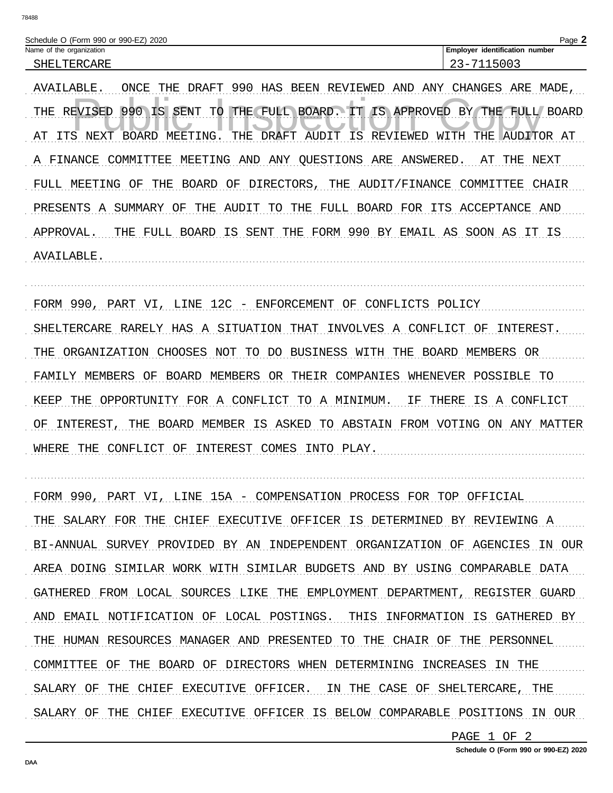| Schedule O (Form 990 or 990-EZ)<br>2020 | Page                                        |
|-----------------------------------------|---------------------------------------------|
| Name of the organization                | identification<br><b>Employer</b><br>number |
| ™ARŀ<br>יסנ                             | ∽<br>. –<br>ر ہے                            |

AVAILABLE. ONCE THE DRAFT 990 HAS BEEN REVIEWED AND ANY CHANGES ARE MADE, THE REVISED 990 IS SENT TO THE FULL BOARD. IT IS APPROVED BY THE FULL BOARD AT ITS NEXT BOARD MEETING. THE DRAFT AUDIT IS REVIEWED WITH THE AUDITOR AT A FINANCE COMMITTEE MEETING AND ANY QUESTIONS ARE ANSWERED. AT THE NEXT FULL MEETING OF THE BOARD OF DIRECTORS, THE AUDIT/FINANCE COMMITTEE CHAIR PRESENTS A SUMMARY OF THE AUDIT TO THE FULL BOARD FOR ITS ACCEPTANCE AND APPROVAL. THE FULL BOARD IS SENT THE FORM 990 BY EMAIL AS SOON AS IT IS AVAILABLE.

FORM 990, PART VI, LINE 12C - ENFORCEMENT OF CONFLICTS POLICY SHELTERCARE RARELY HAS A SITUATION THAT INVOLVES A CONFLICT OF INTEREST. THE ORGANIZATION CHOOSES NOT TO DO BUSINESS WITH THE BOARD MEMBERS OR FAMILY MEMBERS OF BOARD MEMBERS OR THEIR COMPANIES WHENEVER POSSIBLE TO KEEP THE OPPORTUNITY FOR A CONFLICT TO A MINIMUM. IF THERE IS A CONFLICT OF INTEREST, THE BOARD MEMBER IS ASKED TO ABSTAIN FROM VOTING ON ANY MATTER WHERE THE CONFLICT OF INTEREST COMES INTO PLAY.

FORM 990, PART VI, LINE 15A - COMPENSATION PROCESS FOR TOP OFFICIAL THE SALARY FOR THE CHIEF EXECUTIVE OFFICER IS DETERMINED BY REVIEWING A BI-ANNUAL SURVEY PROVIDED BY AN INDEPENDENT ORGANIZATION OF AGENCIES IN OUR AREA DOING SIMILAR WORK WITH SIMILAR BUDGETS AND BY USING COMPARABLE DATA GATHERED FROM LOCAL SOURCES LIKE THE EMPLOYMENT DEPARTMENT, REGISTER GUARD AND EMAIL NOTIFICATION OF LOCAL POSTINGS. THIS INFORMATION IS GATHERED BY THE HUMAN RESOURCES MANAGER AND PRESENTED TO THE CHAIR OF THE PERSONNEL COMMITTEE OF THE BOARD OF DIRECTORS WHEN DETERMINING INCREASES IN THE SALARY OF THE CHIEF EXECUTIVE OFFICER. IN THE CASE OF SHELTERCARE, THE SALARY OF THE CHIEF EXECUTIVE OFFICER IS BELOW COMPARABLE POSITIONS IN OUR

PAGE 1 OF 2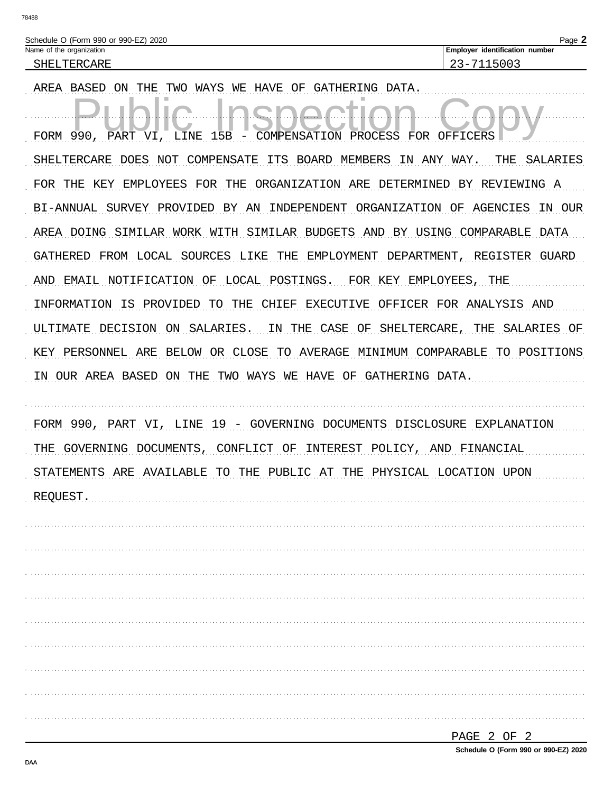| Schedule O (Form 990 or 990-EZ) 2020 |                                       |
|--------------------------------------|---------------------------------------|
| Name of the organization             | <b>Employer identification number</b> |
| SHELTERCARE                          | -<br>$\overline{\phantom{0}}$         |

AREA BASED ON THE TWO WAYS WE HAVE OF GATHERING DATA. FORM 990, PART VI, LINE PROCESS FOR OFFICERS 15B COMPENSATION SHELTERCARE DOES NOT COMPENSATE ITS BOARD MEMBERS IN ANY WAY. THE SALARIES FOR THE KEY EMPLOYEES FOR THE ORGANIZATION ARE DETERMINED BY REVIEWING A BI-ANNUAL SURVEY PROVIDED BY AN INDEPENDENT ORGANIZATION OF AGENCIES IN OUR AREA DOING SIMILAR WORK WITH SIMILAR BUDGETS AND BY USING COMPARABLE DATA GATHERED FROM LOCAL SOURCES LIKE THE EMPLOYMENT DEPARTMENT, REGISTER GUARD AND EMAIL NOTIFICATION OF LOCAL POSTINGS. FOR KEY EMPLOYEES, THE INFORMATION IS PROVIDED TO THE CHIEF EXECUTIVE OFFICER FOR ANALYSIS AND ULTIMATE DECISION ON SALARIES. IN THE CASE OF SHELTERCARE, THE SALARIES OF KEY PERSONNEL ARE BELOW OR CLOSE TO AVERAGE MINIMUM COMPARABLE TO POSITIONS IN OUR AREA BASED ON THE TWO WAYS WE HAVE OF GATHERING DATA.

FORM 990, PART VI, LINE 19 - GOVERNING DOCUMENTS DISCLOSURE EXPLANATION THE GOVERNING DOCUMENTS, CONFLICT OF INTEREST POLICY, AND FINANCIAL STATEMENTS ARE AVAILABLE TO THE PUBLIC AT THE PHYSICAL LOCATION UPON REQUEST.

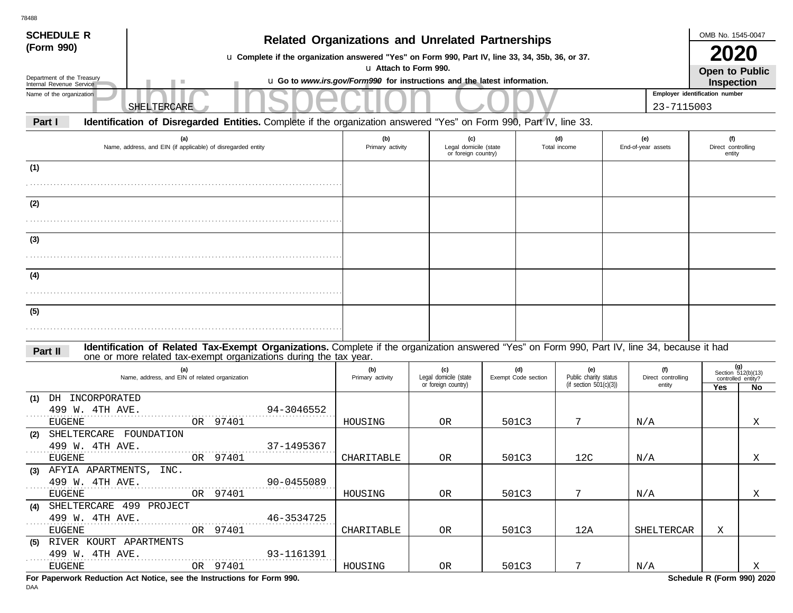| SHELTERCARE                                                         |                                                                                                                         |                                                                                         |     |                                                                                                                 |                                              |                                                                                                                                                                                                                |                                                                                                                                                                                                                                                                   |                                                    |                                                                                         |                                                                                                                                                                                                                                                                                                                        |
|---------------------------------------------------------------------|-------------------------------------------------------------------------------------------------------------------------|-----------------------------------------------------------------------------------------|-----|-----------------------------------------------------------------------------------------------------------------|----------------------------------------------|----------------------------------------------------------------------------------------------------------------------------------------------------------------------------------------------------------------|-------------------------------------------------------------------------------------------------------------------------------------------------------------------------------------------------------------------------------------------------------------------|----------------------------------------------------|-----------------------------------------------------------------------------------------|------------------------------------------------------------------------------------------------------------------------------------------------------------------------------------------------------------------------------------------------------------------------------------------------------------------------|
|                                                                     |                                                                                                                         |                                                                                         |     |                                                                                                                 |                                              |                                                                                                                                                                                                                |                                                                                                                                                                                                                                                                   |                                                    |                                                                                         |                                                                                                                                                                                                                                                                                                                        |
| (a)<br>Name, address, and EIN (if applicable) of disregarded entity | (b)<br>Primary activity                                                                                                 |                                                                                         | (c) |                                                                                                                 |                                              |                                                                                                                                                                                                                |                                                                                                                                                                                                                                                                   |                                                    |                                                                                         |                                                                                                                                                                                                                                                                                                                        |
|                                                                     |                                                                                                                         |                                                                                         |     |                                                                                                                 |                                              |                                                                                                                                                                                                                |                                                                                                                                                                                                                                                                   |                                                    |                                                                                         |                                                                                                                                                                                                                                                                                                                        |
|                                                                     |                                                                                                                         |                                                                                         |     |                                                                                                                 |                                              |                                                                                                                                                                                                                |                                                                                                                                                                                                                                                                   |                                                    |                                                                                         |                                                                                                                                                                                                                                                                                                                        |
|                                                                     |                                                                                                                         |                                                                                         |     |                                                                                                                 |                                              |                                                                                                                                                                                                                |                                                                                                                                                                                                                                                                   |                                                    |                                                                                         |                                                                                                                                                                                                                                                                                                                        |
|                                                                     |                                                                                                                         |                                                                                         |     |                                                                                                                 |                                              |                                                                                                                                                                                                                |                                                                                                                                                                                                                                                                   |                                                    |                                                                                         |                                                                                                                                                                                                                                                                                                                        |
|                                                                     |                                                                                                                         |                                                                                         |     |                                                                                                                 |                                              |                                                                                                                                                                                                                |                                                                                                                                                                                                                                                                   |                                                    |                                                                                         |                                                                                                                                                                                                                                                                                                                        |
|                                                                     |                                                                                                                         |                                                                                         |     |                                                                                                                 |                                              |                                                                                                                                                                                                                |                                                                                                                                                                                                                                                                   |                                                    |                                                                                         |                                                                                                                                                                                                                                                                                                                        |
|                                                                     |                                                                                                                         |                                                                                         |     |                                                                                                                 |                                              |                                                                                                                                                                                                                |                                                                                                                                                                                                                                                                   |                                                    |                                                                                         |                                                                                                                                                                                                                                                                                                                        |
|                                                                     |                                                                                                                         |                                                                                         |     |                                                                                                                 |                                              |                                                                                                                                                                                                                |                                                                                                                                                                                                                                                                   |                                                    |                                                                                         |                                                                                                                                                                                                                                                                                                                        |
|                                                                     |                                                                                                                         |                                                                                         |     |                                                                                                                 |                                              |                                                                                                                                                                                                                |                                                                                                                                                                                                                                                                   |                                                    |                                                                                         |                                                                                                                                                                                                                                                                                                                        |
|                                                                     |                                                                                                                         |                                                                                         |     |                                                                                                                 |                                              |                                                                                                                                                                                                                |                                                                                                                                                                                                                                                                   |                                                    |                                                                                         |                                                                                                                                                                                                                                                                                                                        |
|                                                                     |                                                                                                                         |                                                                                         |     |                                                                                                                 |                                              |                                                                                                                                                                                                                |                                                                                                                                                                                                                                                                   |                                                    |                                                                                         |                                                                                                                                                                                                                                                                                                                        |
| (a)<br>Name, address, and EIN of related organization               | (b)<br>Primary activity                                                                                                 |                                                                                         | (c) |                                                                                                                 |                                              | (e)                                                                                                                                                                                                            |                                                                                                                                                                                                                                                                   | (f)<br>Direct controlling<br>entity                |                                                                                         | (g)<br>Section $512(b)(13)$<br>controlled entity?<br>No                                                                                                                                                                                                                                                                |
| DH INCORPORATED                                                     |                                                                                                                         |                                                                                         |     |                                                                                                                 |                                              |                                                                                                                                                                                                                |                                                                                                                                                                                                                                                                   |                                                    |                                                                                         |                                                                                                                                                                                                                                                                                                                        |
| 499 W. 4TH AVE.<br>94-3046552<br>97401<br>OR                        | HOUSING                                                                                                                 |                                                                                         |     |                                                                                                                 |                                              | 7                                                                                                                                                                                                              |                                                                                                                                                                                                                                                                   |                                                    |                                                                                         | Χ                                                                                                                                                                                                                                                                                                                      |
| SHELTERCARE FOUNDATION                                              |                                                                                                                         |                                                                                         |     |                                                                                                                 |                                              |                                                                                                                                                                                                                |                                                                                                                                                                                                                                                                   |                                                    |                                                                                         |                                                                                                                                                                                                                                                                                                                        |
| 97401<br>OR                                                         | CHARITABLE                                                                                                              |                                                                                         |     |                                                                                                                 |                                              | 12C                                                                                                                                                                                                            |                                                                                                                                                                                                                                                                   |                                                    |                                                                                         | Χ                                                                                                                                                                                                                                                                                                                      |
| (3) AFYIA APARTMENTS, INC.                                          |                                                                                                                         |                                                                                         |     |                                                                                                                 |                                              |                                                                                                                                                                                                                |                                                                                                                                                                                                                                                                   |                                                    |                                                                                         |                                                                                                                                                                                                                                                                                                                        |
| 499 W. 4TH AVE.<br>90-0455089                                       |                                                                                                                         |                                                                                         |     |                                                                                                                 |                                              |                                                                                                                                                                                                                |                                                                                                                                                                                                                                                                   |                                                    |                                                                                         |                                                                                                                                                                                                                                                                                                                        |
|                                                                     |                                                                                                                         |                                                                                         |     |                                                                                                                 |                                              |                                                                                                                                                                                                                |                                                                                                                                                                                                                                                                   |                                                    |                                                                                         | X                                                                                                                                                                                                                                                                                                                      |
| 499 W. 4TH AVE.<br>46-3534725                                       |                                                                                                                         |                                                                                         |     |                                                                                                                 |                                              |                                                                                                                                                                                                                |                                                                                                                                                                                                                                                                   |                                                    |                                                                                         |                                                                                                                                                                                                                                                                                                                        |
| OR 97401                                                            | CHARITABLE                                                                                                              |                                                                                         |     |                                                                                                                 |                                              | 12A                                                                                                                                                                                                            |                                                                                                                                                                                                                                                                   |                                                    | X                                                                                       |                                                                                                                                                                                                                                                                                                                        |
| (5) RIVER KOURT APARTMENTS                                          |                                                                                                                         |                                                                                         |     |                                                                                                                 |                                              |                                                                                                                                                                                                                |                                                                                                                                                                                                                                                                   |                                                    |                                                                                         |                                                                                                                                                                                                                                                                                                                        |
|                                                                     |                                                                                                                         |                                                                                         |     |                                                                                                                 |                                              |                                                                                                                                                                                                                |                                                                                                                                                                                                                                                                   |                                                    |                                                                                         | $\boldsymbol{\mathrm{X}}$                                                                                                                                                                                                                                                                                              |
|                                                                     | 499 W. 4TH AVE.<br>37-1495367<br>OR 97401<br>(4) SHELTERCARE 499 PROJECT<br>499 W. 4TH AVE.<br>$93-1161391$<br>OR 97401 | one or more related tax-exempt organizations during the tax year.<br>HOUSING<br>HOUSING |     | u Attach to Form 990.<br>Legal domicile (state<br>or foreign country)<br>0 <sub>R</sub><br>0R<br>OR<br>OR<br>OR | Legal domicile (state<br>or foreign country) | <b>Related Organizations and Unrelated Partnerships</b><br>u Go to www.irs.gov/Form990 for instructions and the latest information.<br>(d)<br>Exempt Code section<br>501C3<br>501C3<br>501C3<br>501C3<br>501C3 | u Complete if the organization answered "Yes" on Form 990, Part IV, line 33, 34, 35b, 36, or 37.<br>Identification of Disregarded Entities. Complete if the organization answered "Yes" on Form 990, Part IV, line 33.<br>(d)<br>Total income<br>$7^{\circ}$<br>7 | Public charity status<br>(if section $501(c)(3)$ ) | (e)<br>End-of-year assets<br>N/A<br>N/A<br>$\mathrm{N}/\mathrm{A}$<br>SHELTERCAR<br>N/A | OMB No. 1545-0047<br><b>2020</b><br>Open to Public<br><b>Inspection</b><br>Employer identification number<br>23-7115003<br>(f)<br>Direct controlling<br>entity<br>Identification of Related Tax-Exempt Organizations. Complete if the organization answered "Yes" on Form 990, Part IV, line 34, because it had<br>Yes |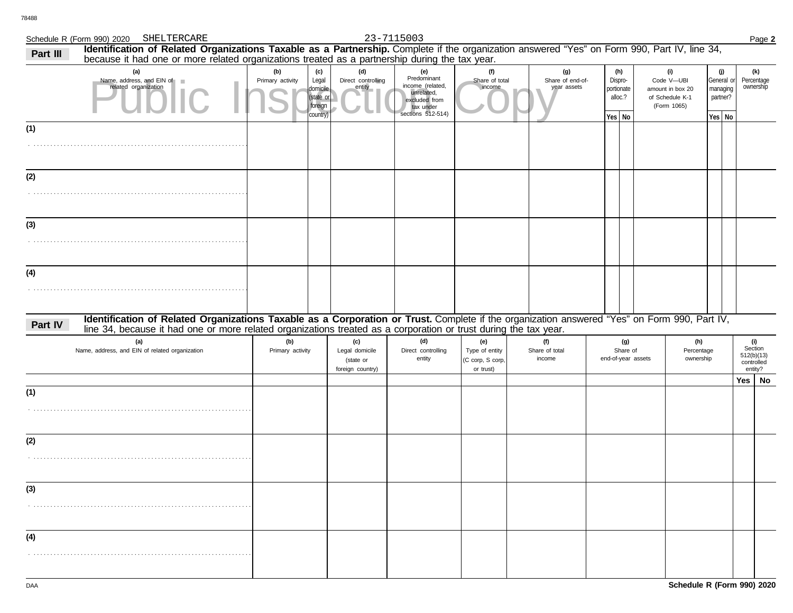# Schedule R (Form 990) 2020 Page **2** SHELTERCARE 23-7115003

| Part III | Identification of Related Organizations Taxable as a Partnership. Complete if the organization answered "Yes" on Form 990, Part IV, line 34,<br>because it had one or more related organizations treated as a partnership during the tax year.                   |                         |                                                              |                                                        |                                                                                                         |                                                        |                                        |                                                   |                                                                         |                                                       |     |                                                       |
|----------|------------------------------------------------------------------------------------------------------------------------------------------------------------------------------------------------------------------------------------------------------------------|-------------------------|--------------------------------------------------------------|--------------------------------------------------------|---------------------------------------------------------------------------------------------------------|--------------------------------------------------------|----------------------------------------|---------------------------------------------------|-------------------------------------------------------------------------|-------------------------------------------------------|-----|-------------------------------------------------------|
|          | (a)<br>Name, address, and EIN of<br>related organization                                                                                                                                                                                                         | (b)<br>Primary activity | (c)<br>Legal<br>domicile<br>(state or<br>foreign<br>country) | (d)<br>Direct controlling<br>entity                    | (e)<br>Predominant<br>income (related,<br>unrelated,<br>excluded from<br>tax under<br>sections 512-514) | (f)<br>Share of total<br>income                        | (g)<br>Share of end-of-<br>year assets | (h)<br>Dispro-<br>portionate<br>alloc.?<br>Yes No | (i)<br>Code V-UBI<br>amount in box 20<br>of Schedule K-1<br>(Form 1065) | (j)<br>General or<br>managing<br>partner?<br>$Yes$ No |     | (k)<br>Percentage<br>ownership                        |
| (1)      |                                                                                                                                                                                                                                                                  |                         |                                                              |                                                        |                                                                                                         |                                                        |                                        |                                                   |                                                                         |                                                       |     |                                                       |
| (2)      |                                                                                                                                                                                                                                                                  |                         |                                                              |                                                        |                                                                                                         |                                                        |                                        |                                                   |                                                                         |                                                       |     |                                                       |
| (3)      |                                                                                                                                                                                                                                                                  |                         |                                                              |                                                        |                                                                                                         |                                                        |                                        |                                                   |                                                                         |                                                       |     |                                                       |
| (4)      |                                                                                                                                                                                                                                                                  |                         |                                                              |                                                        |                                                                                                         |                                                        |                                        |                                                   |                                                                         |                                                       |     |                                                       |
| Part IV  | Identification of Related Organizations Taxable as a Corporation or Trust. Complete if the organization answered "Yes" on Form 990, Part IV,<br>line 34, because it had one or more related organizations treated as a corporation or trust during the tax year. |                         |                                                              |                                                        |                                                                                                         |                                                        |                                        |                                                   |                                                                         |                                                       |     |                                                       |
|          | (a)<br>Name, address, and EIN of related organization                                                                                                                                                                                                            | (b)<br>Primary activity |                                                              | (c)<br>Legal domicile<br>(state or<br>foreign country) | (d)<br>Direct controlling<br>entity                                                                     | (e)<br>Type of entity<br>(C corp, S corp,<br>or trust) | (f)<br>Share of total<br>income        | (g)<br>Share of<br>end-of-year assets             | (h)<br>Percentage<br>ownership                                          |                                                       |     | (i)<br>Section<br>512(b)(13)<br>controlled<br>entity? |
|          |                                                                                                                                                                                                                                                                  |                         |                                                              |                                                        |                                                                                                         |                                                        |                                        |                                                   |                                                                         |                                                       | Yes | No                                                    |
| (1)      |                                                                                                                                                                                                                                                                  |                         |                                                              |                                                        |                                                                                                         |                                                        |                                        |                                                   |                                                                         |                                                       |     |                                                       |
| (2)      |                                                                                                                                                                                                                                                                  |                         |                                                              |                                                        |                                                                                                         |                                                        |                                        |                                                   |                                                                         |                                                       |     |                                                       |
| (3)      |                                                                                                                                                                                                                                                                  |                         |                                                              |                                                        |                                                                                                         |                                                        |                                        |                                                   |                                                                         |                                                       |     |                                                       |
| (4)      |                                                                                                                                                                                                                                                                  |                         |                                                              |                                                        |                                                                                                         |                                                        |                                        |                                                   |                                                                         |                                                       |     |                                                       |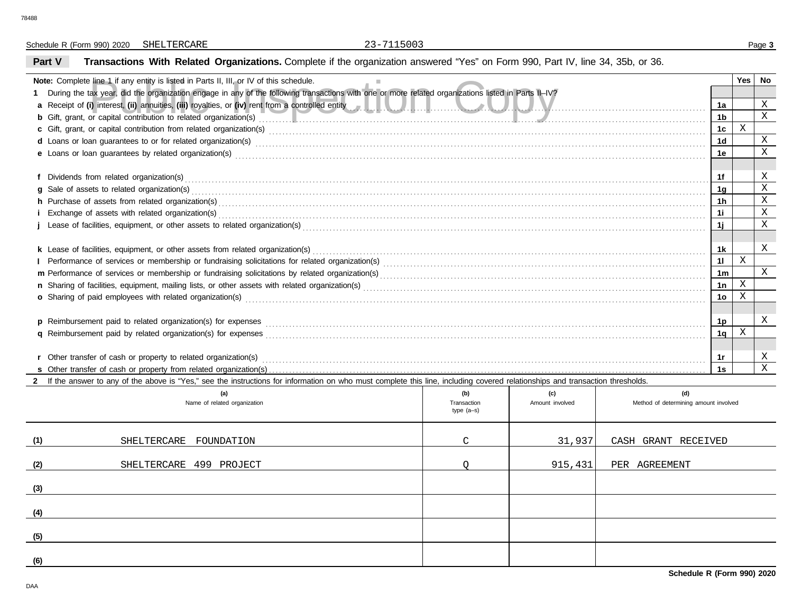Schedule R (Form 990) 2020 Page **3** SHELTERCARE 23-7115003

# **Part V Transactions With Related Organizations.** Complete if the organization answered "Yes" on Form 990, Part IV, line 34, 35b, or 36.

| <b>Note:</b> Complete line 1 if any entity is listed in Parts II, III, or IV of this schedule.                                                                                                                                 |                             |                 |                                       |                | Yes     | No           |
|--------------------------------------------------------------------------------------------------------------------------------------------------------------------------------------------------------------------------------|-----------------------------|-----------------|---------------------------------------|----------------|---------|--------------|
| During the tax year, did the organization engage in any of the following transactions with one or more related organizations listed in Parts II-IV?                                                                            |                             |                 |                                       |                |         |              |
| a Receipt of (i) interest, (ii) annuities, (iii) royalties, or (iv) rent from a controlled entity and we have a manuities of the controlled entity of the state of the controlled entity of the controlled entity of the contr |                             |                 |                                       | 1a             |         | $\mathbf{X}$ |
|                                                                                                                                                                                                                                |                             |                 |                                       | 1 <sub>b</sub> |         | $\mathbf{x}$ |
|                                                                                                                                                                                                                                |                             |                 |                                       | 1c             | X       |              |
| d Loans or loan guarantees to or for related organization(s) encourance contained and contained and contained and contained and contained and contained and contained and contained and contained and contained and contained  |                             |                 |                                       | 1 <sub>d</sub> |         | $\mathbf X$  |
|                                                                                                                                                                                                                                |                             |                 |                                       | 1e             |         | X            |
|                                                                                                                                                                                                                                |                             |                 |                                       |                |         |              |
|                                                                                                                                                                                                                                |                             |                 |                                       | 1f             |         | Χ            |
|                                                                                                                                                                                                                                |                             |                 |                                       | 1g             |         | X            |
| h Purchase of assets from related organization(s) encourance contains an account of the container and account of a system in the contact or contact or contact or contact or contact or contact or contact or contact or conta |                             |                 |                                       | 1h             |         | $\mathbf X$  |
|                                                                                                                                                                                                                                |                             |                 |                                       | 11             |         | $\mathbf X$  |
|                                                                                                                                                                                                                                |                             |                 |                                       | 1j             |         | X            |
|                                                                                                                                                                                                                                |                             |                 |                                       |                |         |              |
|                                                                                                                                                                                                                                |                             |                 |                                       |                |         |              |
|                                                                                                                                                                                                                                |                             |                 |                                       | 11             | $\rm X$ |              |
|                                                                                                                                                                                                                                |                             |                 |                                       | 1 <sub>m</sub> |         | $\mathbf{X}$ |
|                                                                                                                                                                                                                                |                             |                 |                                       | 1n             | $\rm X$ |              |
| o Sharing of paid employees with related organization(s) encourance contains an according contained and starting of paid employees with related organization(s)                                                                |                             |                 |                                       | 1 <sub>o</sub> | X       |              |
|                                                                                                                                                                                                                                |                             |                 |                                       |                |         |              |
|                                                                                                                                                                                                                                |                             |                 |                                       | 1p             |         | Χ            |
|                                                                                                                                                                                                                                |                             |                 |                                       | 1q             | X       |              |
|                                                                                                                                                                                                                                |                             |                 |                                       |                |         |              |
|                                                                                                                                                                                                                                |                             |                 |                                       | 1r             |         | X            |
|                                                                                                                                                                                                                                |                             |                 |                                       | 1s             |         | $\mathbf{X}$ |
| 2 If the answer to any of the above is "Yes," see the instructions for information on who must complete this line, including covered relationships and transaction thresholds.                                                 |                             |                 |                                       |                |         |              |
| (a)                                                                                                                                                                                                                            | (b)                         | (c)             | (d)                                   |                |         |              |
| Name of related organization                                                                                                                                                                                                   | Transaction<br>tyne $(a-c)$ | Amount involved | Method of determining amount involved |                |         |              |

|     | $\sqrt{2}$<br>Name of related organization | $\mathbf{v}$<br>Transaction<br>type (a-s) | $\ddot{\phantom{0}}$<br>Amount involved | $\sim$<br>Method of determining amount involved |
|-----|--------------------------------------------|-------------------------------------------|-----------------------------------------|-------------------------------------------------|
| (1) | SHELTERCARE FOUNDATION                     | $\mathcal{C}$                             | 31,937                                  | CASH GRANT RECEIVED                             |
| (2) | SHELTERCARE 499 PROJECT                    |                                           | 915,431                                 | PER AGREEMENT                                   |
| (3) |                                            |                                           |                                         |                                                 |
| (4) |                                            |                                           |                                         |                                                 |
| (5) |                                            |                                           |                                         |                                                 |
| (6) |                                            |                                           |                                         |                                                 |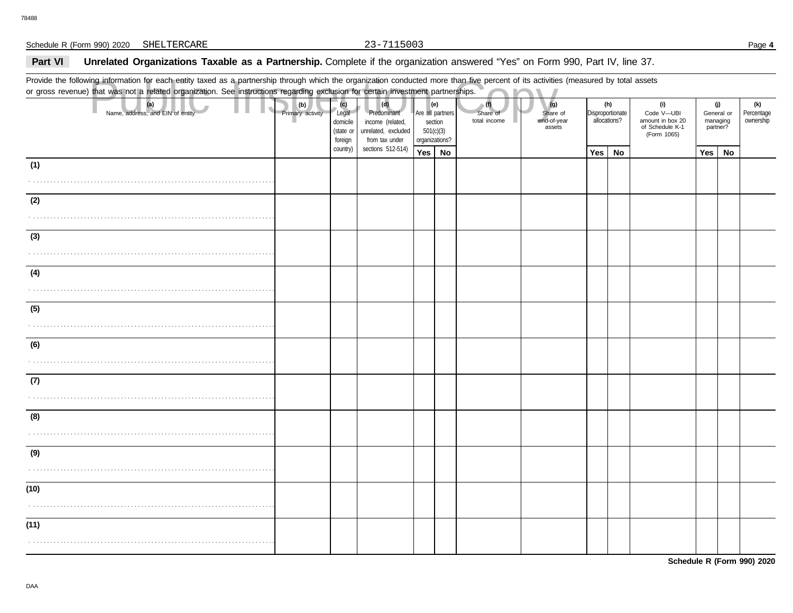## Part VI Unrelated Organizations Taxable as a Partnership. Complete if the organization answered "Yes" on Form 990, Part IV, line 37.

Provide the following information for each entity taxed as a partnership through which the organization conducted more than five percent of its activities (measured by total assets or gross revenue) that was not a related organization. See instructions regarding exclusion for certain investment partnerships.

|      | Provide the following information for each entity taxed as a partnership through which the organization conducted more than five percent of its activities (measured by total assets<br>or gross revenue) that was not a related organization. See instructions regarding exclusion for certain investment partnerships. |                         |                                                  |                                                                                 |                                        |                         |                                 |                                          |                  |                     |                                                                         |                             |            |                                |
|------|--------------------------------------------------------------------------------------------------------------------------------------------------------------------------------------------------------------------------------------------------------------------------------------------------------------------------|-------------------------|--------------------------------------------------|---------------------------------------------------------------------------------|----------------------------------------|-------------------------|---------------------------------|------------------------------------------|------------------|---------------------|-------------------------------------------------------------------------|-----------------------------|------------|--------------------------------|
|      | (a)<br>Name, address, and EIN of entity                                                                                                                                                                                                                                                                                  | (b)<br>Primary activity | (c)<br>Legal<br>domicile<br>(state or<br>foreign | (d)<br>Predominant<br>income (related,<br>unrelated, excluded<br>from tax under | section<br>501(c)(3)<br>organizations? | (e)<br>Are all partners | (1)<br>Share of<br>total income | (g)<br>Share of<br>end-of-year<br>assets | Disproportionate | (h)<br>allocations? | (i)<br>Code V-UBI<br>amount in box 20<br>of Schedule K-1<br>(Form 1065) | (j)<br>managing<br>partner? | General or | (k)<br>Percentage<br>ownership |
|      |                                                                                                                                                                                                                                                                                                                          |                         | country)                                         | sections 512-514)                                                               | Yes   No                               |                         |                                 |                                          | Yes              | No                  |                                                                         | Yes                         | No         |                                |
| (1)  |                                                                                                                                                                                                                                                                                                                          |                         |                                                  |                                                                                 |                                        |                         |                                 |                                          |                  |                     |                                                                         |                             |            |                                |
| (2)  |                                                                                                                                                                                                                                                                                                                          |                         |                                                  |                                                                                 |                                        |                         |                                 |                                          |                  |                     |                                                                         |                             |            |                                |
|      |                                                                                                                                                                                                                                                                                                                          |                         |                                                  |                                                                                 |                                        |                         |                                 |                                          |                  |                     |                                                                         |                             |            |                                |
| (3)  |                                                                                                                                                                                                                                                                                                                          |                         |                                                  |                                                                                 |                                        |                         |                                 |                                          |                  |                     |                                                                         |                             |            |                                |
|      |                                                                                                                                                                                                                                                                                                                          |                         |                                                  |                                                                                 |                                        |                         |                                 |                                          |                  |                     |                                                                         |                             |            |                                |
| (4)  |                                                                                                                                                                                                                                                                                                                          |                         |                                                  |                                                                                 |                                        |                         |                                 |                                          |                  |                     |                                                                         |                             |            |                                |
| (5)  |                                                                                                                                                                                                                                                                                                                          |                         |                                                  |                                                                                 |                                        |                         |                                 |                                          |                  |                     |                                                                         |                             |            |                                |
| (6)  |                                                                                                                                                                                                                                                                                                                          |                         |                                                  |                                                                                 |                                        |                         |                                 |                                          |                  |                     |                                                                         |                             |            |                                |
|      |                                                                                                                                                                                                                                                                                                                          |                         |                                                  |                                                                                 |                                        |                         |                                 |                                          |                  |                     |                                                                         |                             |            |                                |
| (7)  |                                                                                                                                                                                                                                                                                                                          |                         |                                                  |                                                                                 |                                        |                         |                                 |                                          |                  |                     |                                                                         |                             |            |                                |
| (8)  |                                                                                                                                                                                                                                                                                                                          |                         |                                                  |                                                                                 |                                        |                         |                                 |                                          |                  |                     |                                                                         |                             |            |                                |
|      |                                                                                                                                                                                                                                                                                                                          |                         |                                                  |                                                                                 |                                        |                         |                                 |                                          |                  |                     |                                                                         |                             |            |                                |
| (9)  |                                                                                                                                                                                                                                                                                                                          |                         |                                                  |                                                                                 |                                        |                         |                                 |                                          |                  |                     |                                                                         |                             |            |                                |
| (10) |                                                                                                                                                                                                                                                                                                                          |                         |                                                  |                                                                                 |                                        |                         |                                 |                                          |                  |                     |                                                                         |                             |            |                                |
|      |                                                                                                                                                                                                                                                                                                                          |                         |                                                  |                                                                                 |                                        |                         |                                 |                                          |                  |                     |                                                                         |                             |            |                                |
| (11) |                                                                                                                                                                                                                                                                                                                          |                         |                                                  |                                                                                 |                                        |                         |                                 |                                          |                  |                     |                                                                         |                             |            |                                |
|      |                                                                                                                                                                                                                                                                                                                          |                         |                                                  |                                                                                 |                                        |                         |                                 |                                          |                  |                     |                                                                         |                             |            |                                |

**Schedule R (Form 990) 2020**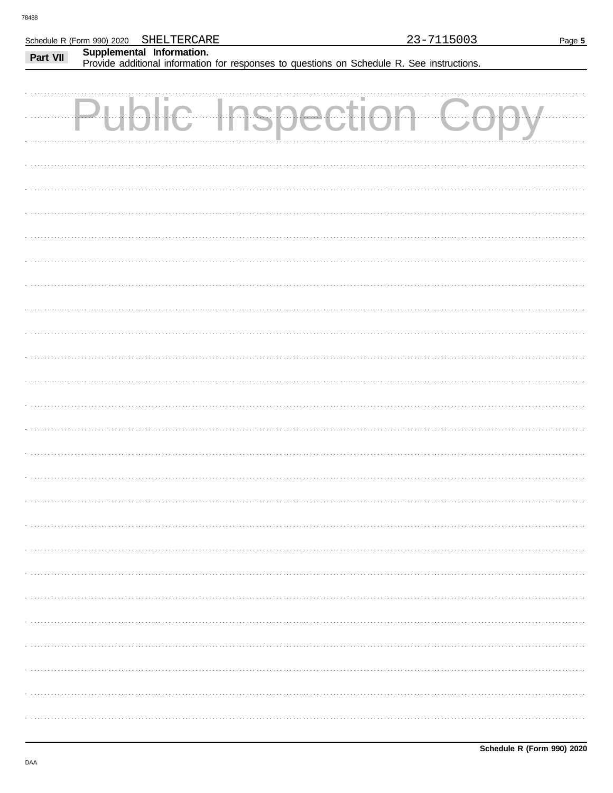|          | Schedule R (Form 990) 2020 SHELTERCARE | 23-7115003                                                                                 | Page 5 |
|----------|----------------------------------------|--------------------------------------------------------------------------------------------|--------|
| Part VII | Supplemental Information.              |                                                                                            |        |
|          |                                        | Provide additional information for responses to questions on Schedule R. See instructions. |        |
|          |                                        |                                                                                            |        |
|          |                                        |                                                                                            |        |
|          |                                        |                                                                                            |        |
|          |                                        | <b>Public Inspectic</b>                                                                    |        |
|          |                                        |                                                                                            |        |
|          |                                        |                                                                                            |        |
|          |                                        |                                                                                            |        |
|          |                                        |                                                                                            |        |
|          |                                        |                                                                                            |        |
|          |                                        |                                                                                            |        |
|          |                                        |                                                                                            |        |
|          |                                        |                                                                                            |        |
|          |                                        |                                                                                            |        |
|          |                                        |                                                                                            |        |
|          |                                        |                                                                                            |        |
|          |                                        |                                                                                            |        |
|          |                                        |                                                                                            |        |
|          |                                        |                                                                                            |        |
|          |                                        |                                                                                            |        |
|          |                                        |                                                                                            |        |
|          |                                        |                                                                                            |        |
|          |                                        |                                                                                            |        |
|          |                                        |                                                                                            |        |
|          |                                        |                                                                                            |        |
|          |                                        |                                                                                            |        |
|          |                                        |                                                                                            |        |
|          |                                        |                                                                                            |        |
|          |                                        |                                                                                            |        |
|          |                                        |                                                                                            |        |
|          |                                        |                                                                                            |        |
|          |                                        |                                                                                            |        |
|          |                                        |                                                                                            |        |
|          |                                        |                                                                                            |        |
|          |                                        |                                                                                            |        |
|          |                                        |                                                                                            |        |
|          |                                        |                                                                                            |        |
|          |                                        |                                                                                            |        |
|          |                                        |                                                                                            |        |
|          |                                        |                                                                                            |        |
|          |                                        |                                                                                            |        |
|          |                                        |                                                                                            |        |
|          |                                        |                                                                                            |        |
|          |                                        |                                                                                            |        |
|          |                                        |                                                                                            |        |
|          |                                        |                                                                                            |        |
|          |                                        |                                                                                            |        |
|          |                                        |                                                                                            |        |
|          |                                        |                                                                                            |        |
|          |                                        |                                                                                            |        |
|          |                                        |                                                                                            |        |
|          |                                        |                                                                                            |        |
|          |                                        |                                                                                            |        |
|          |                                        |                                                                                            |        |
|          |                                        |                                                                                            |        |
|          |                                        |                                                                                            |        |
|          |                                        |                                                                                            |        |
|          |                                        |                                                                                            |        |
|          |                                        |                                                                                            |        |
|          |                                        |                                                                                            |        |
|          |                                        |                                                                                            |        |
|          |                                        |                                                                                            |        |
|          |                                        |                                                                                            |        |
|          |                                        |                                                                                            |        |
|          |                                        |                                                                                            |        |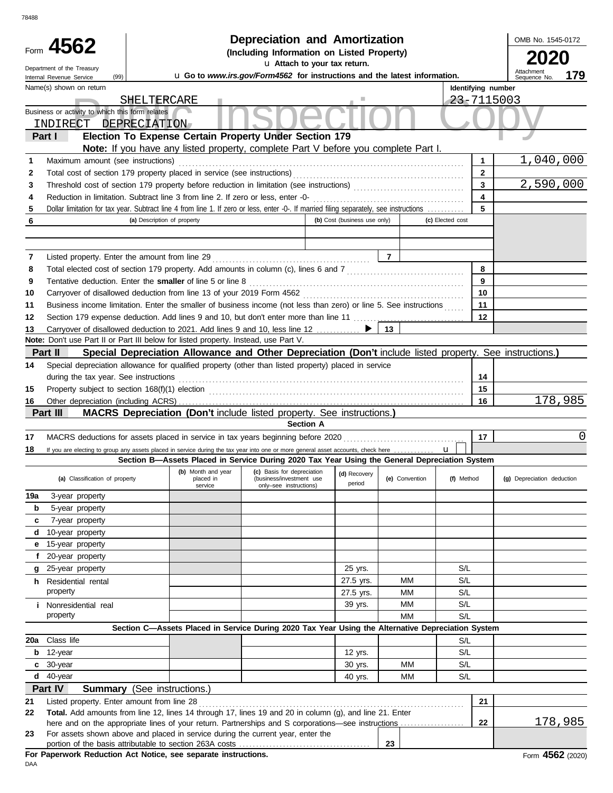|        |                                                                                                                                         |                      | <b>Depreciation and Amortization</b>                                                                          |                              |                |                  |                         | OMB No. 1545-0172          |
|--------|-----------------------------------------------------------------------------------------------------------------------------------------|----------------------|---------------------------------------------------------------------------------------------------------------|------------------------------|----------------|------------------|-------------------------|----------------------------|
|        | Form 4562                                                                                                                               |                      | (Including Information on Listed Property)                                                                    |                              |                |                  |                         | 2020                       |
|        | Department of the Treasury                                                                                                              |                      | u Attach to your tax return.                                                                                  |                              |                |                  |                         | Attachment                 |
|        | (99)<br>Internal Revenue Service                                                                                                        |                      | u Go to www.irs.gov/Form4562 for instructions and the latest information.                                     |                              |                |                  |                         | 179<br>Sequence No.        |
|        | Name(s) shown on return                                                                                                                 |                      |                                                                                                               |                              |                |                  | Identifying number      |                            |
|        | SHELTERCARE<br>Business or activity to which this form relates                                                                          |                      |                                                                                                               |                              |                |                  | 23-7115003              |                            |
|        | INDIRECT DEPRECIATION                                                                                                                   |                      |                                                                                                               |                              |                |                  |                         |                            |
|        | Part I                                                                                                                                  |                      | Election To Expense Certain Property Under Section 179                                                        |                              |                |                  |                         |                            |
|        |                                                                                                                                         |                      | Note: If you have any listed property, complete Part V before you complete Part I.                            |                              |                |                  | 1                       | 1,040,000                  |
| 1<br>2 | Maximum amount (see instructions)                                                                                                       |                      |                                                                                                               |                              |                |                  | $\mathbf{2}$            |                            |
| 3      |                                                                                                                                         |                      |                                                                                                               |                              |                |                  | $\overline{\mathbf{3}}$ | 2,590,000                  |
| 4      |                                                                                                                                         |                      |                                                                                                               |                              |                |                  | $\overline{\mathbf{4}}$ |                            |
| 5      | Dollar limitation for tax year. Subtract line 4 from line 1. If zero or less, enter -0-. If married filing separately, see instructions |                      |                                                                                                               |                              |                |                  | 5                       |                            |
| 6      | (a) Description of property                                                                                                             |                      |                                                                                                               | (b) Cost (business use only) |                | (c) Elected cost |                         |                            |
|        |                                                                                                                                         |                      |                                                                                                               |                              |                |                  |                         |                            |
|        |                                                                                                                                         |                      |                                                                                                               |                              |                |                  |                         |                            |
| 7      |                                                                                                                                         |                      |                                                                                                               |                              | $\overline{7}$ |                  |                         |                            |
| 8      | Total elected cost of section 179 property. Add amounts in column (c), lines 6 and 7 [[[[[[[[[[[[[[[[[[[[[[[[                           |                      |                                                                                                               |                              |                |                  | 8                       |                            |
| 9      |                                                                                                                                         |                      |                                                                                                               |                              |                |                  | 9                       |                            |
| 10     |                                                                                                                                         |                      |                                                                                                               |                              |                |                  | 10                      |                            |
| 11     | Business income limitation. Enter the smaller of business income (not less than zero) or line 5. See instructions                       |                      |                                                                                                               |                              |                |                  | 11                      |                            |
| 12     | Section 179 expense deduction. Add lines 9 and 10, but don't enter more than line 11                                                    |                      |                                                                                                               |                              |                |                  | 12                      |                            |
| 13     | Carryover of disallowed deduction to 2021. Add lines 9 and 10, less line 12                                                             |                      |                                                                                                               |                              | 13             |                  |                         |                            |
|        | Note: Don't use Part II or Part III below for listed property. Instead, use Part V.                                                     |                      |                                                                                                               |                              |                |                  |                         |                            |
|        | Part II                                                                                                                                 |                      | Special Depreciation Allowance and Other Depreciation (Don't include listed property. See instructions.)      |                              |                |                  |                         |                            |
| 14     | Special depreciation allowance for qualified property (other than listed property) placed in service                                    |                      |                                                                                                               |                              |                |                  | 14                      |                            |
| 15     | during the tax year. See instructions                                                                                                   |                      |                                                                                                               |                              |                |                  | 15                      |                            |
| 16     |                                                                                                                                         |                      |                                                                                                               |                              |                |                  | 16                      | 178,985                    |
|        | Part III                                                                                                                                |                      | MACRS Depreciation (Don't include listed property. See instructions.)                                         |                              |                |                  |                         |                            |
|        |                                                                                                                                         |                      | <b>Section A</b>                                                                                              |                              |                |                  |                         |                            |
| 17     |                                                                                                                                         |                      |                                                                                                               |                              |                |                  | 17                      | 0                          |
| 18     | If you are electing to group any assets placed in service during the tax year into one or more general asset accounts, check here       |                      |                                                                                                               |                              |                |                  |                         |                            |
|        |                                                                                                                                         |                      | Section B-Assets Placed in Service During 2020 Tax Year Using the General Depreciation System                 |                              |                |                  |                         |                            |
|        | (a) Classification of property                                                                                                          | placed in<br>service | (b) Month and year (c) Basis for depreciation (d) Recov<br>(business/investment use<br>only-see instructions) | (d) Recovery<br>period       | (e) Convention |                  | (f) Method              | (g) Depreciation deduction |
| 19a    | 3-year property                                                                                                                         |                      |                                                                                                               |                              |                |                  |                         |                            |
| b      | 5-year property                                                                                                                         |                      |                                                                                                               |                              |                |                  |                         |                            |
| c      | 7-year property                                                                                                                         |                      |                                                                                                               |                              |                |                  |                         |                            |
| d      | 10-year property                                                                                                                        |                      |                                                                                                               |                              |                |                  |                         |                            |
| е      | 15-year property                                                                                                                        |                      |                                                                                                               |                              |                |                  |                         |                            |
| f      | 20-year property                                                                                                                        |                      |                                                                                                               |                              |                |                  |                         |                            |
| g      | 25-year property                                                                                                                        |                      |                                                                                                               | 25 yrs.                      |                |                  | S/L                     |                            |
|        | <b>h</b> Residential rental<br>property                                                                                                 |                      |                                                                                                               | 27.5 yrs.                    | ΜМ             |                  | S/L<br>S/L              |                            |
|        |                                                                                                                                         |                      |                                                                                                               | 27.5 yrs.                    | МM<br>МM       |                  | S/L                     |                            |
|        | <i>i</i> Nonresidential real<br>property                                                                                                |                      |                                                                                                               | 39 yrs.                      | MМ             |                  | S/L                     |                            |
|        |                                                                                                                                         |                      | Section C-Assets Placed in Service During 2020 Tax Year Using the Alternative Depreciation System             |                              |                |                  |                         |                            |
| 20a    | Class life                                                                                                                              |                      |                                                                                                               |                              |                |                  | S/L                     |                            |
| b      | 12-year                                                                                                                                 |                      |                                                                                                               | 12 yrs.                      |                |                  | S/L                     |                            |
| c      | 30-year                                                                                                                                 |                      |                                                                                                               | 30 yrs.                      | MМ             |                  | S/L                     |                            |
| d      | 40-year                                                                                                                                 |                      |                                                                                                               | 40 yrs.                      | MМ             |                  | S/L                     |                            |
|        | Part IV<br><b>Summary</b> (See instructions.)                                                                                           |                      |                                                                                                               |                              |                |                  |                         |                            |
| 21     | Listed property. Enter amount from line 28                                                                                              |                      |                                                                                                               |                              |                |                  | 21                      |                            |
| 22     | Total. Add amounts from line 12, lines 14 through 17, lines 19 and 20 in column (g), and line 21. Enter                                 |                      |                                                                                                               |                              |                |                  |                         |                            |
|        |                                                                                                                                         |                      |                                                                                                               |                              |                |                  | 22                      | 178,985                    |
| 23     | For assets shown above and placed in service during the current year, enter the                                                         |                      |                                                                                                               |                              | 23             |                  |                         |                            |
|        | For Paperwork Reduction Act Notice, see separate instructions.                                                                          |                      |                                                                                                               |                              |                |                  |                         | Form 4562 (2020            |

DAA